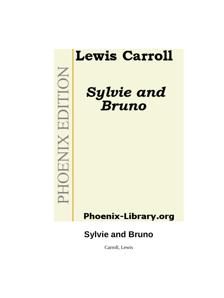

Carroll, Lewis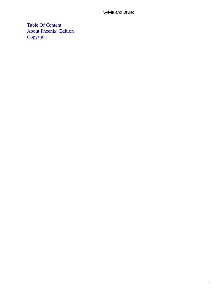[Table Of Content](#page-177-0) [About Phoenix−Edition](#page-179-0) **[Copyright](#page-180-0)**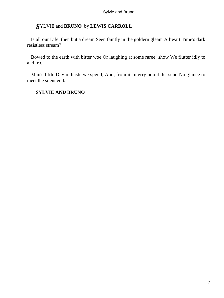# *S*YLVIE and **BRUNO** by **LEWIS CARROLL**

 Is all our Life, then but a dream Seen faintly in the goldern gleam Athwart Time's dark resistless stream?

 Bowed to the earth with bitter woe Or laughing at some raree−show We flutter idly to and fro.

 Man's little Day in haste we spend, And, from its merry noontide, send No glance to meet the silent end.

# **SYLVIE AND BRUNO**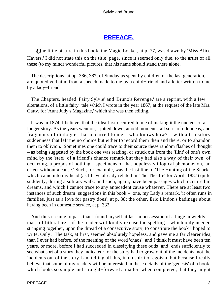# **[PREFACE.](#page-177-0)**

*O*ne little picture in this book, the Magic Locket, at p. 77, was drawn by 'Miss Alice Havers.' I did not state this on the title−page, since it seemed only due, to the artist of all these (to my mind) wonderful pictures, that his name should stand there alone.

 The descriptions, at pp. 386, 387, of Sunday as spent by children of the last generation, are quoted verbatim from a speech made to me by a child−friend and a letter written to me by a lady−friend.

 The Chapters, headed 'Fairy Sylvie' and 'Bruno's Revenge,' are a reprint, with a few alterations, of a little fairy−tale which I wrote in the year 1867, at the request of the late Mrs. Gatty, for 'Aunt Judy's Magazine,' which she was then editing.

 It was in 1874, I believe, that the idea first occurred to me of making it the nucleus of a longer story. As the years went on, I jotted down, at odd moments, all sorts of odd ideas, and fragments of dialogue, that occurred to me – who knows how? – with a transitory suddenness that left me no choice but either to record them then and there, or to abandon them to oblivion. Sometimes one could trace to their source these random flashes of thought – as being suggested by the book one was reading, or struck out from the 'flint' of one's own mind by the 'steel' of a friend's chance remark but they had also a way of their own, of occurring, a propos of nothing – specimens of that hopelessly illogical phenomenon, 'an effect without a cause.' Such, for example, was the last line of 'The Hunting of the Snark,' which came into my head (as I have already related in 'The Theatre' for April, 1887) quite suddenly, during a solitary walk: and such, again, have been passages which occurred in dreams, and which I cannot trace to any antecedent cause whatever. There are at least two instances of such dream−suggestions in this book – one, my Lady's remark, 'it often runs in families, just as a love for pastry does', at p. 88; the other, Eric Lindon's badinage about having been in domestic service, at p. 332.

 And thus it came to pass that I found myself at last in possession of a huge unwieldy mass of litterature – if the reader will kindly excuse the spelling – which only needed stringing together, upon the thread of a consecutive story, to constitute the book I hoped to write. Only! The task, at first, seemed absolutely hopeless, and gave me a far clearer idea, than I ever had before, of the meaning of the word 'chaos': and I think it must have been ten years, or more, before I had succeeded in classifying these odds−and−ends sufficiently to see what sort of a story they indicated: for the story had to grow out of the incidents, not the incidents out of the story I am telling all this, in no spirit of egoism, but because I really believe that some of my readers will be interested in these details of the 'genesis' of a book, which looks so simple and straight−forward a matter, when completed, that they might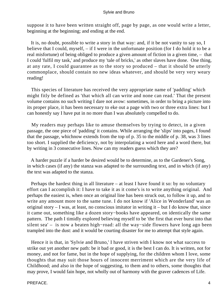suppose it to have been written straight off, page by page, as one would write a letter, beginning at the beginning; and ending at the end.

 It is, no doubt, possible to write a story in that way: and, if it be not vanity to say so, I believe that I could, myself, – if I were in the unfortunate position (for I do hold it to be a real misfortune) of being obliged to produce a given amount of fiction in a given time, – that I could 'fulfil my task,' and produce my 'tale of bricks,' as other slaves have done. One thing, at any rate, I could guarantee as to the story so produced – that it should be utterly commonplace, should contain no new ideas whatever, and should be very very weary reading!

 This species of literature has received the very appropriate name of 'padding' which might fitly be defined as 'that which all can write and none can read.' That the present volume contains no such writing I dare not avow: sometimes, in order to bring a picture into its proper place, it has been necessary to eke out a page with two or three extra lines: but I can honestly say I have put in no more than I was absolutely compelled to do.

 My readers may perhaps like to amuse themselves by trying to detect, in a given passage, the one piece of 'padding' it contains. While arranging the 'slips' into pages, I found that the passage, whichnow extends from the top of p. 35 to the middle of p. 38, was 3 lines too short. I supplied the deficiency, not by interpolating a word here and a word there, but by writing in 3 consecutive lines. Now can my readers guess which they are?

 A harder puzzle if a harder be desired would be to determine, as to the Gardener's Song, in which cases (if any) the stanza was adapted to the surrounding text, and in which (if any) the text was adapted to the stanza.

 Perhaps the hardest thing in all literature – at least I have found it so: by no voluntary effort can I accomplish it: I have to take it as it come's is to write anything original. And perhaps the easiest is, when once an original line has been struck out, to follow it up, and to write any amount more to the same tune. I do not know if 'Alice in Wonderland' was an original story  $- I$  was, at least, no conscious imitator in writing it  $-$  but I do know that, since it came out, something like a dozen story−books have appeared, on identically the same pattern. The path I timidly explored believing myself to be 'the first that ever burst into that silent sea' – is now a beaten high−road: all the way−side flowers have long ago been trampled into the dust: and it would be courting disaster for me to attempt that style again.

 Hence it is that, in 'Sylvie and Bruno,' I have striven with I know not what success to strike out yet another new path: be it bad or good, it is the best I can do. It is written, not for money, and not for fame, but in the hope of supplying, for the children whom I love, some thoughts that may suit those hours of innocent merriment which are the very life of Childhood; and also in the hope of suggesting, to them and to others, some thoughts that may prove, I would fain hope, not wholly out of harmony with the graver cadences of Life.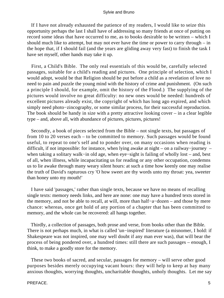If I have not already exhausted the patience of my readers, I would like to seize this opportunity perhaps the last I shall have of addressing so many friends at once of putting on record some ideas that have occurred to me, as to books desirable to be written – which I should much like to attempt, but may not ever have the time or power to carry through – in the hope that, if I should fail (and the years are gliding away very fast) to finish the task I have set myself, other hands may take it up.

 First, a Child's Bible. The only real essentials of this would be, carefully selected passages, suitable for a child's reading and pictures. One principle of selection, which I would adopt, would be that Religion should be put before a child as a revelation of love no need to pain and puzzle the young mind with the history of crime and punishment. (On such a principle I should, for example, omit the history of the Flood.) The supplying of the pictures would involve no great difficulty: no new ones would be needed: hundreds of excellent pictures already exist, the copyright of which has long ago expired, and which simply need photo−zincography, or some similar process, for their successful reproduction. The book should be handy in size with a pretty attractive looking cover – in a clear legible type – and, above all, with abundance of pictures, pictures, pictures!

 Secondly, a book of pieces selected from the Bible – not single texts, but passages of from 10 to 20 verses each – to be committed to memory. Such passages would be found useful, to repeat to one's self and to ponder over, on many occasions when reading is difficult, if not impossible: for instance, when lying awake at night – on a railway−journey – when taking a solitary walk−in old age, when eye−sight is failing of wholly lost – and, best of all, when illness, while incapacitating us for reading or any other occupation, condemns us to lie awake through many weary silent hours: at such a time how keenly one may realise the truth of David's rapturous cry 'O how sweet are thy words unto my throat: yea, sweeter than honey unto my mouth!'

 I have said 'passages,' rather than single texts, because we have no means of recalling single texts: memory needs links, and here are none: one may have a hundred texts stored in the memory, and not be able to recall, at will, more than half−a−dozen – and those by mere chance: whereas, once get hold of any portion of a chapter that has been committed to memory, and the whole can be recovered: all hangs together.

 Thirdly, a collection of passages, both prose and verse, from books other than the Bible. There is not perhaps much, in what is called 'un−inspired' literature (a misnomer, I hold: if Shakespeare was not inspired, one may well doubt if any man ever was), that will bear the process of being pondered over, a hundred times: still there are such passages – enough, I think, to make a goodly store for the memory.

 These two books of sacred, and secular, passages for memory – will serve other good purposes besides merely occupying vacant hours: they will help to keep at bay many anxious thoughts, worrying thoughts, uncharitable thoughts, unholy thoughts. Let me say

#### PREFACE. 5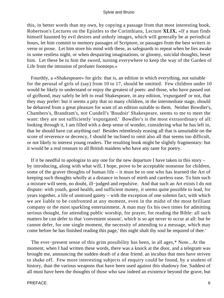this, in better words than my own, by copying a passage from that most interesting book, Robertson's Lectures on the Epistles to the Corinthians, Lecture **XLIX.** «If a man finds himself haunted by evil desires and unholy images, which will generally be at periodical hours, let him commit to memory passages of Scripture, or passages from the best writers in verse or prose. Let him store his mind with these, as safeguards to repeat when he lies awake in some restless night, or when despairing imaginations, or gloomy, suicidal thoughts, beset him. Let these be to him the sword, turning everywhere to keep the way of the Garden of Life from the intrusion of profaner footsteps.»

 Fourthly, a «Shakespeare» for girls: that is, an edition in which everything, not suitable for the perusal of girls of (say) from 10 to 17, should be omitted. Few children under 10 would be likely to understand or enjoy the greatest of poets: and those, who have passed out of girlhood, may safely be left to read Shakespeare, in any edition, 'expurgated' or not, that they may prefer: but it seems a pity that so many children, in the intermediate stage, should be debarred from a great pleasure for want of an edition suitable to them. Neither Bowdler's, Chambers's, Brandram's, nor Cundell's 'Boudoir' Shakespeare, seems to me to meet the want: they are not sufficiently 'expurgated.' Bowdler's is the most extraordinary of all: looking through it, I am filled with a deep sense of wonder, considering what he has left in, that he should have cut anything out! Besides relentlessly erasing all that is unsuitable on the score of reverence or decency, I should be inclined to omit also all that seems too difficult, or not likely to interest young readers. The resulting book might be slightly fragmentary: but it would be a real treasure to all British maidens who have any taste for poetry.

 If it be needful to apologize to any one for the new departure I have taken in this story – by introducing, along with what will, I hope, prove to be acceptable nonsense for children, some of the graver thoughts of human life – it must be to one who has learned the Art of keeping such thoughts wholly at a distance in hours of mirth and careless ease. To him such a mixture will seem, no doubt, ill−judged and repulsive. And that such an Art exists I do not dispute: with youth, good health, and sufficient money, it seems quite possible to lead, for years together, a life of unmixed gaiety – with the exception of one solemn fact, with which we are liable to be confronted at any moment, even in the midst of the most brilliant company or the most sparkling entertainment. A man may fix his own times for admitting serious thought, for attending public worship, for prayer, for reading the Bible: all such matters he can defer to that 'convenient season', which is so apt never to occur at all: but he cannot defer, for one single moment, the necessity of attending to a message, which may come before he has finished reading this page,' this night shalt thy soul be required of thee.'

 The ever−present sense of this grim possibility has been, in all ages,\* Note...At the moment, when I had written these words, there was a knock at the door, and a telegram was brought me, announcing the sudden death of a dear friend. an incubus that men have striven to shake off. Few more interesting subjects of enquiry could be found, by a student of history, than the various weapons that have been used against this shadowy foe. Saddest of all must have been the thoughts of those who saw indeed an existence beyond the grave, but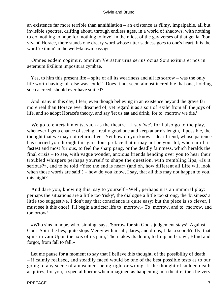an existence far more terrible than annihilation – an existence as filmy, impalpable, all but invisible spectres, drifting about, through endless ages, in a world of shadows, with nothing to do, nothing to hope for, nothing to love! In the midst of the gay verses of that genial 'bon vivant' Horace, there stands one dreary word whose utter sadness goes to one's heart. It is the word 'exilium' in the well−known passage

 Omnes eodem cogimur, omnium Versatur urna serius ocius Sors exitura et nos in aeternum Exilium impositura cymbae.

 Yes, to him this present life – spite of all its weariness and all its sorrow – was the only life worth having: all else was 'exile'! Does it not seem almost incredible that one, holding such a creed, should ever have smiled?

 And many in this day, I fear, even though believing in an existence beyond the grave far more real than Horace ever dreamed of, yet regard it as a sort of 'exile' from all the joys of life, and so adopt Horace's theory, and say 'let us eat and drink, for to−morrow we die.'

We go to entertainments, such as the theatre  $-$  I say 'we', for I also go to the play, whenever I get a chance of seeing a really good one and keep at arm's length, if possible, the thought that we may not return alive. Yet how do you know – dear friend, whose patience has carried you through this garrulous preface that it may not be your lot, when mirth is fastest and most furious, to feel the sharp pang, or the deadly faintness, which heralds the final crisis – to see, with vague wonder, anxious friends bending over you to hear their troubled whispers perhaps yourself to shape the question, with trembling lips, «Is it serious?», and to be told «Yes: the end is near» (and oh, how different all Life will look when those words are said!) – how do you know, I say, that all this may not happen to you, this night?

 And dare you, knowing this, say to yourself «Well, perhaps it is an immoral play: perhaps the situations are a little too 'risky', the dialogue a little too strong, the 'business' a little too suggestive. I don't say that conscience is quite easy: but the piece is so clever, I must see it this once! I'll begin a stricter life to−morrow.» To−morrow, and to−morrow, and tomorrow!

 «Who sins in hope, who, sinning, says, 'Sorrow for sin God's judgement stays!' Against God's Spirit he lies; quite stops Mercy with insult; dares, and drops, Like a scorch'd fly, that spins in vain Upon the axis of its pain, Then takes its doom, to limp and crawl, Blind and forgot, from fall to fall.»

 Let me pause for a moment to say that I believe this thought, of the possibility of death – if calmly realised, and steadily faced would be one of the best possible tests as to our going to any scene of amusement being right or wrong. If the thought of sudden death acquires, for you, a special horror when imagined as happening in a theatre, then be very

#### PREFACE. 7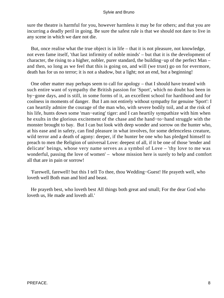sure the theatre is harmful for you, however harmless it may be for others; and that you are incurring a deadly peril in going. Be sure the safest rule is that we should not dare to live in any scene in which we dare not die.

 But, once realise what the true object is in life – that it is not pleasure, not knowledge, not even fame itself, 'that last infirmity of noble minds' – but that it is the development of character, the rising to a higher, nobler, purer standard, the building−up of the perfect Man – and then, so long as we feel that this is going on, and will (we trust) go on for evermore, death has for us no terror; it is not a shadow, but a light; not an end, but a beginning!

 One other matter may perhaps seem to call for apology – that I should have treated with such entire want of sympathy the British passion for 'Sport', which no doubt has been in by−gone days, and is still, in some forms of it, an excellent school for hardihood and for coolness in moments of danger. But I am not entirely without sympathy for genuine 'Sport': I can heartily admire the courage of the man who, with severe bodily toil, and at the risk of his life, hunts down some 'man−eating' tiger: and I can heartily sympathize with him when he exults in the glorious excitement of the chase and the hand−to−hand struggle with the monster brought to bay. But I can but look with deep wonder and sorrow on the hunter who, at his ease and in safety, can find pleasure in what involves, for some defenceless creature, wild terror and a death of agony: deeper, if the hunter be one who has pledged himself to preach to men the Religion of universal Love: deepest of all, if it be one of those 'tender and delicate' beings, whose very name serves as a symbol of Love – 'thy love to me was wonderful, passing the love of women' – whose mission here is surely to help and comfort all that are in pain or sorrow!

 'Farewell, farewell! but this I tell To thee, thou Wedding−Guest! He prayeth well, who loveth well Both man and bird and beast.

 He prayeth best, who loveth best All things both great and small; For the dear God who loveth us, He made and loveth all.'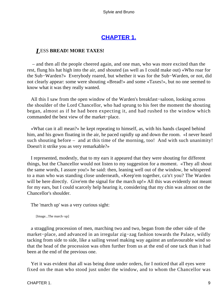# **[CHAPTER 1.](#page-177-0)**

### *L*ESS **BREAD! MORE TAXES!**

 – and then all the people cheered again, and one man, who was more excited than the rest, flung his hat high into the air, and shouted (as well as I could make out) «Who roar for the Sub−Warden?» Everybody roared, but whether it was for the Sub−Warden, or not, did not clearly appear: some were shouting «Bread!» and some «Taxes!», but no one seemed to know what it was they really wanted.

 All this I saw from the open window of the Warden's breakfast−saloon, looking across the shoulder of the Lord Chancellor, who had sprung to his feet the moment the shouting began, almost as if he had been expecting it, and had rushed to the window which commanded the best view of the market−place.

 «What can it all mean?» he kept repeating to himself, as, with his hands clasped behind him, and his gown floating in the air, he paced rapidly up and down the room. «I never heard such shouting before – and at this time of the morning, too! And with such unanimity! Doesn't it strike you as very remarkable?»

 I represented, modestly, that to my ears it appeared that they were shouting for different things, but the Chancellor would not listen to my suggestion for a moment. «They all shout the same words, I assure you!» he said: then, leaning well out of the window, he whispered to a man who was standing close underneath, «Keep'em together, ca'n't you? The Warden will be here directly. Give'em the signal for the march up!» All this was evidently not meant for my ears, but I could scarcely help hearing it, considering that my chin was almost on the Chancellor's shoulder.

The 'march up' was a very curious sight:

[Image...The march−up]

 a straggling procession of men, marching two and two, began from the other side of the market−place, and advanced in an irregular zig−zag fashion towards the Palace, wildly tacking from side to side, like a sailing vessel making way against an unfavourable wind so that the head of the procession was often further from us at the end of one tack than it had been at the end of the previous one.

 Yet it was evident that all was being done under orders, for I noticed that all eyes were fixed on the man who stood just under the window, and to whom the Chancellor was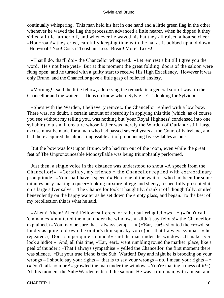continually whispering. This man held his hat in one hand and a little green flag in the other: whenever he waved the flag the procession advanced a little nearer, when he dipped it they sidled a little farther off, and whenever he waved his hat they all raised a hoarse cheer. «Hoo−roah!» they cried, carefully keeping time with the hat as it bobbed up and down. «Hoo−roah! Noo! Consti! Tooshun! Less! Bread! More! Taxes!»

 «That'll do, that'll do!» the Chancellor whispered. «Let 'em rest a bit till I give you the word. He's not here yet!» But at this moment the great folding−doors of the saloon were flung open, and he turned with a guilty start to receive His High Excellency. However it was only Bruno, and the Chancellor gave a little gasp of relieved anxiety.

 «Morning!» said the little fellow, addressing the remark, in a general sort of way, to the Chancellor and the waiters. «Doos oo know where Sylvie is? I's looking for Sylvie!»

 «She's with the Warden, I believe, y'reince!» the Chancellor replied with a low bow. There was, no doubt, a certain amount of absurdity in applying this title (which, as of course you see without my telling you, was nothing but 'your Royal Highness' condensed into one syllable) to a small creature whose father was merely the Warden of Outland: still, large excuse must be made for a man who had passed several years at the Court of Fairyland, and had there acquired the almost impossible art of pronouncing five syllables as one.

 But the bow was lost upon Bruno, who had run out of the room, even while the great feat of The Unpronounceable Monosyllable was being triumphantly performed.

 Just then, a single voice in the distance was understood to shout «A speech from the Chancellor!» «Certainly, my friends!» the Chancellor replied with extraordinary promptitude. «You shall have a speech!» Here one of the waiters, who had been for some minutes busy making a queer−looking mixture of egg and sherry, respectfully presented it on a large silver salver. The Chancellor took it haughtily, drank it off thoughtfully, smiled benevolently on the happy waiter as he set down the empty glass, and began. To the best of my recollection this is what he said.

 «Ahem! Ahem! Ahem! Fellow−sufferers, or rather suffering fellows – » («Don't call 'em names!» muttered the man under the window. «I didn't say felons!» the Chancellor explained.) «You may be sure that I always sympa  $-\infty$  («'Ear, 'ear!» shouted the crowd, so loudly as quite to drown the orator's thin squeaky voice)  $\alpha$  – that I always sympa – » he repeated. («Don't simper quite so much!» said the man under the window. «It makes yer look a hidiot!» And, all this time, «'Ear, 'ear!» went rumbling round the market−place, like a peal of thunder.) «That I always sympathise!» yelled the Chancellor, the first moment there was silence. «But your true friend is the Sub−Warden! Day and night he is brooding on your wrongs – I should say your rights – that is to say your wrongs – no, I mean your rights –  $\gg$ («Don't talk no more!» growled the man under the window. «You're making a mess of it!») At this moment the Sub−Warden entered the saloon. He was a thin man, with a mean and

CHAPTER 1. 10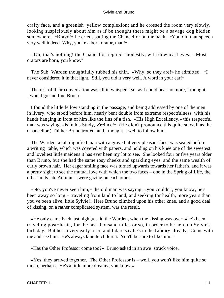crafty face, and a greenish−yellow complexion; and he crossed the room very slowly, looking suspiciously about him as if be thought there might be a savage dog hidden somewhere. «Bravo!» he cried, patting the Chancellor on the back. «You did that speech very well indeed. Why, you're a born orator, man!»

 «Oh, that's nothing! the Chancellor replied, modestly, with downcast eyes. »Most orators are born, you know."

 The Sub−Warden thoughtfully rubbed his chin. «Why, so they are!» he admitted. «I never considered it in that light. Still, you did it very well. A word in your ear!»

 The rest of their conversation was all in whispers: so, as I could hear no more, I thought I would go and find Bruno.

 I found the little fellow standing in the passage, and being addressed by one of the men in livery, who stood before him, nearly bent double from extreme respectfulness, with his hands hanging in front of him like the fins of a fish. «His High Excellency,» this respectful man was saying, «is in his Study, y'reince!» (He didn't pronounce this quite so well as the Chancellor.) Thither Bruno trotted, and I thought it well to follow him.

 The Warden, a tall dignified man with a grave but very pleasant face, was seated before a writing−table, which was covered with papers, and holding on his knee one of the sweetest and loveliest little maidens it has ever been my lot to see. She looked four or five years older than Bruno, but she had the same rosy cheeks and sparkling eyes, and the same wealth of curly brown hair. Her eager smiling face was turned upwards towards her father's, and it was a pretty sight to see the mutual love with which the two faces – one in the Spring of Life, the other in its late Autumn – were gazing on each other.

 «No, you've never seen him,» the old man was saying: «you couldn't, you know, he's been away so long – traveling from land to land, and seeking for health, more years than you've been alive, little Sylvie!» Here Bruno climbed upon his other knee, and a good deal of kissing, on a rather complicated system, was the result.

 «He only came back last night,» said the Warden, when the kissing was over: «he's been traveling post−haste, for the last thousand miles or so, in order to be here on Sylvie's birthday. But he's a very early riser, and I dare say he's in the Library already. Come with me and see him. He's always kind to children. You'll be sure to like him.»

«Has the Other Professor come too?» Bruno asked in an awe−struck voice.

 «Yes, they arrived together. The Other Professor is – well, you won't like him quite so much, perhaps. He's a little more dreamy, you know.»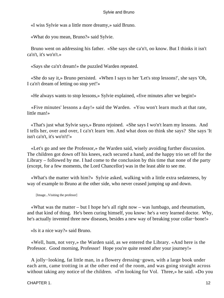«I wiss Sylvie was a little more dreamy,» said Bruno.

«What do you mean, Bruno?» said Sylvie.

 Bruno went on addressing his father. «She says she ca'n't, oo know. But I thinks it isn't ca'n't, it's wo'n't.»

«Says she ca'n't dream!» the puzzled Warden repeated.

 «She do say it,» Bruno persisted. «When I says to her 'Let's stop lessons!', she says 'Oh, I ca'n't dream of letting oo stop yet!'»

«He always wants to stop lessons,» Sylvie explained, «five minutes after we begin!»

 «Five minutes' lessons a day!» said the Warden. «You won't learn much at that rate, little man!»

 «That's just what Sylvie says,» Bruno rejoined. «She says I wo'n't learn my lessons. And I tells her, over and over, I ca'n't learn 'em. And what doos oo think she says? She says 'It isn't ca'n't, it's wo'n't!'»

 «Let's go and see the Professor,» the Warden said, wisely avoiding further discussion. The children got down off his knees, each secured a hand, and the happy trio set off for the Library – followed by me. I had come to the conclusion by this time that none of the party (except, for a few moments, the Lord Chancellor) was in the least able to see me.

 «What's the matter with him?» Sylvie asked, walking with a little extra sedateness, by way of example to Bruno at the other side, who never ceased jumping up and down.

[Image...Visiting the profesor]

 «What was the matter – but I hope he's all right now – was lumbago, and rheumatism, and that kind of thing. He's been curing himself, you know: he's a very learned doctor. Why, he's actually invented three new diseases, besides a new way of breaking your collar-bone!»

«Is it a nice way?» said Bruno.

 «Well, hum, not very,» the Warden said, as we entered the Library. «And here is the Professor. Good morning, Professor! Hope you're quite rested after your journey!»

 A jolly−looking, fat little man, in a flowery dressing−gown, with a large book under each arm, came trotting in at the other end of the room, and was going straight across without taking any notice of the children. «I'm looking for Vol. Three,» he said. «Do you

CHAPTER 1. 12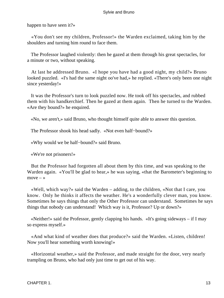happen to have seen it?»

 «You don't see my children, Professor!» the Warden exclaimed, taking him by the shoulders and turning him round to face them.

 The Professor laughed violently: then he gazed at them through his great spectacles, for a minute or two, without speaking.

 At last he addressed Bruno. «I hope you have had a good night, my child?» Bruno looked puzzled. «I's had the same night oo've had,» he replied. «There's only been one night since yesterday!»

 It was the Professor's turn to look puzzled now. He took off his spectacles, and rubbed them with his handkerchief. Then he gazed at them again. Then he turned to the Warden. «Are they bound?» he enquired.

«No, we aren't,» said Bruno, who thought himself quite able to answer this question.

The Professor shook his head sadly. «Not even half−bound?»

«Why would we be half−bound?» said Bruno.

«We're not prisoners!»

 But the Professor had forgotten all about them by this time, and was speaking to the Warden again. «You'll be glad to hear,» he was saying, «that the Barometer's beginning to  $move - *»*$ 

 «Well, which way?» said the Warden – adding, to the children, «Not that I care, you know. Only he thinks it affects the weather. He's a wonderfully clever man, you know. Sometimes he says things that only the Other Professor can understand. Sometimes he says things that nobody can understand! Which way is it, Professor? Up or down?»

 «Neither!» said the Professor, gently clapping his hands. «It's going sideways – if I may so express myself.»

 «And what kind of weather does that produce?» said the Warden. «Listen, children! Now you'll hear something worth knowing!»

 «Horizontal weather,» said the Professor, and made straight for the door, very nearly trampling on Bruno, who had only just time to get out of his way.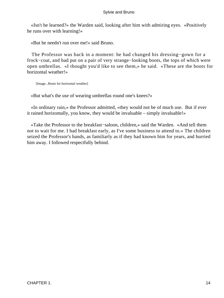«Isn't he learned?» the Warden said, looking after him with admiring eyes. «Positively he runs over with learning!»

«But he needn't run over me!» said Bruno.

 The Professor was back in a moment: he had changed his dressing−gown for a frock−coat, and had put on a pair of very strange−looking boots, the tops of which were open umbrellas. «I thought you'd like to see them,» he said. «These are the boots for horizontal weather!»

[Image...Boots for horizontal weather]

«But what's the use of wearing umbrellas round one's knees?»

 «In ordinary rain,» the Professor admitted, «they would not be of much use. But if ever it rained horizontally, you know, they would be invaluable – simply invaluable!»

 «Take the Professor to the breakfast−saloon, children,» said the Warden. «And tell them not to wait for me. I had breakfast early, as I've some business to attend to.» The children seized the Professor's hands, as familiarly as if they had known him for years, and hurried him away. I followed respectfully behind.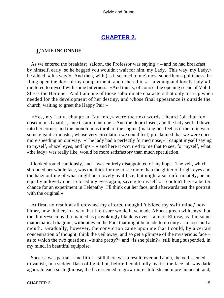# **[CHAPTER 2.](#page-177-0)**

### *L*'AMIE **INCONNUE.**

 As we entered the breakfast−saloon, the Professor was saying « – and he had breakfast by himself, early: so he begged you wouldn't wait for him, my Lady. This way, my Lady,» he added, «this way!» And then, with (as it seemed to me) most superfluous politeness, he flung open the door of my compartment, and ushered in  $\alpha - a$  young and lovely lady!» I muttered to myself with some bitterness. «And this is, of course, the opening scene of Vol. I. She is the Heroine. And I am one of those subordinate characters that only turn up when needed for the development of her destiny, and whose final appearance is outside the church, waiting to greet the Happy Pair!»

 «Yes, my Lady, change at Fayfield,» were the next words I heard (oh that too obsequious Guard!), «next station but one.» And the door closed, and the lady settled down into her corner, and the monotonous throb of the engine (making one feel as if the train were some gigantic monster, whose very circulation we could feel) proclaimed that we were once more speeding on our way. «The lady had a perfectly formed nose,» I caught myself saying to myself, «hazel eyes, and lips – » and here it occurred to me that to see, for myself, what «the lady» was really like, would be more satisfactory than much speculation.

 I looked round cautiously, and – was entirely disappointed of my hope. The veil, which shrouded her whole face, was too thick for me to see more than the glitter of bright eyes and the hazy outline of what might be a lovely oval face, but might also, unfortunately, be an equally unlovely one. I closed my eyes again, saying to myself « – couldn't have a better chance for an experiment in Telepathy! I'll think out her face, and afterwards test the portrait with the original.»

 At first, no result at all crowned my efforts, though I 'divided my swift mind,' now hither, now thither, in a way that I felt sure would have made AEneas green with envy: but the dimly−seen oval remained as provokingly blank as ever – a mere Ellipse, as if in some mathematical diagram, without even the Foci that might be made to do duty as a nose and a mouth. Gradually, however, the conviction came upon me that I could, by a certain concentration of thought, think the veil away, and so get a glimpse of the mysterious face – as to which the two questions, «is she pretty?» and «is she plain?», still hung suspended, in my mind, in beautiful equipoise.

 Success was partial – and fitful – still there was a result: ever and anon, the veil seemed to vanish, in a sudden flash of light: but, before I could fully realise the face, all was dark again. In each such glimpse, the face seemed to grow more childish and more innocent: and,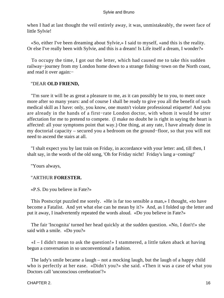when I had at last thought the veil entirely away, it was, unmistakeably, the sweet face of little Sylvie!

 «So, either I've been dreaming about Sylvie,» I said to myself, «and this is the reality. Or else I've really been with Sylvie, and this is a dream! Is Life itself a dream, I wonder?»

 To occupy the time, I got out the letter, which had caused me to take this sudden railway−journey from my London home down to a strange fishing−town on the North coast, and read it over again:−

#### "DEAR **OLD FRIEND,**

 "I'm sure it will be as great a pleasure to me, as it can possibly be to you, to meet once more after so many years: and of course I shall be ready to give you all the benefit of such medical skill as I have: only, you know, one mustn't violate professional etiquette! And you are already in the hands of a first−rate London doctor, with whom it would be utter affectation for me to pretend to compete. (I make no doubt he is right in saying the heart is affected: all your symptoms point that way.) One thing, at any rate, I have already done in my doctorial capacity – secured you a bedroom on the ground−floor, so that you will not need to ascend the stairs at all.

 "I shalt expect you by last train on Friday, in accordance with your letter: and, till then, I shalt say, in the words of the old song, 'Oh for Friday nicht! Friday's lang a−coming!'

"Yours always,

### "ARTHUR **FORESTER.**

«P.S. Do you believe in Fate?»

 This Postscript puzzled me sorely. «He is far too sensible a man,» I thought, «to have become a Fatalist. And yet what else can he mean by it?» And, as I folded up the letter and put it away, I inadvertently repeated the words aloud. «Do you believe in Fate?»

 The fair 'Incognita' turned her head quickly at the sudden question. «No, I don't!» she said with a smile. «Do you?»

 «I – I didn't mean to ask the question!» I stammered, a little taken aback at having begun a conversation in so unconventional a fashion.

 The lady's smile became a laugh – not a mocking laugh, but the laugh of a happy child who is perfectly at her ease. «Didn't you?» she said. «Then it was a case of what you Doctors call 'unconscious cerebration'?»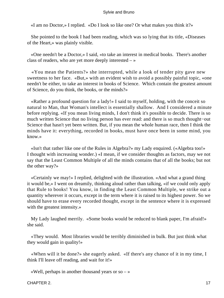«I am no Doctor,» I replied. «Do I look so like one? Or what makes you think it?»

 She pointed to the book I had been reading, which was so lying that its title, «Diseases of the Heart,» was plainly visible.

 «One needn't be a Doctor,» I said, «to take an interest in medical books. There's another class of readers, who are yet more deeply interested – »

 «You mean the Patients?» she interrupted, while a look of tender pity gave new sweetness to her face. «But,» with an evident wish to avoid a possibly painful topic, «one needn't be either, to take an interest in books of Science. Which contain the greatest amount of Science, do you think, the books, or the minds?»

 «Rather a profound question for a lady!» I said to myself, holding, with the conceit so natural to Man, that Woman's intellect is essentially shallow. And I considered a minute before replying. «If you mean living minds, I don't think it's possible to decide. There is so much written Science that no living person has ever read: and there is so much thought−out Science that hasn't yet been written. But, if you mean the whole human race, then I think the minds have it: everything, recorded in books, must have once been in some mind, you know.»

 «Isn't that rather like one of the Rules in Algebra?» my Lady enquired. («Algebra too!» I thought with increasing wonder.) «I mean, if we consider thoughts as factors, may we not say that the Least Common Multiple of all the minds contains that of all the books; but not the other way?»

 «Certainly we may!» I replied, delighted with the illustration. «And what a grand thing it would be,» I went on dreamily, thinking aloud rather than talking, «if we could only apply that Rule to books! You know, in finding the Least Common Multiple, we strike out a quantity wherever it occurs, except in the term where it is raised to its highest power. So we should have to erase every recorded thought, except in the sentence where it is expressed with the greatest intensity.»

 My Lady laughed merrily. «Some books would be reduced to blank paper, I'm afraid!» she said.

 «They would. Most libraries would be terribly diminished in bulk. But just think what they would gain in quality!»

 «When will it be done?» she eagerly asked. «If there's any chance of it in my time, I think I'll leave off reading, and wait for it!»

«Well, perhaps in another thousand years or so  $-\infty$ 

CHAPTER 2. 17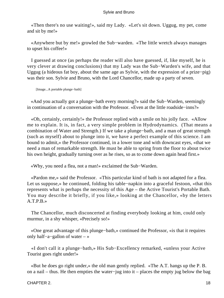«Then there's no use waiting!», said my Lady. «Let's sit down. Uggug, my pet, come and sit by me!»

 «Anywhere but by me!» growled the Sub−warden. «The little wretch always manages to upset his coffee!»

 I guessed at once (as perhaps the reader will also have guessed, if, like myself, he is very clever at drawing conclusions) that my Lady was the Sub−Warden's wife, and that Uggug (a hideous fat boy, about the same age as Sylvie, with the expression of a prize−pig) was their son. Sylvie and Bruno, with the Lord Chancellor, made up a party of seven.

[Image...A portable plunge−bath]

 «And you actually got a plunge−bath every morning?» said the Sub−Warden, seemingly in continuation of a conversation with the Professor. «Even at the little roadside−inns?»

 «Oh, certainly, certainly!» the Professor replied with a smile on his jolly face. «Allow me to explain. It is, in fact, a very simple problem in Hydrodynamics. (That means a combination of Water and Strength.) If we take a plunge−bath, and a man of great strength (such as myself) about to plunge into it, we have a perfect example of this science. I am bound to admit,» the Professor continued, in a lower tone and with downcast eyes, «that we need a man of remarkable strength. He must be able to spring from the floor to about twice his own height, gradually turning over as he rises, so as to come down again head first.»

«Why, you need a flea, not a man!» exclaimed the Sub−Warden.

 «Pardon me,» said the Professor. «This particular kind of bath is not adapted for a flea. Let us suppose,» he continued, folding his table−napkin into a graceful festoon, «that this represents what is perhaps the necessity of this Age – the Active Tourist's Portable Bath. You may describe it briefly, if you like,» looking at the Chancellor, «by the letters A.T.P.B.»

 The Chancellor, much disconcerted at finding everybody looking at him, could only murmur, in a shy whisper, «Precisely so!»

 «One great advantage of this plunge−bath,» continued the Professor, «is that it requires only half−a−gallon of water – »

 «I don't call it a plunge−bath,» His Sub−Excellency remarked, «unless your Active Tourist goes right under!»

 «But he does go right under,» the old man gently replied. «The A.T. hangs up the P. B. on a nail – thus. He then empties the water−jug into it – places the empty jug below the bag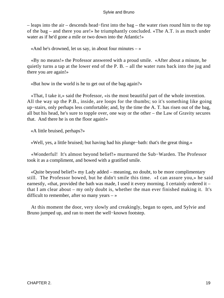– leaps into the air – descends head−first into the bag – the water rises round him to the top of the bag – and there you are!» he triumphantly concluded. «The A.T. is as much under water as if he'd gone a mile or two down into the Atlantic!»

«And he's drowned, let us say, in about four minutes  $-\infty$ 

 «By no means!» the Professor answered with a proud smile. «After about a minute, he quietly turns a tap at the lower end of the P. B. – all the water runs back into the jug and there you are again!»

«But how in the world is he to get out of the bag again?»

 «That, I take it,» said the Professor, «is the most beautiful part of the whole invention. All the way up the P.B., inside, are loops for the thumbs; so it's something like going up−stairs, only perhaps less comfortable; and, by the time the A. T. has risen out of the bag, all but his head, he's sure to topple over, one way or the other – the Law of Gravity secures that. And there he is on the floor again!»

«A little bruised, perhaps?»

«Well, yes, a little bruised; but having had his plunge−bath: that's the great thing.»

 «Wonderful! It's almost beyond belief!» murmured the Sub−Warden. The Professor took it as a compliment, and bowed with a gratified smile.

 «Quite beyond belief!» my Lady added – meaning, no doubt, to be more complimentary still. The Professor bowed, but he didn't smile this time. «I can assure you,» he said earnestly, «that, provided the bath was made, I used it every morning. I certainly ordered it – that I am clear about – my only doubt is, whether the man ever finished making it. It's difficult to remember, after so many years  $-\infty$ 

 At this moment the door, very slowly and creakingly, began to open, and Sylvie and Bruno jumped up, and ran to meet the well−known footstep.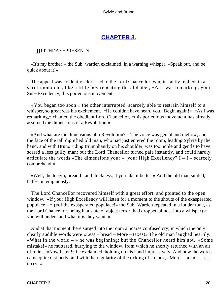# **[CHAPTER 3.](#page-177-0)**

## *B*IRTHDAY−PRESENTS.

 «It's my brother!» the Sub−warden exclaimed, in a warning whisper. «Speak out, and be quick about it!»

 The appeal was evidently addressed to the Lord Chancellor, who instantly replied, in a shrill monotone, like a little boy repeating the alphabet, «As I was remarking, your Sub−Excellency, this portentous movement – »

 «You began too soon!» the other interrupted, scarcely able to restrain himself to a whisper, so great was his excitement. «He couldn't have heard you. Begin again!» «As I was remarking,» chanted the obedient Lord Chancellor, «this portentous movement has already assumed the dimensions of a Revolution!»

 «And what are the dimensions of a Revolution?» The voice was genial and mellow, and the face of the tall dignified old man, who had just entered the room, leading Sylvie by the hand, and with Bruno riding triumphantly on his shoulder, was too noble and gentle to have scared a less guilty man: but the Lord Chancellor turned pale instantly, and could hardly articulate the words «The dimensions your – your High Excellency?  $I - I -$  scarcely comprehend!»

 «Well, the length, breadth, and thickness, if you like it better!» And the old man smiled, half−contemptuously.

 The Lord Chancellor recovered himself with a great effort, and pointed to the open window. «If your High Excellency will listen for a moment to the shouts of the exasperated populace – » («of the exasperated populace!» the Sub−Warden repeated in a louder tone, as the Lord Chancellor, being in a state of abject terror, had dropped almost into a whisper) « – you will understand what it is they want. »

 And at that moment there surged into the room a hoarse confused cry, in which the only clearly audible words were «Less – bread – More – taxes!» The old man laughed heartily. «What in the world  $-$  » he was beginning: but the Chancellor heard him not. «Some mistake!» he muttered, hurrying to the window, from which he shortly returned with an air of relief. «Now listen!» he exclaimed, holding up his hand impressively. And now the words came quite distinctly, and with the regularity of the ticking of a clock, «More – bread – Less taxes!'»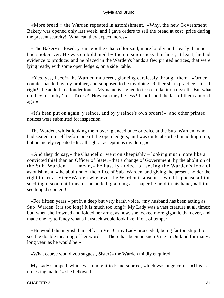«More bread!» the Warden repeated in astonishment. «Why, the new Government Bakery was opened only last week, and I gave orders to sell the bread at cost−price during the present scarcity! What can they expect more?»

 «The Bakery's closed, y'reince!» the Chancellor said, more loudly and clearly than he had spoken yet. He was emboldened by the consciousness that here, at least, he had evidence to produce: and he placed in the Warden's hands a few printed notices, that were lying ready, with some open ledgers, on a side−table.

 «Yes, yes, I see!» the Warden muttered, glancing carelessly through them. «Order countermanded by my brother, and supposed to be my doing! Rather sharp practice! It's all right!» he added in a louder tone. «My name is signed to it: so I take it on myself. But what do they mean by 'Less Taxes'? How can they be less? I abolished the last of them a month ago!»

 «It's been put on again, y'reince, and by y'reince's own orders!», and other printed notices were submitted for inspection.

 The Warden, whilst looking them over, glanced once or twice at the Sub−Warden, who had seated himself before one of the open ledgers, and was quite absorbed in adding it up; but he merely repeated «It's all right. I accept it as my doing.»

 «And they do say,» the Chancellor went on sheepishly – looking much more like a convicted thief than an Officer of State, «that a change of Government, by the abolition of the Sub−Warden – −I mean,» he hastily added, on seeing the Warden's look of astonishment, «the abolition of the office of Sub−Warden, and giving the present holder the right to act as Vice−Warden whenever the Warden is absent – would appease all this seedling discontent I mean,» he added, glancing at a paper he held in his hand, «all this seething discontent!»

 «For fifteen years,» put in a deep but very harsh voice, «my husband has been acting as Sub−Warden. It is too long! It is much too long!» My Lady was a vast creature at all times: but, when she frowned and folded her arms, as now, she looked more gigantic than ever, and made one try to fancy what a haystack would look like, if out of temper.

 «He would distinguish himself as a Vice!» my Lady proceeded, being far too stupid to see the double meaning of her words. «There has been no such Vice in Outland for many a long year, as he would be!»

«What course would you suggest, Sister?» the Warden mildly enquired.

 My Lady stamped, which was undignified: and snorted, which was ungraceful. «This is no jesting matter!» she bellowed.

CHAPTER 3. 21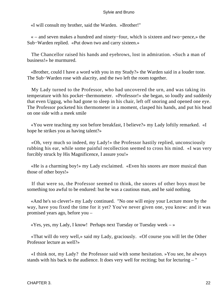«I will consult my brother, said the Warden. »Brother!"

 « – and seven makes a hundred and ninety−four, which is sixteen and two−pence,» the Sub−Warden replied. «Put down two and carry sixteen.»

 The Chancellor raised his hands and eyebrows, lost in admiration. «Such a man of business!» he murmured.

 «Brother, could I have a word with you in my Study?» the Warden said in a louder tone. The Sub−Warden rose with alacrity, and the two left the room together.

 My Lady turned to the Professor, who had uncovered the urn, and was taking its temperature with his pocket−thermometer. «Professor!» she began, so loudly and suddenly that even Uggug, who had gone to sleep in his chair, left off snoring and opened one eye. The Professor pocketed his thermometer in a moment, clasped his hands, and put his head on one side with a meek smile

 «You were teaching my son before breakfast, I believe?» my Lady loftily remarked. «I hope he strikes you as having talent?»

 «Oh, very much so indeed, my Lady!» the Professor hastily replied, unconsciously rubbing his ear, while some painful recollection seemed to cross his mind. «I was very forcibly struck by His Magnificence, I assure you!»

 «He is a charming boy!» my Lady exclaimed. «Even his snores are more musical than those of other boys!»

 If that were so, the Professor seemed to think, the snores of other boys must be something too awful to be endured: but he was a cautious man, and he said nothing.

 «And he's so clever!» my Lady continued. "No one will enjoy your Lecture more by the way, have you fixed the time for it yet? You've never given one, you know: and it was promised years ago, before you –

 $\langle Y$ es, yes, my Lady, I know! Perhaps next Tuesday or Tuesday week – »

 «That will do very well,» said my Lady, graciously. «Of course you will let the Other Professor lecture as well?»

 «I think not, my Lady? the Professor said with some hesitation. »You see, he always stands with his back to the audience. It does very well for reciting; but for lecturing – "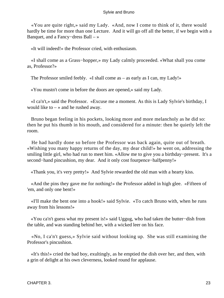«You are quite right,» said my Lady. «And, now I come to think of it, there would hardly be time for more than one Lecture. And it will go off all the better, if we begin with a Banquet, and a Fancy−dress Ball – »

«It will indeed!» the Professor cried, with enthusiasm.

 «I shall come as a Grass−hopper,» my Lady calmly proceeded. «What shall you come as, Professor?»

The Professor smiled feebly. «I shall come as – as early as I can, my Lady!»

«You mustn't come in before the doors are opened,» said my Lady.

 «I ca'n't,» said the Professor. «Excuse me a moment. As this is Lady Sylvie's birthday, I would like to  $-\infty$  and he rushed away.

 Bruno began feeling in his pockets, looking more and more melancholy as he did so: then he put his thumb in his mouth, and considered for a minute: then he quietly left the room.

 He had hardly done so before the Professor was back again, quite out of breath. «Wishing you many happy returns of the day, my dear child!» he went on, addressing the smiling little girl, who had run to meet him. «Allow me to give you a birthday−present. It's a second–hand pincushion, my dear. And it only cost fourpence–halfpenny!»

«Thank you, it's very pretty!» And Sylvie rewarded the old man with a hearty kiss.

 «And the pins they gave me for nothing!» the Professor added in high glee. «Fifteen of 'em, and only one bent!»

 «I'll make the bent one into a hook!» said Sylvie. «To catch Bruno with, when he runs away from his lessons!»

 «You ca'n't guess what my present is!» said Uggug, who had taken the butter−dish from the table, and was standing behind her, with a wicked leer on his face.

 «No, I ca'n't guess,» Sylvie said without looking up. She was still examining the Professor's pincushion.

 «It's this!» cried the bad boy, exultingly, as he emptied the dish over her, and then, with a grin of delight at his own cleverness, looked round for applause.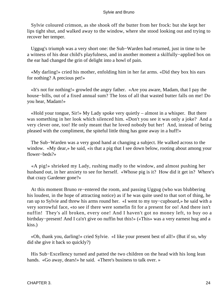Sylvie coloured crimson, as she shook off the butter from her frock: but she kept her lips tight shut, and walked away to the window, where she stood looking out and trying to recover her temper.

 Uggug's triumph was a very short one: the Sub−Warden had returned, just in time to be a witness of his dear child's playfulness, and in another moment a skilfully−applied box on the ear had changed the grin of delight into a howl of pain.

 «My darling!» cried his mother, enfolding him in her fat arms. «Did they box his ears for nothing? A precious pet!»

 «It's not for nothing!» growled the angry father. «Are you aware, Madam, that I pay the house−bills, out of a fixed annual sum? The loss of all that wasted butter falls on me! Do you hear, Madam!»

 «Hold your tongue, Sir!» My Lady spoke very quietly – almost in a whisper. But there was something in her look which silenced him. «Don't you see it was only a joke? And a very clever one, too! He only meant that he loved nobody but her! And, instead of being pleased with the compliment, the spiteful little thing has gone away in a huff!»

 The Sub−Warden was a very good hand at changing a subject. He walked across to the window. «My dear,» he said, «is that a pig that I see down below, rooting about among your flower−beds?»

 «A pig!» shrieked my Lady, rushing madly to the window, and almost pushing her husband out, in her anxiety to see for herself. «Whose pig is it? How did it get in? Where's that crazy Gardener gone?»

 At this moment Bruno re−entered the room, and passing Uggug (who was blubbering his loudest, in the hope of attracting notice) as if he was quite used to that sort of thing, he ran up to Sylvie and threw his arms round her. «I went to my toy−cupboard,» he said with a very sorrowful face, «to see if there were somefin fit for a present for oo! And there isn't nuffin! They's all broken, every one! And I haven't got no money left, to buy oo a birthday−present! And I ca'n't give oo nuffin but this!» («This» was a very earnest hug and a kiss.)

 «Oh, thank you, darling!» cried Sylvie. «I like your present best of all!» (But if so, why did she give it back so quickly?)

 His Sub−Excellency turned and patted the two children on the head with his long lean hands. «Go away, dears!» he said. «There's business to talk over. »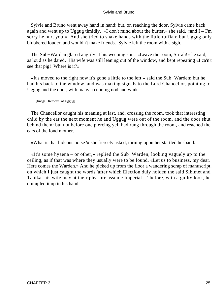Sylvie and Bruno went away hand in hand: but, on reaching the door, Sylvie came back again and went up to Uggug timidly. «I don't mind about the butter,» she said, «and I – I'm sorry he hurt you!» And she tried to shake hands with the little ruffian: but Uggug only blubbered louder, and wouldn't make friends. Sylvie left the room with a sigh.

 The Sub−Warden glared angrily at his weeping son. «Leave the room, Sirrah!» he said, as loud as he dared. His wife was still leaning out of the window, and kept repeating «I ca'n't see that pig! Where is it?»

 «It's moved to the right now it's gone a little to the left,» said the Sub−Warden: but he had his back to the window, and was making signals to the Lord Chancellor, pointing to Uggug and the door, with many a cunning nod and wink.

[Image...Removal of Uggug]

 The Chancellor caught his meaning at last, and, crossing the room, took that interesting child by the ear the next moment he and Uggug were out of the room, and the door shut behind them: but not before one piercing yell had rung through the room, and reached the ears of the fond mother.

«What is that hideous noise?» she fiercely asked, turning upon her startled husband.

 «It's some hyaena – or other,» replied the Sub−Warden, looking vaguely up to the ceiling, as if that was where they usually were to be found. «Let us to business, my dear. Here comes the Warden.» And he picked up from the floor a wandering scrap of manuscript, on which I just caught the words 'after which Election duly holden the said Sibimet and Tabikat his wife may at their pleasure assume Imperial – ' before, with a guilty look, he crumpled it up in his hand.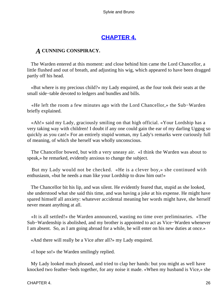# **[CHAPTER 4.](#page-177-0)**

### *A* **CUNNING CONSPIRACY.**

 The Warden entered at this moment: and close behind him came the Lord Chancellor, a little flushed and out of breath, and adjusting his wig, which appeared to have been dragged partly off his head.

 «But where is my precious child?» my Lady enquired, as the four took their seats at the small side−table devoted to ledgers and bundles and bills.

 «He left the room a few minutes ago with the Lord Chancellor,» the Sub−Warden briefly explained.

 «Ah!» said my Lady, graciously smiling on that high official. «Your Lordship has a very taking way with children! I doubt if any one could gain the ear of my darling Uggug so quickly as you can!» For an entirely stupid woman, my Lady's remarks were curiously full of meaning, of which she herself was wholly unconscious.

 The Chancellor bowed, but with a very uneasy air. «I think the Warden was about to speak,» he remarked, evidently anxious to change the subject.

 But my Lady would not be checked. «He is a clever boy,» she continued with enthusiasm, «but he needs a man like your Lordship to draw him out!»

 The Chancellor bit his lip, and was silent. He evidently feared that, stupid as she looked, she understood what she said this time, and was having a joke at his expense. He might have spared himself all anxiety: whatever accidental meaning her words might have, she herself never meant anything at all.

 «It is all settled!» the Warden announced, wasting no time over preliminaries. «The Sub−Wardenship is abolished, and my brother is appointed to act as Vice−Warden whenever I am absent. So, as I am going abroad for a while, he will enter on his new duties at once.»

«And there will really be a Vice after all?» my Lady enquired.

«I hope so!» the Warden smilingly replied.

 My Lady looked much pleased, and tried to clap her hands: but you might as well have knocked two feather−beds together, for any noise it made. «When my husband is Vice,» she

CHAPTER 4. 26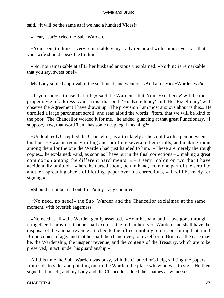said, «it will be the same as if we had a hundred Vices!»

«Hear, hear!» cried the Sub−Warden.

 «You seem to think it very remarkable,» my Lady remarked with some severity, «that your wife should speak the truth!»

 «No, not remarkable at all!» her husband anxiously explained. «Nothing is remarkable that you say, sweet one!»

My Lady smiled approval of the sentiment, and went on. «And am I Vice−Wardeness?»

 «If you choose to use that title,» said the Warden: «but 'Your Excellency' will be the proper style of address. And I trust that both 'His Excellency' and 'Her Excellency' will observe the Agreement I have drawn up. The provision I am most anxious about is this.» He unrolled a large parchment scroll, and read aloud the words «'item, that we will be kind to the poor.' The Chancellor worded it for me,» he added, glancing at that great Functionary. «I suppose, now, that word 'item' has some deep legal meaning?»

 «Undoubtedly!» replied the Chancellor, as articulately as he could with a pen between his lips. He was nervously rolling and unrolling several other scrolls, and making room among them for the one the Warden had just handed to him. «These are merely the rough copies,» he explained: «and, as soon as I have put in the final corrections – » making a great commotion among the different parchments, « – a semi−colon or two that I have accidentally omitted  $-\infty$  here he darted about, pen in hand, from one part of the scroll to another, spreading sheets of blotting−paper over his corrections, «all will be ready for signing.»

«Should it not be read out, first?» my Lady enquired.

 «No need, no need!» the Sub−Warden and the Chancellor exclaimed at the same moment, with feverish eagerness.

 «No need at all,» the Warden gently assented. «Your husband and I have gone through it together. It provides that he shall exercise the full authority of Warden, and shall have the disposal of the annual revenue attached to the office, until my return, or, failing that, until Bruno comes of age: and that he shall then hand over, to myself or to Bruno as the case may be, the Wardenship, the unspent revenue, and the contents of the Treasury, which are to be preserved, intact, under his guardianship.»

 All this time the Sub−Warden was busy, with the Chancellor's help, shifting the papers from side to side, and pointing out to the Warden the place whew he was to sign. He then signed it himself, and my Lady and the Chancellor added their names as witnesses.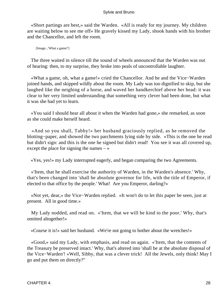«Short partings are best,» said the Warden. «All is ready for my journey. My children are waiting below to see me off» He gravely kissed my Lady, shook hands with his brother and the Chancellor, and left the room.

[Image...'What a game!']

 The three waited in silence till the sound of wheels announced that the Warden was out of hearing: then, to my surprise, they broke into peals of uncontrollable laughter.

 «What a game, oh, what a game!» cried the Chancellor. And he and the Vice−Warden joined hands, and skipped wildly about the room. My Lady was too dignified to skip, but she laughed like the neighing of a horse, and waved her handkerchief above her head: it was clear to her very limited understanding that something very clever had been done, but what it was she had yet to learn.

 «You said I should hear all about it when the Warden had gone,» she remarked, as soon as she could make herself heard.

 «And so you shall, Tabby!» her husband graciously replied, as he removed the blotting−paper, and showed the two parchments lying side by side. «This is the one he read but didn't sign: and this is the one he signed but didn't read! You see it was all covered up, except the place for signing the names  $-\infty$ 

«Yes, yes!» my Lady interrupted eagerly, and began comparing the two Agreements.

 «'Item, that he shall exercise the authority of Warden, in the Warden's absence.' Why, that's been changed into 'shall be absolute governor for life, with the title of Emperor, if elected to that office by the people.' What! Are you Emperor, darling?»

 «Not yet, dear,» the Vice−Warden replied. «It won't do to let this paper be seen, just at present. All in good time.»

 My Lady nodded, and read on. «'Item, that we will be kind to the poor.' Why, that's omitted altogether!»

«Course it is!» said her husband. «We're not going to bother about the wretches!»

 «Good,» said my Lady, with emphasis, and read on again. «'Item, that the contents of the Treasury be preserved intact.' Why, that's altered into 'shall be at the absolute disposal of the Vice−Warden'! »Well, Sibby, that was a clever trick! All the Jewels, only think! May I go and put them on directly?"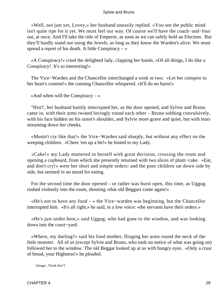«Well, not just yet, Lovey,» her husband uneasily replied. «You see the public mind isn't quite ripe for it yet. We must feel our way. Of course we'll have the coach−and−four out, at once. And I'll take the title of Emperor, as soon as we can safely hold an Election. But they'll hardly stand our using the Jewels, as long as they know the Warden's alive. We must spread a report of his death. A little Conspiracy  $-\infty$ 

 «A Conspiracy!» cried the delighted lady, clapping her hands. «Of all things, I do like a Conspiracy! It's so interesting!»

 The Vice−Warden and the Chancellor interchanged a wink or two. «Let her conspire to her heart's content!» the cunning Chancellor whispered. «It'll do no harm!»

«And when will the Conspiracy  $-\infty$ 

 "Hist!', her husband hastily interrupted her, as the door opened, and Sylvie and Bruno came in, with their arms twined lovingly round each other – Bruno sobbing convulsively, with his face hidden on his sister's shoulder, and Sylvie more grave and quiet, but with tears streaming down her cheeks.

 «Mustn't cry like that!» the Vice−Warden said sharply, but without any effect on the weeping children. «Cheer 'em up a bit!» he hinted to my Lady.

 «Cake!» my Lady muttered to herself with great decision, crossing the room and opening a cupboard, from which she presently returned with two slices of plum−cake. «Eat, and don't cry!» were her short and simple orders: and the poor children sat down side by side, but seemed in no mood for eating.

 For the second time the door opened – or rather was burst open, this time, as Uggug rushed violently into the room, shouting «that old Beggars come again!»

 «He's not to have any food – » the Vice−warden was beginning, but the Chancellor interrupted him. «It's all right,» he said, in a low voice: «the servants have their orders.»

 «He's just under here,» said Uggug, who had gone to the window, and was looking down into the court−yard.

 «Where, my darling?» said his fond mother, flinging her arms round the neck of the little monster. All of us (except Sylvie and Bruno, who took no notice of what was going on) followed her to the window. The old Beggar looked up at us with hungry eyes. «Only a crust of bread, your Highness!» he pleaded.

[Image...'Drink this!']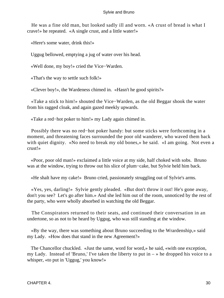He was a fine old man, but looked sadly ill and worn. «A crust of bread is what I crave!» he repeated. «A single crust, and a little water!»

«Here's some water, drink this!»

Uggug bellowed, emptying a jug of water over his head.

«Well done, my boy!» cried the Vice−Warden.

«That's the way to settle such folk!»

«Clever boy!», the Wardeness chimed in. «Hasn't he good spirits?»

 «Take a stick to him!» shouted the Vice−Warden, as the old Beggar shook the water from his ragged cloak, and again gazed meekly upwards.

«Take a red−hot poker to him!» my Lady again chimed in.

 Possibly there was no red−hot poker handy: but some sticks were forthcoming in a moment, and threatening faces surrounded the poor old wanderer, who waved them back with quiet dignity. «No need to break my old bones,» he said. «I am going. Not even a crust!»

 «Poor, poor old man!» exclaimed a little voice at my side, half choked with sobs. Bruno was at the window, trying to throw out his slice of plum−cake, but Sylvie held him back.

«He shalt have my cake!» Bruno cried, passionately struggling out of Sylvie's arms.

 «Yes, yes, darling!» Sylvie gently pleaded. «But don't throw it out! He's gone away, don't you see? Let's go after him.» And she led him out of the room, unnoticed by the rest of the party, who were wholly absorbed in watching the old Beggar.

 The Conspirators returned to their seats, and continued their conversation in an undertone, so as not to be heard by Uggug, who was still standing at the window.

 «By the way, there was something about Bruno succeeding to the Wrardenship,» said my Lady. «How does that stand in the new Agreement?»

 The Chancellor chuckled. «Just the same, word for word,» he said, «with one exception, my Lady. Instead of 'Bruno,' I've taken the liberty to put in  $-\infty$  he dropped his voice to a whisper, «to put in 'Uggug,' you know!»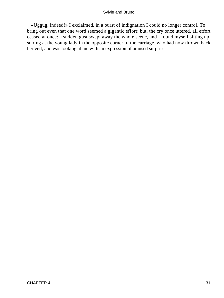«Uggug, indeed!» I exclaimed, in a burst of indignation I could no longer control. To bring out even that one word seemed a gigantic effort: but, the cry once uttered, all effort ceased at once: a sudden gust swept away the whole scene, and I found myself sitting up, staring at the young lady in the opposite corner of the carriage, who had now thrown back her veil, and was looking at me with an expression of amused surprise.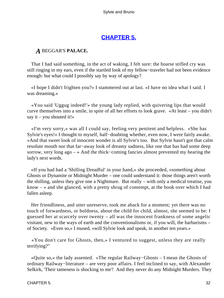# **[CHAPTER 5.](#page-177-0)**

### *A* BEGGAR'S **PALACE.**

 That I had said something, in the act of waking, I felt sure: the hoarse stifled cry was still ringing in my ears, even if the startled look of my fellow−traveler had not been evidence enough: but what could I possibly say by way of apology?

 «I hope I didn't frighten you?» I stammered out at last. «I have no idea what I said. I was dreaming.»

 «You said 'Uggug indeed!'» the young lady replied, with quivering lips that would curve themselves into a smile, in spite of all her efforts to look grave. «At least – you didn't say it – you shouted it!»

 «I'm very sorry,» was all I could say, feeling very penitent and helpless. «She has Sylvie's eyes!» I thought to myself, half−doubting whether, even now, I were fairly awake. «And that sweet look of innocent wonder is all Sylvie's too. But Sylvie hasn't got that calm resolute mouth nor that far−away look of dreamy sadness, like one that has had some deep sorrow, very long ago – » And the thick−coming fancies almost prevented my hearing the lady's next words.

 «If you had had a 'Shilling Dreadful' in your hand,» she proceeded, «something about Ghosts or Dynamite or Midnight Murder – one could understand it: those things aren't worth the shilling, unless they give one a Nightmare. But really – with only a medical treatise, you know  $-\infty$  and she glanced, with a pretty shrug of contempt, at the book over which I had fallen asleep.

 Her friendliness, and utter unreserve, took me aback for a moment; yet there was no touch of forwardness, or boldness, about the child for child, almost, she seemed to be: I guessed her at scarcely over twenty – all was the innocent frankness of some angelic visitant, new to the ways of earth and the conventionalisms or, if you will, the barbarisms – of Society. «Even so,» I mused, «will Sylvie look and speak, in another ten years.»

 «You don't care for Ghosts, then,» I ventured to suggest, unless they are really terrifying?"

 «Quite so,» the lady assented. «The regular Railway−Ghosts – I mean the Ghosts of ordinary Railway−literature – are very poor affairs. I feel inclined to say, with Alexander Selkirk, 'Their tameness is shocking to me'! And they never do any Midnight Murders. They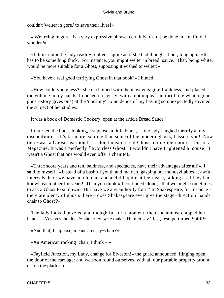couldn't 'welter in gore,' to save their lives!»

 «'Weltering in gore' is a very expressive phrase, certainly. Can it be done in any fluid, I wonder?»

 «I think not,» the lady readily replied – quite as if she had thought it out, long ago. «It has to be something thick. For instance, you might welter in bread−sauce. That, being white, would be more suitable for a Ghost, supposing it wished to welter!»

«You have a real good terrifying Ghost in that book?» I hinted.

 «How could you guess?» she exclaimed with the most engaging frankness, and placed the volume in my hands. I opened it eagerly, with a not unpleasant thrill like what a good ghost−story gives one) at the 'uncanny' coincidence of my having so unexpectedly divined the subject of her studies.

It was a book of Domestic Cookery, open at the article Bread Sauce.'

 I returned the book, looking, I suppose, a little blank, as the lady laughed merrily at my discomfiture. «It's far more exciting than some of the modern ghosts, I assure you! Now there was a Ghost last month – I don't mean a real Ghost in in Supernature – but in a Magazine. It was a perfectly flavourless Ghost. It wouldn't have frightened a mouse! It wasn't a Ghost that one would even offer a chair to!»

 «Three score years and ten, baldness, and spectacles, have their advantages after all!», I said to myself. «Instead of a bashful youth and maiden, gasping out monosyllables at awful intervals, here we have an old man and a child, quite at their ease, talking as if they had known each other for years! Then you think,» I continued aloud, «that we ought sometimes to ask a Ghost to sit down? But have we any authority for it? In Shakespeare, for instance – there are plenty of ghosts there – does Shakespeare ever give the stage−direction 'hands chair to Ghost'?»

 The lady looked puzzled and thoughtful for a moment: then she almost clapped her hands. «Yes, yes, he does!» she cried. «He makes Hamlet say 'Rest, rest, perturbed Spirit!»'

«And that, I suppose, means an easy−chair?»

«An American rocking−chair, I think – »

 «Fayfield Junction, my Lady, change for Elveston!» the guard announced, flinging open the door of the carriage: and we soon found ourselves, with all our portable property around us, on the platform.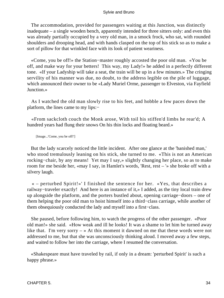The accommodation, provided for passengers waiting at this Junction, was distinctly inadequate – a single wooden bench, apparently intended for three sitters only: and even this was already partially occupied by a very old man, in a smock frock, who sat, with rounded shoulders and drooping head, and with hands clasped on the top of his stick so as to make a sort of pillow for that wrinkled face with its look of patient weariness.

 «Come, you be off!» the Station−master roughly accosted the poor old man. «You be off, and make way for your betters! This way, my Lady!» he added in a perfectly different tone. «If your Ladyship will take a seat, the train will be up in a few minutes.» The cringing servility of his manner was due, no doubt, to the address legible on the pile of luggage, which announced their owner to be «Lady Muriel Orme, passenger to Elveston, via Fayfield Junction.»

 As I watched the old man slowly rise to his feet, and hobble a few paces down the platform, the lines came to my lips:−

 «From sackcloth couch the Monk arose, With toil his stiffen'd limbs he rear'd; A hundred years had flung their snows On his thin locks and floating beard.»

[Image...'Come, you be off!']

 But the lady scarcely noticed the little incident. After one glance at the 'banished man,' who stood tremulously leaning on his stick, she turned to me. «This is not an American rocking−chair, by any means! Yet may I say,» slightly changing her place, so as to make room for me beside her, «may I say, in Hamlet's words, 'Rest, rest – '» she broke off with a silvery laugh.

 « – perturbed Spirit!»' I finished the sentence for her. «Yes, that describes a railway−traveler exactly! And here is an instance of it,» I added, as the tiny local train drew up alongside the platform, and the porters bustled about, opening carriage−doors – one of them helping the poor old man to hoist himself into a third−class carriage, while another of them obsequiously conducted the lady and myself into a first−class.

 She paused, before following him, to watch the progress of the other passenger. «Poor old man!» she said. «How weak and ill he looks! It was a shame to let him be turned away like that. I'm very sorry – » At this moment it dawned on me that these words were not addressed to me, but that she was unconsciously thinking aloud. I moved away a few steps, and waited to follow her into the carriage, where I resumed the conversation.

 «Shakespeare must have traveled by rail, if only in a dream: 'perturbed Spirit' is such a happy phrase.»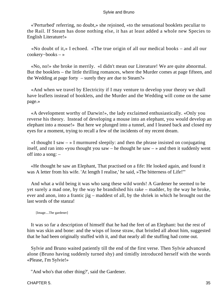«'Perturbed' referring, no doubt,» she rejoined, «to the sensational booklets peculiar to the Rail. If Steam has done nothing else, it has at least added a whole new Species to English Literature!»

 «No doubt of it,» I echoed. «The true origin of all our medical books – and all our cookery−books – »

 «No, no!» she broke in merrily. «I didn't mean our Literature! We are quite abnormal. But the booklets – the little thrilling romances, where the Murder comes at page fifteen, and the Wedding at page forty – surely they are due to Steam?»

 «And when we travel by Electricity if I may venture to develop your theory we shall have leaflets instead of booklets, and the Murder and the Wedding will come on the same page.»

 «A development worthy of Darwin!», the lady exclaimed enthusiastically. «Only you reverse his theory. Instead of developing a mouse into an elephant, you would develop an elephant into a mouse!» But here we plunged into a tunnel, and I leaned back and closed my eyes for a moment, trying to recall a few of the incidents of my recent dream.

 $\ll$ I thought I saw  $-\gg$  I murmured sleepily: and then the phrase insisted on conjugating itself, and ran into «you thought you saw – he thought he saw – » and then it suddenly went off into a song: –

 «He thought he saw an Elephant, That practised on a fife: He looked again, and found it was A letter from his wife. 'At length I realise,' he said, »The bitterness of Life!'"

 And what a wild being it was who sang these wild words! A Gardener he seemed to be yet surely a mad one, by the way he brandished his rake – madder, by the way he broke, ever and anon, into a frantic jig – maddest of all, by the shriek in which he brought out the last words of the stanza!

[Image....The gardener]

 It was so far a description of himself that he had the feet of an Elephant: but the rest of him was skin and bone: and the wisps of loose straw, that bristled all about him, suggested that he had been originally stuffed with it, and that nearly all the stuffing had come out.

 Sylvie and Bruno waited patiently till the end of the first verse. Then Sylvie advanced alone (Bruno having suddenly turned shy) and timidly introduced herself with the words «Please, I'm Sylvie!»

"And who's that other thing?', said the Gardener.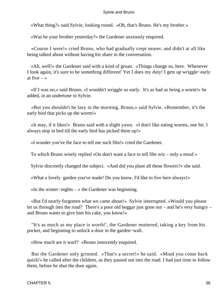«What thing?» said Sylvie, looking round. «Oh, that's Bruno. He's my brother.»

«Was he your brother yesterday?» the Gardener anxiously enquired.

 «Course I were!» cried Bruno, who had gradually crept nearer, and didn't at all like being talked about without having his share in the conversation.

 «Ah, well!» the Gardener said with a kind of groan. «Things change so, here. Whenever I look again, it's sure to be something different! Yet I does my duty! I gets up wriggle−early at five  $-\infty$ 

 «If I was oo,» said Bruno, «I wouldn't wriggle so early. It's as bad as being a worm!» he added, in an undertone to Sylvie.

 «But you shouldn't be lazy in the morning, Bruno,» said Sylvie. «Remember, it's the early bird that picks up the worm!»

 «It may, if it likes!» Bruno said with a slight yawn. «I don't like eating worms, one bit. I always stop in bed till the early bird has picked them up!»

«I wonder you've the face to tell me such fibs!» cried the Gardener.

To which Bruno wisely replied «Oo don't want a face to tell fibs wiz – only a mouf.»

Sylvie discreetly changed the subject. «And did you plant all these flowers?» she said.

«What a lovely garden you've made! Do you know, I'd like to live here always!»

«In the winter−nights – » the Gardener was beginning.

 «But I'd nearly forgotten what we came about!» Sylvie interrupted. «Would you please let us through into the road? There's a poor old beggar just gone out – and he's very hungry – and Bruno wants to give him his cake, you know!»

 "It's as much as my place is worth!', the Gardener muttered, taking a key from his pocket, and beginning to unlock a door in the garden−wall.

«How much are it wurf? »Bruno innocently enquired.

 But the Gardener only grinned. «That's a secret!» he said. «Mind you come back quick!» he called after the children, as they passed out into the road. I had just time to follow them, before he shut the door again.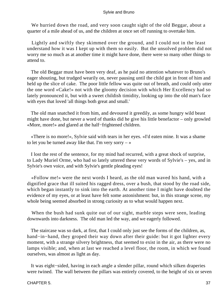We hurried down the road, and very soon caught sight of the old Beggar, about a quarter of a mile ahead of us, and the children at once set off running to overtake him.

 Lightly and swiftly they skimmed over the ground, and I could not in the least understand how it was I kept up with them so easily. But the unsolved problem did not worry me so much as at another time it might have done, there were so many other things to attend to.

 The old Beggar must have been very deaf, as he paid no attention whatever to Bruno's eager shouting, but trudged wearily on, never pausing until the child got in front of him and held up the slice of cake. The poor little fellow was quite out of breath, and could only utter the one word «Cake!» not with the gloomy decision with which Her Excellency had so lately pronounced it, but with a sweet childish timidity, looking up into the old man's face with eyes that loved 'all things both great and small.'

 The old man snatched it from him, and devoured it greedily, as some hungry wild beast might have done, but never a word of thanks did he give his little benefactor – only growled «More, more!» and glared at the half−frightened children.

 «There is no more!», Sylvie said with tears in her eyes. «I'd eaten mine. It was a shame to let you be turned away like that. I'm very sorry  $-\infty$ 

 I lost the rest of the sentence, for my mind had recurred, with a great shock of surprise, to Lady Muriel Orme, who had so lately uttered these very words of Sylvie's – yes, and in Sylvie's own voice, and with Sylvie's gentle pleading eyes!

 «Follow me!» were the next words I heard, as the old man waved his hand, with a dignified grace that ill suited his ragged dress, over a bush, that stood by the road side, which began instantly to sink into the earth. At another time I might have doubted the evidence of my eyes, or at least have felt some astonishment: but, in this strange scene, my whole being seemed absorbed in strong curiosity as to what would happen next.

 When the bush had sunk quite out of our sight, marble steps were seen, leading downwards into darkness. The old man led the way, and we eagerly followed.

 The staircase was so dark, at first, that I could only just see the forms of the children, as, hand−in−hand, they groped their way down after their guide: but it got lighter every moment, with a strange silvery brightness, that seemed to exist in the air, as there were no lamps visible; and, when at last we reached a level floor, the room, in which we found ourselves, was almost as light as day.

 It was eight−sided, having in each angle a slender pillar, round which silken draperies were twined. The wall between the pillars was entirely covered, to the height of six or seven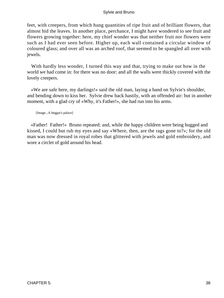feet, with creepers, from which hung quantities of ripe fruit and of brilliant flowers, that almost hid the leaves. In another place, perchance, I might have wondered to see fruit and flowers growing together: here, my chief wonder was that neither fruit nor flowers were such as I had ever seen before. Higher up, each wall contained a circular window of coloured glass; and over all was an arched roof, that seemed to be spangled all over with jewels.

 With hardly less wonder, I turned this way and that, trying to make out how in the world we had come in: for there was no door: and all the walls were thickly covered with the lovely creepers.

 «We are safe here, my darlings!» said the old man, laying a hand on Sylvie's shoulder, and bending down to kiss her. Sylvie drew back hastily, with an offended air: but in another moment, with a glad cry of «Why, it's Father!», she had run into his arms.

[Image...A beggar's palace]

 «Father! Father!» Bruno repeated: and, while the happy children were being hugged and kissed, I could but rub my eyes and say «Where, then, are the rags gone to?»; for the old man was now dressed in royal robes that glittered with jewels and gold embroidery, and wore a circlet of gold around his head.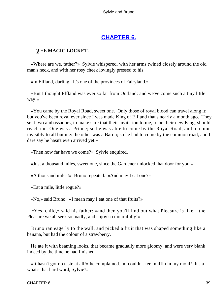# **[CHAPTER 6.](#page-177-0)**

## *T*HE **MAGIC LOCKET.**

 «Where are we, father?» Sylvie whispered, with her arms twined closely around the old man's neck, and with her rosy cheek lovingly pressed to his.

«In Elfland, darling. It's one of the provinces of Fairyland.»

 «But I thought Elfland was ever so far from Outland: and we've come such a tiny little way!»

 «You came by the Royal Road, sweet one. Only those of royal blood can travel along it: but you've been royal ever since I was made King of Elfland that's nearly a month ago. They sent two ambassadors, to make sure that their invitation to me, to be their new King, should reach me. One was a Prince; so he was able to come by the Royal Road, and to come invisibly to all but me: the other was a Baron; so he had to come by the common road, and I dare say he hasn't even arrived yet.»

«Then how far have we come?» Sylvie enquired.

«Just a thousand miles, sweet one, since the Gardener unlocked that door for you.»

«A thousand miles!» Bruno repeated. «And may I eat one?»

«Eat a mile, little rogue?»

«No,» said Bruno. «I mean may I eat one of that fruits?»

 «Yes, child,» said his father: «and then you'll find out what Pleasure is like – the Pleasure we all seek so madly, and enjoy so mournfully!»

 Bruno ran eagerly to the wall, and picked a fruit that was shaped something like a banana, but had the colour of a strawberry.

 He ate it with beaming looks, that became gradually more gloomy, and were very blank indeed by the time he had finished.

 «It hasn't got no taste at all!» he complained. «I couldn't feel nuffin in my mouf! It's a – what's that hard word, Sylvie?»

#### CHAPTER 6. 39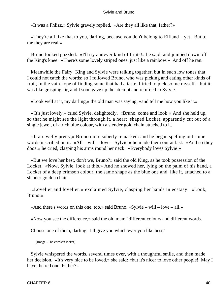«It was a Phlizz,» Sylvie gravely replied. «Are they all like that, father?»

 «They're all like that to you, darling, because you don't belong to Elfland – yet. But to me they are real.»

 Bruno looked puzzled. «I'll try anuvver kind of fruits!» he said, and jumped down off the King's knee. «There's some lovely striped ones, just like a rainbow!» And off he ran.

 Meanwhile the Fairy−King and Sylvie were talking together, but in such low tones that I could not catch the words: so I followed Bruno, who was picking and eating other kinds of fruit, in the vain hope of finding some that had a taste. I tried to pick so me myself – but it was like grasping air, and I soon gave up the attempt and returned to Sylvie.

«Look well at it, my darling,» the old man was saying, «and tell me how you like it.»

 «'It's just lovely,» cried Sylvie, delightedly. «Bruno, come and look!» And she held up, so that he might see the light through it, a heart−shaped Locket, apparently cut out of a single jewel, of a rich blue colour, with a slender gold chain attached to it.

 «It are welly pretty,» Bruno more soberly remarked: and he began spelling out some words inscribed on it. «All – will – love – Sylvie,» he made them out at last. «And so they doos!» he cried, clasping his arms round her neck. «Everybody loves Sylvie!»

 «But we love her best, don't we, Bruno?» said the old King, as he took possession of the Locket. «Now, Sylvie, look at this.» And he showed her, lying on the palm of his hand, a Locket of a deep crimson colour, the same shape as the blue one and, like it, attached to a slender golden chain.

 «Lovelier and lovelier!» exclaimed Sylvie, clasping her hands in ecstasy. «Look, Bruno!»

«And there's words on this one, too,» said Bruno. «Sylvie – will – love – all.»

«Now you see the difference,» said the old man: "different colours and different words.

Choose one of them, darling. I'll give you which ever you like best."

[Image...The crimson locket]

 Sylvie whispered the words, several times over, with a thoughtful smile, and then made her decision. «It's very nice to be loved,» she said: «but it's nicer to love other people! May I have the red one, Father?»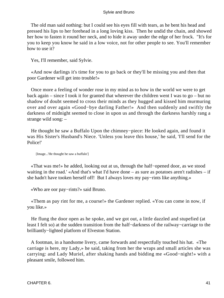The old man said nothing: but I could see his eyes fill with tears, as he bent his head and pressed his lips to her forehead in a long loving kiss. Then he undid the chain, and showed her how to fasten it round her neck, and to hide it away under the edge of her frock. "It's for you to keep you know he said in a low voice, not for other people to see. You'll remember how to use it?

Yes, I'll remember, said Sylvie.

 «And now darlings it's time for you to go back or they'll be missing you and then that poor Gardener will get into trouble!»

 Once more a feeling of wonder rose in my mind as to how in the world we were to get back again – since I took it for granted that wherever the children went I was to go – but no shadow of doubt seemed to cross their minds as they hugged and kissed him murmuring over and over again «Good−bye darling Father!» And then suddenly and swiftly the darkness of midnight seemed to close in upon us and through the darkness harshly rang a strange wild song: –

 He thought he saw a Buffalo Upon the chimney−piece: He looked again, and found it was His Sister's Husband's Niece. 'Unless you leave this house,' he said, 'I'll send for the Police!'

[Image...'He thought he saw a buffalo']

 «That was me!» he added, looking out at us, through the half−opened door, as we stood waiting in the road.' «And that's what I'd have done – as sure as potatoes aren't radishes – if she hadn't have tooken herself off! But I always loves my pay−rints like anything.»

«Who are oor pay−rints?» said Bruno.

 «Them as pay rint for me, a course!» the Gardener replied. «You can come in now, if you like.»

 He flung the door open as he spoke, and we got out, a little dazzled and stupefied (at least I felt so) at the sudden transition from the half−darkness of the railway−carriage to the brilliantly−lighted platform of Elveston Station.

 A footman, in a handsome livery, came forwards and respectfully touched his hat. «The carriage is here, my Lady,» he said, taking from her the wraps and small articles she was carrying: and Lady Muriel, after shaking hands and bidding me «Good−night!» with a pleasant smile, followed him.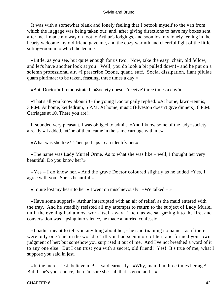It was with a somewhat blank and lonely feeling that I betook myself to the van from which the luggage was being taken out: and, after giving directions to have my boxes sent after me, I made my way on foot to Arthur's lodgings, and soon lost my lonely feeling in the hearty welcome my old friend gave me, and the cozy warmth and cheerful light of the little sitting−room into which he led me.

 «Little, as you see, but quite enough for us two. Now, take the easy−chair, old fellow, and let's have another look at you! Well, you do look a bit pulled down!» and he put on a solemn professional air. «I prescribe Ozone, quant. suff. Social dissipation, fiant pilulae quam plurimae: to be taken, feasting, three times a day!»

«But, Doctor!» I remonstrated. «Society doesn't 'receive' three times a day!»

 «That's all you know about it!» the young Doctor gaily replied. «At home, lawn−tennis, 3 P.M. At home, kettledrum, 5 P.M. At home, music (Elveston doesn't give dinners), 8 P.M. Carriages at 10. There you are!»

 It sounded very pleasant, I was obliged to admit. «And I know some of the lady−society already,» I added. «One of them came in the same carriage with me»

«What was she like? Then perhaps I can identify her.»

 «The name was Lady Muriel Orme. As to what she was like – well, I thought her very beautiful. Do you know her?»

 «Yes – I do know her.» And the grave Doctor coloured slightly as he added «Yes, I agree with you. She is beautiful.»

«I quite lost my heart to her!» I went on mischievously. «We talked  $-\infty$ 

 «Have some supper!» Arthur interrupted with an air of relief, as the maid entered with the tray. And he steadily resisted all my attempts to return to the subject of Lady Muriel until the evening had almost worn itself away. Then, as we sat gazing into the fire, and conversation was lapsing into silence, he made a hurried confession.

 «I hadn't meant to tell you anything about her,» he said (naming no names, as if there were only one 'she' in the world!) "till you had seen more of her, and formed your own judgment of her: but somehow you surprised it out of me. And I've not breathed a word of it to any one else. But I can trust you with a secret, old friend! Yes! It's true of me, what I suppose you said in jest.

 «In the merest jest, believe me!» I said earnestly. «Why, man, I'm three times her age! But if she's your choice, then I'm sure she's all that is good and  $-\infty$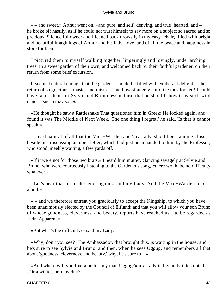« – and sweet,» Arthur went on, «and pure, and self−denying, and true−hearted, and – » he broke off hastily, as if he could not trust himself to say more on a subject so sacred and so precious. Silence followed: and I leaned back drowsily in my easy−chair, filled with bright and beautiful imaginings of Arthur and his lady−love, and of all the peace and happiness in store for them.

 I pictured them to myself walking together, lingeringly and lovingly, under arching trees, in a sweet garden of their own, and welcomed back by their faithful gardener, on their return from some brief excursion.

 It seemed natural enough that the gardener should be filled with exuberant delight at the return of so gracious a master and mistress and how strangely childlike they looked! I could have taken them for Sylvie and Bruno less natural that he should show it by such wild dances, such crazy songs!

 «He thought he saw a Rattlesnake That questioned him in Greek: He looked again, and found it was The Middle of Next Week. 'The one thing I regret,' he said, 'Is that it cannot speak!»

 – least natural of all that the Vice−Warden and 'my Lady' should be standing close beside me, discussing an open letter, which had just been handed to him by the Professor, who stood, meekly waiting, a few yards off.

 «If it were not for those two brats,» I heard him mutter, glancing savagely at Sylvie and Bruno, who were courteously listening to the Gardener's song, «there would be no difficulty whatever.»

 «Let's hear that bit of the letter again,» said my Lady. And the Vice−Warden read aloud:−

 « – and we therefore entreat you graciously to accept the Kingship, to which you have been unanimously elected by the Council of Elfland: and that you will allow your son Bruno of whose goodness, cleverness, and beauty, reports have reached us – to be regarded as Heir−Apparent.»

«But what's the difficulty?» said my Lady.

 «Why, don't you see? The Ambassador, that brought this, is waiting in the house: and he's sure to see Sylvie and Bruno: and then, when he sees Uggug, and remembers all that about 'goodness, cleverness, and beauty,' why, he's sure to  $-\infty$ 

 «And where will you find a better boy than Uggug?» my Lady indignantly interrupted. «Or a wittier, or a lovelier?»

CHAPTER 6. 43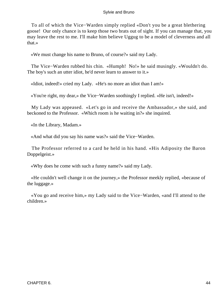To all of which the Vice−Warden simply replied «Don't you be a great blethering goose! Our only chance is to keep those two brats out of sight. If you can manage that, you may leave the rest to me. I'll make him believe Uggug to be a model of cleverness and all that.»

«We must change his name to Bruno, of course?» said my Lady.

 The Vice−Warden rubbed his chin. «Humph! No!» he said musingly. «Wouldn't do. The boy's such an utter idiot, he'd never learn to answer to it.»

«Idiot, indeed!» cried my Lady. «He's no more an idiot than I am!»

«You're right, my dear,» the Vice−Warden soothingly I replied. «He isn't, indeed!»

 My Lady was appeased. «Let's go in and receive the Ambassador,» she said, and beckoned to the Professor. «Which room is he waiting in?» she inquired.

«In the Library, Madam.»

«And what did you say his name was?» said the Vice−Warden.

 The Professor referred to a card he held in his hand. «His Adiposity the Baron Doppelgeist.»

«Why does he come with such a funny name?» said my Lady.

 «He couldn't well change it on the journey,» the Professor meekly replied, «because of the luggage.»

 «You go and receive him,» my Lady said to the Vice−Warden, «and I'll attend to the children.»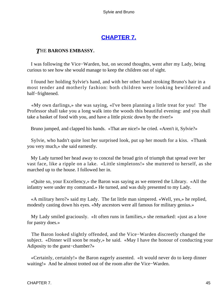# **[CHAPTER 7.](#page-177-0)**

### *T*HE **BARONS EMBASSY.**

 I was following the Vice−Warden, but, on second thoughts, went after my Lady, being curious to see how she would manage to keep the children out of sight.

 I found her holding Sylvie's hand, and with her other hand stroking Bruno's hair in a most tender and motherly fashion: both children were looking bewildered and half−frightened.

 «My own darlings,» she was saying, «I've been planning a little treat for you! The Professor shall take you a long walk into the woods this beautiful evening: and you shall take a basket of food with you, and have a little picnic down by the river!»

Bruno jumped, and clapped his hands. «That are nice!» he cried. «Aren't it, Sylvie?»

 Sylvie, who hadn't quite lost her surprised look, put up her mouth for a kiss. «Thank you very much,» she said earnestly.

 My Lady turned her head away to conceal the broad grin of triumph that spread over her vast face, like a ripple on a lake. «Little simpletons!» she muttered to herself, as she marched up to the house. I followed her in.

 «Quite so, your Excellency,» the Baron was saying as we entered the Library. «All the infantry were under my command.» He turned, and was duly presented to my Lady.

 «A military hero?» said my Lady. The fat little man simpered. «Well, yes,» he replied, modestly casting down his eyes. «My ancestors were all famous for military genius.»

 My Lady smiled graciously. «It often runs in families,» she remarked: «just as a love for pastry does.»

 The Baron looked slightly offended, and the Vice−Warden discreetly changed the subject. «Dinner will soon be ready,» he said. «May I have the honour of conducting your Adiposity to the guest−chamber?»

 «Certainly, certainly!» the Baron eagerly assented. «It would never do to keep dinner waiting!» And he almost trotted out of the room after the Vice−Warden.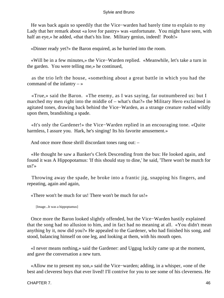He was back again so speedily that the Vice−warden had barely time to explain to my Lady that her remark about «a love for pastry» was «unfortunate. You might have seen, with half an eye,» he added, «that that's his line. Military genius, indeed! Pooh!»

«Dinner ready yet?» the Baron enquired, as he hurried into the room.

 «Will be in a few minutes,» the Vice−Warden replied. «Meanwhile, let's take a turn in the garden. You were telling me,» he continued,

 as the trio left the house, «something about a great battle in which you had the command of the infantry  $-\infty$ 

 «True,» said the Baron. «The enemy, as I was saying, far outnumbered us: but I marched my men right into the middle of – what's that?» the Military Hero exclaimed in agitated tones, drawing back behind the Vice−Warden, as a strange creature rushed wildly upon them, brandishing a spade.

 «It's only the Gardener!» the Vice−Warden replied in an encouraging tone. «Quite harmless, I assure you. Hark, he's singing! Its his favorite amusement.»

And once more those shrill discordant tones rang out: –

 «He thought he saw a Banker's Clerk Descending from the bus: He looked again, and found it was A Hippopotamus: 'If this should stay to dine,' he said, 'There won't be mutch for us!'»

 Throwing away the spade, he broke into a frantic jig, snapping his fingers, and repeating, again and again,

«There won't be much for us! There won't be much for us!»

[Image...It was a hippoptamus]

 Once more the Baron looked slightly offended, but the Vice−Warden hastily explained that the song had no allusion to him, and in fact had no meaning at all. «You didn't mean anything by it, now did you?» He appealed to the Gardener, who had finished his song, and stood, balancing himself on one leg, and looking at them, with his mouth open.

 «I never means nothing,» said the Gardener: and Uggug luckily came up at the moment, and gave the conversation a new turn.

 «Allow me to present my son,» said the Vice−warden; adding, in a whisper, «one of the best and cleverest boys that ever lived! I'll contrive for you to see some of his cleverness. He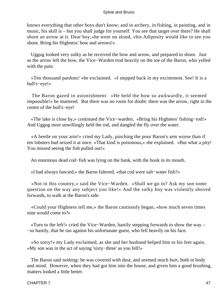knows everything that other boys don't know; and in archery, in fishing, in painting, and in music, his skill is – but you shall judge for yourself. You see that target over there? He shall shoot an arrow at it. Dear boy,»he went on aloud, «his Adiposity would like to see you shoot. Bring his Highness' bow and arrows!»

 Uggug looked very sulky as he received the bow and arrow, and prepared to shoot. Just as the arrow left the bow, the Vice−Warden trod heavily on the toe of the Baron, who yelled with the pain.

 «Ten thousand pardons! »he exclaimed. «I stepped back in my excitement. See! It is a bull's−eye!»

 The Baron gazed in astonishment. «He held the bow so awkwardly, it seemed impossible!» he muttered. But there was no room for doubt: there was the arrow, right in the centre of the bull's−eye!

 «The lake is close by,» continued the Vice−warden. «Bring his Highness' fishing−rod!» And Uggug most unwillingly held the rod, and dangled the fly over the water.

 «A beetle on your arm!» cried my Lady, pinching the poor Baron's arm worse than if ten lobsters had seized it at once. «That kind is poisonous,» she explained. «But what a pity! You missed seeing the fish pulled out!»

An enormous dead cod−fish was lying on the bank, with the hook in its mouth.

«I had always fancied,» the Baron faltered, «that cod were salt−water fish?»

 «Not in this country,» said the Vice−Warden. «Shall we go in? Ask my son some question on the way any subject you like!» And the sulky boy was violently shoved forwards, to walk at the Baron's side.

 «Could your Highness tell me,» the Baron cautiously began, «how much seven times nine would come to?»

 «Turn to the left!» cried the Vice−Warden, hastily stepping forwards to show the way – −so hastily, that he ran against his unfortunate guest, who fell heavily on his face.

 «So sorry!» my Lady exclaimed, as she and her husband helped him to his feet again. «My son was in the act of saying 'sixty−three' as you fell!»

 The Baron said nothing: he was covered with dust, and seemed much hurt, both in body and mind. However, when they had got him into the house, and given him a good brushing, matters looked a little better.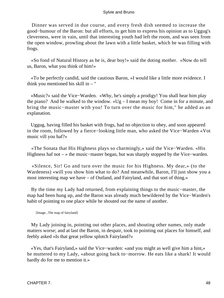Dinner was served in due course, and every fresh dish seemed to increase the good−humour of the Baron: but all efforts, to get him to express his opinion as to Uggug's cleverness, were in vain, until that interesting youth had left the room, and was seen from the open window, prowling about the lawn with a little basket, which he was filling with frogs.

 «So fond of Natural History as he is, dear boy!» said the doting mother. «Now do tell us, Baron, what you think of him!»

 «To be perfectly candid, said the cautious Baron, »I would like a little more evidence. I think you mentioned his skill in  $-$  "

 «Music?» said the Vice−Warden. «Why, he's simply a prodigy! You shall hear him play the piano? And he walked to the window. »Ug – I mean my boy! Come in for a minute, and bring the music−master with you! To turn over the music for him," he added as an explanation.

 Uggug, having filled his basket with frogs, had no objection to obey, and soon appeared in the room, followed by a fierce−looking little man, who asked the Vice−Warden «Vot music vill you haf?»

 «The Sonata that His Highness plays so charmingly,» said the Vice−Warden. «His Highness haf not – » the music−master began, but was sharply stopped by the Vice−warden.

 «Silence, Sir! Go and turn over the music for his Highness. My dear,» (to the Wardeness) «will you show him what to do? And meanwhile, Baron, I'll just show you a most interesting map we have – of Outland, and Fairyland, and that sort of thing.»

 By the time my Lady had returned, from explaining things to the music−master, the map had been hung up, and the Baron was already much bewildered by the Vice−Warden's habit of pointing to one place while he shouted out the name of another.

[Image...The map of fairyland]

 My Lady joining in, pointing out other places, and shouting other names, only made matters worse; and at last the Baron, in despair, took to pointing out places for himself, and feebly asked «Is that great yellow splotch Fairyland?»

 «Yes, that's Fairyland,» said the Vice−warden: «and you might as well give him a hint,» he muttered to my Lady, «about going back to−morrow. He eats like a shark! It would hardly do for me to mention it.»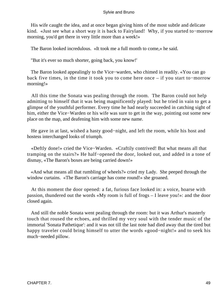His wife caught the idea, and at once began giving hints of the most subtle and delicate kind. «Just see what a short way it is back to Fairyland! Why, if you started to−morrow morning, you'd get there in very little more than a week!»

The Baron looked incredulous. «It took me a full month to come,» he said.

"But it's ever so much shorter, going back, you know!'

 The Baron looked appealingly to the Vice−warden, who chimed in readily. «You can go back five times, in the time it took you to come here once – if you start to−morrow morning!»

 All this time the Sonata was pealing through the room. The Baron could not help admitting to himself that it was being magnificently played: but he tried in vain to get a glimpse of the youthful performer. Every time he had nearly succeeded in catching sight of him, either the Vice−Warden or his wife was sure to get in the way, pointing out some new place on the map, and deafening him with some new name.

 He gave in at last, wished a hasty good−night, and left the room, while his host and hostess interchanged looks of triumph.

 «Deftly done!» cried the Vice−Warden. «Craftily contrived! But what means all that tramping on the stairs?» He half−opened the door, looked out, and added in a tone of dismay, «The Baron's boxes are being carried down!»

 «And what means all that rumbling of wheels?» cried my Lady. She peeped through the window curtains. «The Baron's carriage has come round!» she groaned.

 At this moment the door opened: a fat, furious face looked in: a voice, hoarse with passion, thundered out the words «My room is full of frogs – I leave you!»: and the door closed again.

 And still the noble Sonata went pealing through the room: but it was Arthur's masterly touch that roused the echoes, and thrilled my very soul with the tender music of the immortal 'Sonata Pathetique': and it was not till the last note had died away that the tired but happy traveler could bring himself to utter the words «good−night!» and to seek his much−needed pillow.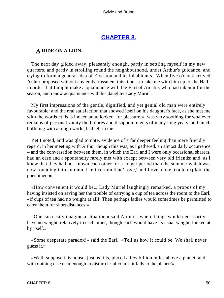## **[CHAPTER 8.](#page-177-0)**

### *A* **RIDE ON A LION.**

 The next day glided away, pleasantly enough, partly in settling myself in my new quarters, and partly in strolling round the neighbourhood, under Arthur's guidance, and trying to form a general idea of Elveston and its inhabitants. When five o'clock arrived, Arthur proposed without any embarrassment this time – to take me with him up to 'the Hall,' in order that I might make acquaintance with the Earl of Ainslie, who had taken it for the season, and renew acquaintance with his daughter Lady Muriel.

 My first impressions of the gentle, dignified, and yet genial old man were entirely favourable: and the real satisfaction that showed itself on his daughter's face, as she met me with the words «this is indeed an unlooked−for pleasure!», was very soothing for whatever remains of personal vanity the failures and disappointments of many long years, and much buffeting with a rough world, had left in me.

 Yet I noted, and was glad to note, evidence of a far deeper feeling than mere friendly regard, in her meeting with Arthur though this was, as I gathered, an almost daily occurrence – and the conversation between them, in which the Earl and I were only occasional sharers, had an ease and a spontaneity rarely met with except between very old friends: and, as I knew that they had not known each other for a longer period than the summer which was now rounding into autumn, I felt certain that 'Love,' and Love alone, could explain the phenomenon.

 «How convenient it would be,» Lady Muriel laughingly remarked, a propos of my having insisted on saving her the trouble of carrying a cup of tea across the room to the Earl, «if cups of tea had no weight at all! Then perhaps ladies would sometimes be permitted to carry them for short distances!»

 «One can easily imagine a situation,» said Arthur, «where things would necessarily have no weight, relatively to each other, though each would have its usual weight, looked at by itself.»

 «Some desperate paradox!» said the Earl. «Tell us how it could be. We shall never guess it.»

 «Well, suppose this house, just as it is, placed a few billion miles above a planet, and with nothing else near enough to disturb it: of course it falls to the planet?»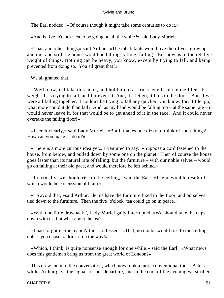The Earl nodded. «Of course though it might take some centuries to do it.»

«And is five−o'clock−tea to be going on all the while?» said Lady Muriel.

 «That, and other things,» said Arthur. «The inhabitants would live their lives, grow up and die, and still the house would be falling, falling, falling! But now as to the relative weight of things. Nothing can be heavy, you know, except by trying to fall, and being prevented from doing so. You all grant that?»

We all granted that.

 «Well, now, if I take this book, and hold it out at arm's length, of course I feel its weight. It is trying to fall, and I prevent it. And, if I let go, it fails to the floor. But, if we were all falling together, it couldn't be trying to fall any quicker, you know: for, if I let go, what more could it do than fall? And, as my hand would be falling too – at the same rate – it would never leave it, for that would be to get ahead of it in the race. And it could never overtake the failing floor!»

 «I see it clearly,» said Lady Muriel. «But it makes one dizzy to think of such things! How can you make us do it?»

 «There is a more curious idea yet,» I ventured to say. «Suppose a cord fastened to the house, from below, and pulled down by some one on the planet. Then of course the house goes faster than its natural rate of falling: but the furniture – with our noble selves – would go on failing at their old pace, and would therefore be left behind.»

 «Practically, we should rise to the ceiling,» said the Earl. «The inevitable result of which would be concussion of brain.»

 «To avoid that, »said Arthur, «let us have the furniture fixed to the floor, and ourselves tied down to the furniture. Then the five−o'clock−tea could go on in peace.»

 «With one little drawback!', Lady Muriel gaily interrupted. »We should take the cups down with us: but what about the tea?"

 «I had forgotten the tea,» Arthur confessed. «That, no doubt, would rise to the ceiling unless you chose to drink it on the way!»

 «Which, I think, is quite nonsense enough for one while!» said the Earl. «What news does this gentleman bring us from the great world of London?»

 This drew me into the conversation, which now took a more conventional tone. After a while, Arthur gave the signal for our departure, and in the cool of the evening we strolled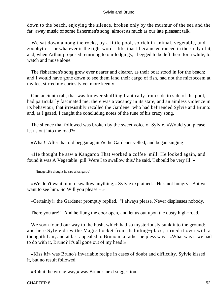down to the beach, enjoying the silence, broken only by the murmur of the sea and the far−away music of some fishermen's song, almost as much as our late pleasant talk.

We sat down among the rocks, by a little pool, so rich in animal, vegetable, and zoophytic – or whatever is the right word – life, that I became entranced in the study of it, and, when Arthur proposed returning to our lodgings, I begged to be left there for a while, to watch and muse alone.

 The fishermen's song grew ever nearer and clearer, as their boat stood in for the beach; and I would have gone down to see them land their cargo of fish, had not the microcosm at my feet stirred my curiosity yet more keenly.

 One ancient crab, that was for ever shuffling frantically from side to side of the pool, had particularly fascinated me: there was a vacancy in its stare, and an aimless violence in its behaviour, that irresistibly recalled the Gardener who had befriended Sylvie and Bruno: and, as I gazed, I caught the concluding notes of the tune of his crazy song.

 The silence that followed was broken by the sweet voice of Sylvie. «Would you please let us out into the road?»

«What! After that old beggar again?» the Gardener yelled, and began singing : –

 «He thought he saw a Kangaroo That worked a coffee−mill: He looked again, and found it was A Vegetable−pill 'Were I to swallow this,' he said, 'I should be very ill!'»

[Image...He thought he saw a kangaroo]

 «We don't want him to swallow anything,» Sylvie explained. «He's not hungry. But we want to see him. So Will you please  $-\infty$ 

«Certainly!» the Gardener promptly replied. "I always please. Never displeases nobody.

There you are!" And he flung the door open, and let us out upon the dusty high−road.

We soon found our way to the bush, which had so mysteriously sunk into the ground: and here Sylvie drew the Magic Locket from its hiding−place, turned it over with a thoughtful air, and at last appealed to Bruno in a rather helpless way. «What was it we had to do with it, Bruno? It's all gone out of my head!»

 «Kiss it!» was Bruno's invariable recipe in cases of doubt and difficulty. Sylvie kissed it, but no result followed.

«Rub it the wrong way,» was Bruno's next suggestion.

CHAPTER 8. 52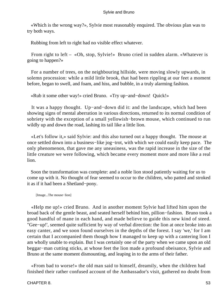«Which is the wrong way?», Sylvie most reasonably enquired. The obvious plan was to try both ways.

Rubbing from left to right had no visible effect whatever.

 From right to left – «Oh, stop, Sylvie!» Bruno cried in sudden alarm. «Whatever is going to happen?»

 For a number of trees, on the neighbouring hillside, were moving slowly upwards, in solemn procession: while a mild little brook, that had been rippling at our feet a moment before, began to swell, and foam, and hiss, and bubble, in a truly alarming fashion.

«Rub it some other way!» cried Bruno. «Try up−and−down! Quick!»

 It was a happy thought. Up−and−down did it: and the landscape, which had been showing signs of mental aberration in various directions, returned to its normal condition of sobriety with the exception of a small yellowish−brown mouse, which continued to run wildly up and down the road, lashing its tail like a little lion.

 «Let's follow it,» said Sylvie: and this also turned out a happy thought. The mouse at once settled down into a business−like jog−trot, with which we could easily keep pace. The only phenomenon, that gave me any uneasiness, was the rapid increase in the size of the little creature we were following, which became every moment more and more like a real lion.

 Soon the transformation was complete: and a noble lion stood patiently waiting for us to come up with it. No thought of fear seemed to occur to the children, who patted and stroked it as if it had been a Shetland−pony.

[Image...The mouse−lion]

 «Help me up!» cried Bruno. And in another moment Sylvie had lifted him upon the broad back of the gentle beast, and seated herself behind him, pillion−fashion. Bruno took a good handful of mane in each hand, and made believe to guide this new kind of steed. "Gee−up!', seemed quite sufficient by way of verbal direction: the lion at once broke into an easy canter, and we soon found ourselves in the depths of the forest. I say 'we,' for I am certain that I accompanied them though how I managed to keep up with a cantering lion I am wholly unable to explain. But I was certainly one of the party when we came upon an old beggar−man cutting sticks, at whose feet the lion made a profound obeisance, Sylvie and Bruno at the same moment dismounting, and leaping in to the arms of their father.

 «From bad to worse!» the old man said to himself, dreamily, when the children had finished their rather confused account of the Ambassador's visit, gathered no doubt from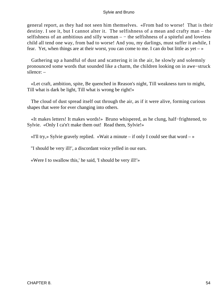general report, as they had not seen him themselves. «From bad to worse! That is their destiny. I see it, but I cannot alter it. The selfishness of a mean and crafty man – the selfishness of an ambitious and silly woman  $-$  – the selfishness of a spiteful and loveless child all tend one way, from bad to worse! And you, my darlings, must suffer it awhile, I fear. Yet, when things are at their worst, you can come to me. I can do but little as  $yet - y$ 

 Gathering up a handful of dust and scattering it in the air, he slowly and solemnly pronounced some words that sounded like a charm, the children looking on in awe−struck silence: –

 «Let craft, ambition, spite, Be quenched in Reason's night, Till weakness turn to might, Till what is dark be light, Till what is wrong be right!»

 The cloud of dust spread itself out through the air, as if it were alive, forming curious shapes that were for ever changing into others.

 «It makes letters! It makes words!» Bruno whispered, as he clung, half−frightened, to Sylvie. «Only I ca'n't make them out! Read them, Sylvie!»

«I'll try,» Sylvie gravely replied. «Wait a minute – if only I could see that word – »

"I should be very ill!', a discordant voice yelled in our ears.

«Were I to swallow this,' he said, 'I should be very ill!'»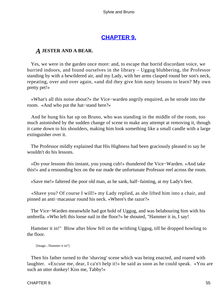## **[CHAPTER 9.](#page-177-0)**

### *A* **JESTER AND A BEAR.**

 Yes, we were in the garden once more: and, to escape that horrid discordant voice, we hurried indoors, and found ourselves in the library – Uggug blubbering, the Professor standing by with a bewildered air, and my Lady, with her arms clasped round her son's neck, repeating, over and over again, «and did they give him nasty lessons to learn? My own pretty pet!»

 «What's all this noise about?» the Vice−warden angrily enquired, as he strode into the room. «And who put the hat−stand here?»

 And he hung his hat up on Bruno, who was standing in the middle of the room, too much astonished by the sudden change of scene to make any attempt at removing it, though it came down to his shoulders, making him look something like a small candle with a large extinguisher over it.

 The Professor mildly explained that His Highness had been graciously pleased to say he wouldn't do his lessons.

 «Do your lessons this instant, you young cub!» thundered the Vice−Warden. «And take this!» and a resounding box on the ear made the unfortunate Professor reel across the room.

«Save me!» faltered the poor old man, as he sank, half−fainting, at my Lady's feet.

 «Shave you? Of course I will!» my Lady replied, as she lifted him into a chair, and pinned an anti−macassar round his neck. «Where's the razor?»

 The Vice−Warden meanwhile had got hold of Uggug, and was belabouring him with his umbrella. «Who left this loose nail in the floor?» he shouted, "Hammer it in, I say!

 Hammer it in!" Blow after blow fell on the writhing Uggug, till he dropped howling to the floor.

[Image...'Hammer it in!']

 Then his father turned to the 'shaving' scene which was being enacted, and roared with laughter. «Excuse me, dear, I ca'n't help it!» he said as soon as he could speak. «You are such an utter donkey! Kiss me, Tabby!»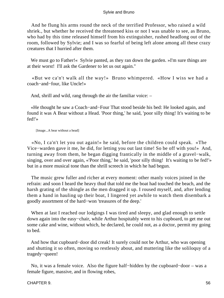And he flung his arms round the neck of the terrified Professor, who raised a wild shriek., but whether he received the threatened kiss or not I was unable to see, as Bruno, who had by this time released himself from his extinguisher, rushed headlong out of the room, followed by Sylvie; and I was so fearful of being left alone among all these crazy creatures that I hurried after them.

We must go to Father!« Sylvie panted, as they ran down the garden. »I'm sure things are at their worst! I'll ask the Gardener to let us out again."

 «But we ca'n't walk all the way!» Bruno whimpered. «How I wiss we had a coach−and−four, like Uncle!»

And, shrill and wild, rang through the air the familiar voice: –

 «He thought he saw a Coach−and−Four That stood beside his bed: He looked again, and found it was A Bear without a Head. 'Poor thing,' he said, 'poor silly thing! It's waiting to be fed!'»

[Image...A bear without a head]

 «No, I ca'n't let you out again!» he said, before the children could speak. «The Vice−warden gave it me, he did, for letting you out last time! So be off with you!» And, turning away from them, he began digging frantically in the middle of a gravel−walk, singing, over and over again, «'Poor thing,' he said, 'poor silly thing! It's waiting to be fed!'» but in a more musical tone than the shrill screech in which he had begun.

 The music grew fuller and richer at every moment: other manly voices joined in the refrain: and soon I heard the heavy thud that told me the boat had touched the beach, and the harsh grating of the shingle as the men dragged it up. I roused myself, and, after lending them a hand in hauling up their boat, I lingered yet awhile to watch them disembark a goodly assortment of the hard−won 'treasures of the deep.'

When at last I reached our lodgings I was tired and sleepy, and glad enough to settle down again into the easy−chair, while Arthur hospitably went to his cupboard, to get me out some cake and wine, without which, he declared, he could not, as a doctor, permit my going to bed.

 And how that cupboard−door did creak! It surely could not be Arthur, who was opening and shutting it so often, moving so restlessly about, and muttering like the soliloquy of a tragedy−queen!

 No, it was a female voice. Also the figure half−hidden by the cupboard−door – was a female figure, massive, and in flowing robes,

#### CHAPTER 9. 56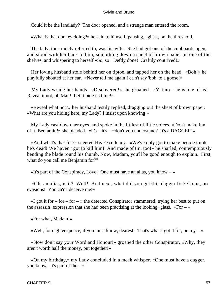Could it be the landlady? The door opened, and a strange man entered the room.

«What is that donkey doing?» he said to himself, pausing, aghast, on the threshold.

 The lady, thus rudely referred to, was his wife. She had got one of the cupboards open, and stood with her back to him, smoothing down a sheet of brown paper on one of the shelves, and whispering to herself «So, so! Deftly done! Craftily contrived!»

 Her loving husband stole behind her on tiptoe, and tapped her on the head. «Boh!» he playfully shouted at her ear. «Never tell me again I ca'n't say 'boh' to a goose!»

 My Lady wrung her hands. «Discovered!» she groaned. «Yet no – he is one of us! Reveal it not, oh Man! Let it bide its time!»

 «Reveal what not?» her husband testily replied, dragging out the sheet of brown paper. «What are you hiding here, my Lady? I insist upon knowing!»

 My Lady cast down her eyes, and spoke in the littlest of little voices. «Don't make fun of it, Benjamin!» she pleaded. «It's – it's – −don't you understand? It's a DAGGER!»

 «And what's that for?» sneered His Excellency. «We've only got to make people think he's dead! We haven't got to kill him! And made of tin, too!» he snarled, contemptuously bending the blade round his thumb. Now, Madam, you'll be good enough to explain. First, what do you call me Benjamin for?"

«It's part of the Conspiracy, Love! One must have an alias, you know  $-\infty$ 

 «Oh, an alias, is it? Well! And next, what did you get this dagger for? Come, no evasions! You ca'n't deceive me!»

 $\ll$ I got it for – for –  $\gg$  the detected Conspirator stammered, trying her best to put on the assassin−expression that she had been practising at the looking−glass. «For – »

«For what, Madam!»

«Well, for eighteenpence, if you must know, dearest! That's what I got it for, on my  $-\infty$ 

 «Now don't say your Word and Honour!» groaned the other Conspirator. «Why, they aren't worth half the money, put together!»

 «On my birthday,» my Lady concluded in a meek whisper. «One must have a dagger, you know. It's part of the  $-\infty$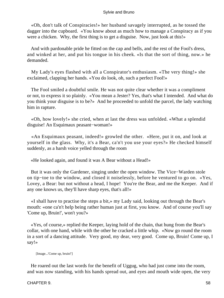«Oh, don't talk of Conspiracies!» her husband savagely interrupted, as he tossed the dagger into the cupboard. «You know about as much how to manage a Conspiracy as if you were a chicken. Why, the first thing is to get a disguise. Now, just look at this!»

 And with pardonable pride he fitted on the cap and bells, and the rest of the Fool's dress, and winked at her, and put his tongue in his cheek. «Is that the sort of thing, now.» he demanded.

 My Lady's eyes flashed with all a Conspirator's enthusiasm. «The very thing!» she exclaimed, clapping her hands. «You do look, oh, such a perfect Fool!»

 The Fool smiled a doubtful smile. He was not quite clear whether it was a compliment or not, to express it so plainly. «You mean a Jester? Yes, that's what I intended. And what do you think your disguise is to be?» And he proceeded to unfold the parcel, the lady watching him in rapture.

 «Oh, how lovely!» she cried, when at last the dress was unfolded. «What a splendid disguise! An Esquimaux peasant−woman!»

 «An Esquimaux peasant, indeed!» growled the other. «Here, put it on, and look at yourself in the glass. Why, it's a Bear, ca'n't you use your eyes?» He checked himself suddenly, as a harsh voice yelled through the room

«He looked again, and found it was A Bear without a Head!»

 But it was only the Gardener, singing under the open window. The Vice−Warden stole on tip−toe to the window, and closed it noiselessly, before he ventured to go on. «Yes, Lovey, a Bear: but not without a head, I hope! You're the Bear, and me the Keeper. And if any one knows us, they'll have sharp eyes, that's all!»

 «I shall have to practise the steps a bit,» my Lady said, looking out through the Bear's mouth: «one ca'n't help being rather human just at first, you know. And of course you'll say 'Come up, Bruin!', won't you?»

 «Yes, of course,» replied the Keeper, laying hold of the chain, that hung from the Bear's collar, with one hand, while with the other he cracked a little whip. «Now go round the room in a sort of a dancing attitude. Very good, my dear, very good. Come up, Bruin! Come up, I say!»

[Image...'Come up, bruin!']

 He roared out the last words for the benefit of Uggug, who had just come into the room, and was now standing, with his hands spread out, and eyes and mouth wide open, the very

#### CHAPTER 9. 58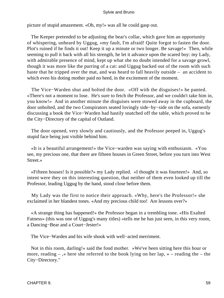picture of stupid amazement. «Oh, my!» was all he could gasp out.

 The Keeper pretended to be adjusting the bear's collar, which gave him an opportunity of whispering, unheard by Uggug, «my fault, I'm afraid! Quite forgot to fasten the door. Plot's ruined if he finds it out! Keep it up a minute or two longer. Be savage!» Then, while seeming to pull it back with all his strength, he let it advance upon the scared boy: my Lady, with admirable presence of mind, kept up what she no doubt intended for a savage growl, though it was more like the purring of a cat: and Uggug backed out of the room with such haste that he tripped over the mat, and was heard to fall heavily outside – an accident to which even his doting mother paid no heed, in the excitement of the moment.

 The Vice−Warden shut and bolted the door. «Off with the disguises!» he panted. «There's not a moment to lose. He's sure to fetch the Professor, and we couldn't take him in, you know!» And in another minute the disguises were stowed away in the cupboard, the door unbolted, and the two Conspirators seated lovingly side−by−side on the sofa, earnestly discussing a book the Vice−Warden had hastily snatched off the table, which proved to be the City−Directory of the capital of Outland.

 The door opened, very slowly and cautiously, and the Professor peeped in, Uggug's stupid face being just visible behind him.

 «It is a beautiful arrangement!» the Vice−warden was saying with enthusiasm. «You see, my precious one, that there are fifteen houses in Green Street, before you turn into West Street.»

 «Fifteen houses! Is it possible?» my Lady replied. «I thought it was fourteen!» And, so intent were they on this interesting question, that neither of them even looked up till the Professor, leading Uggug by the hand, stood close before them.

 My Lady was the first to notice their approach. «Why, here's the Professor!» she exclaimed in her blandest tones. «And my precious child too! Are lessons over?»

 «A strange thing has happened!» the Professor began in a trembling tone. «His Exalted Fatness» (this was one of Uggug's many titles) «tells me he has just seen, in this very room, a Dancing−Bear and a Court−Jester!»

The Vice−Warden and his wife shook with well−acted merriment.

 Not in this room, darling!« said the fond mother. »We've been sitting here this hour or more, reading  $-$ ,  $\ast$  here she referred to the book lying on her lap,  $\ast$  – reading the – the City−Directory."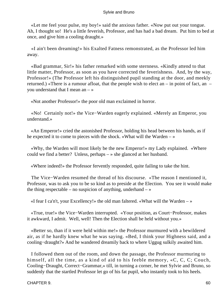«Let me feel your pulse, my boy!» said the anxious father. «Now put out your tongue. Ah, I thought so! He's a little feverish, Professor, and has had a bad dream. Put him to bed at once, and give him a cooling draught.»

 «I ain't been dreaming!» his Exalted Fatness remonstrated, as the Professor led him away.

 «Bad grammar, Sir!» his father remarked with some sternness. «Kindly attend to that little matter, Professor, as soon as you have corrected the feverishness. And, by the way, Professor!» (The Professor left his distinguished pupil standing at the door, and meekly returned.) «There is a rumour afloat, that the people wish to elect an – in point of fact, an – you understand that I mean an – »

«Not another Professor!» the poor old man exclaimed in horror.

 «No! Certainly not!» the Vice−Warden eagerly explained. «Merely an Emperor, you understand.»

 «An Emperor!» cried the astonished Professor, holding his head between his hands, as if he expected it to come to pieces with the shock. «What will the Warden – »

 «Why, the Warden will most likely be the new Emperor!» my Lady explained. «Where could we find a better? Unless, perhaps – » she glanced at her husband.

«Where indeed!» the Professor fervently responded, quite failing to take the hint.

 The Vice−Warden resumed the thread of his discourse. «The reason I mentioned it, Professor, was to ask you to be so kind as to preside at the Election. You see it would make the thing respectable – no suspicion of anything, underhand  $-\infty$ 

«I fear I ca'n't, your Excellency!» the old man faltered. «What will the Warden – »

 «True, true!» the Vice−Warden interrupted. «Your position, as Court−Professor, makes it awkward, I admit. Well, well! Then the Election shall be held without you.»

 «Better so, than if it were held within me!» the Professor murmured with a bewildered air, as if he hardly knew what he was saying. «Bed, I think your Highness said, and a cooling−draught?» And he wandered dreamily back to where Uggug sulkily awaited him.

 I followed them out of the room, and down the passage, the Professor murmuring to himself, all the time, as a kind of aid to his feeble memory, «C, C, C; Couch, Cooling−Draught, Correct−Grammar,» till, in turning a corner, he met Sylvie and Bruno, so suddenly that the startled Professor let go of his fat pupil, who instantly took to his heels.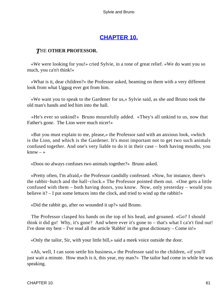# **[CHAPTER 10.](#page-177-0)**

## *T*HE **OTHER PROFESSOR.**

 «We were looking for you!» cried Sylvie, in a tone of great relief. «We do want you so much, you ca'n't think!»

 «What is it, dear children?» the Professor asked, beaming on them with a very different look from what Uggug ever got from him.

 «We want you to speak to the Gardener for us,» Sylvie said, as she and Bruno took the old man's hands and led him into the hall.

 «He's ever so unkind!» Bruno mournfully added. «They's all unkind to us, now that Father's gone. The Lion were much nicer!»

 «But you must explain to me, please,» the Professor said with an anxious look, «which is the Lion, and which is the Gardener. It's most important not to get two such animals confused together. And one's very liable to do it in their case – both having mouths, you know  $-\infty$ 

«Doos oo always confuses two animals together?» Bruno asked.

 «Pretty often, I'm afraid,» the Professor candidly confessed. «Now, for instance, there's the rabbit−hutch and the hall−clock.» The Professor pointed them out. «One gets a little confused with them – both having doors, you know. Now, only yesterday – would you believe it? – I put some lettuces into the clock, and tried to wind up the rabbit!»

«Did the rabbit go, after oo wounded it up?» said Bruno.

 The Professor clasped his hands on the top of his head, and groaned. «Go? I should think it did go! Why, it's gone? And where ever it's gone to – that's what I ca'n't find out! I've done my best – I've read all the article 'Rabbit' in the great dictionary – Come in!»

«Only the tailor, Sir, with your little bill,» said a meek voice outside the door.

 «Ah, well, I can soon settle his business,» the Professor said to the children, «if you'll just wait a minute. How much is it, this year, my man?» The tailor had come in while he was speaking.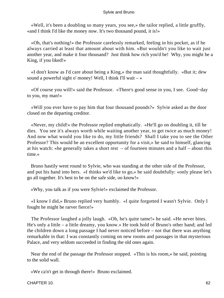«Well, it's been a doubling so many years, you see,» the tailor replied, a little gruffly, «and I think I'd like the money now. It's two thousand pound, it is!»

 «Oh, that's nothing!» the Professor carelessly remarked, feeling in his pocket, as if he always carried at least that amount about with him. «But wouldn't you like to wait just another year, and make it four thousand? Just think how rich you'd be! Why, you might be a King, if you liked!»

 «I don't know as I'd care about being a King,» the man said thoughtfully. «But it; dew sound a powerful sight o' money! Well, I think I'll wait  $-\infty$ 

 «Of course you will!» said the Professor. «There's good sense in you, I see. Good−day to you, my man!»

 «Will you ever have to pay him that four thousand pounds?» Sylvie asked as the door closed on the departing creditor.

 «Never, my child!» the Professor replied emphatically. «He'll go on doubling it, till he dies. You see it's always worth while waiting another year, to get twice as much money! And now what would you like to do, my little friends? Shall I take you to see the Other Professor? This would be an excellent opportunity for a visit,» he said to himself, glancing at his watch: «he generally takes a short rest – of fourteen minutes and a half – about this time »

 Bruno hastily went round to Sylvie, who was standing at the other side of the Professor, and put his hand into hers. «I thinks we'd like to go,» he said doubtfully: «only please let's go all together. It's best to be on the safe side, oo know!»

«Why, you talk as if you were Sylvie!» exclaimed the Professor.

 «I know I did,» Bruno replied very humbly. «I quite forgotted I wasn't Sylvie. Only I fought he might be rarver fierce!»

 The Professor laughed a jolly laugh. «Oh, he's quite tame!» he said. «He never bites. He's only a little – a little dreamy, you know.» He took hold of Bruno's other hand; and led the children down a long passage I had never noticed before – not that there was anything remarkable in that: I was constantly coming on new rooms and passages in that mysterious Palace, and very seldom succeeded in finding the old ones again.

 Near the end of the passage the Professor stopped. «This is his room,» he said, pointing to the solid wall.

«We ca'n't get in through there!» Bruno exclaimed.

CHAPTER 10. 62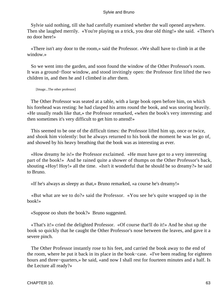Sylvie said nothing, till she had carefully examined whether the wall opened anywhere. Then she laughed merrily. «You're playing us a trick, you dear old thing!» she said. «There's no door here!»

 «There isn't any door to the room,» said the Professor. «We shall have to climb in at the window.»

 So we went into the garden, and soon found the window of the Other Professor's room. It was a ground−floor window, and stood invitingly open: the Professor first lifted the two children in, and then he and I climbed in after them.

[Image...The other professor]

 The Other Professor was seated at a table, with a large book open before him, on which his forehead was resting: he had clasped his arms round the book, and was snoring heavily. «He usually reads like that,» the Professor remarked, «when the book's very interesting: and then sometimes it's very difficult to get him to attend!»

 This seemed to be one of the difficult times: the Professor lifted him up, once or twice, and shook him violently: but he always returned to his book the moment he was let go of, and showed by his heavy breathing that the book was as interesting as ever.

 «How dreamy he is!» the Professor exclaimed. «He must have got to a very interesting part of the book!» And he rained quite a shower of thumps on the Other Professor's back, shouting «Hoy! Hoy!» all the time. «Isn't it wonderful that he should be so dreamy?» he said to Bruno.

«If he's always as sleepy as that,» Bruno remarked, «a course he's dreamy!»

 «But what are we to do?» said the Professor. «You see he's quite wrapped up in the book!»

«Suppose oo shuts the book?» Bruno suggested.

 «That's it!» cried the delighted Professor. «Of course that'll do it!» And he shut up the book so quickly that he caught the Other Professor's nose between the leaves, and gave it a severe pinch.

 The Other Professor instantly rose to his feet, and carried the book away to the end of the room, where he put it back in its place in the book−case. «I've been reading for eighteen hours and three−quarters,» he said, «and now I shall rest for fourteen minutes and a half. Is the Lecture all ready?»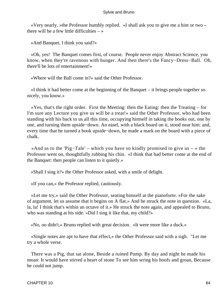«Very nearly, »the Professor humbly replied. «I shall ask you to give me a hint or two – there will be a few little difficulties  $-\infty$ 

«And Banquet, I think you said?»

 «Oh, yes! The Banquet comes first, of course. People never enjoy Abstract Science, you know, when they're ravenous with hunger. And then there's the Fancy−Dress−Ball. Oh, there'll be lots of entertainment!»

«Where will the Ball come in?» said the Other Professor.

 «I think it had better come at the beginning of the Banquet – it brings people together so nicely, you know.»

 «Yes, that's the right order. First the Meeting: then the Eating: then the Treating – for I'm sure any Lecture you give us will be a treat!» said the Other Professor, who had been standing with his back to us all this time, occupying himself in taking the books out, one by one, and turning them upside−down. An easel, with a black board on it, stood near him: and, every time that he turned a book upside−down, he made a mark on the board with a piece of chalk.

 «And as to the 'Pig−Tale' – which you have so kindly promised to give us – » the Professor went on, thoughtfully rubbing his chin. «I think that had better come at the end of the Banquet: then people can listen to it quietly.»

«Shall I sing it?» the Other Professor asked, with a smile of delight.

«If you can,» the Professor replied, cautiously.

 «Let me try,» said the Other Professor, seating himself at the pianoforte. «For the sake of argument, let us assume that it begins on A flat.» And he struck the note in question. «La, la, la! I think that's within an octave of it.» He struck the note again, and appealed to Bruno, who was standing at his side. «Did I sing it like that, my child?»

«No, oo didn't,» Bruno replied with great decision. «It were more like a duck.»

 «Single notes are apt to have that effect,» the Other Professor said with a sigh. "Let me try a whole verse.

 There was a Pig, that sat alone, Beside a ruined Pump. By day and night he made his moan: It would have stirred a heart of stone To see him wring his hoofs and groan, Because he could not jump.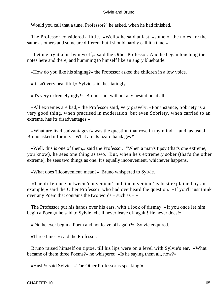Would you call that a tune, Professor?" he asked, when he had finished.

 The Professor considered a little. «Well,» he said at last, «some of the notes are the same as others and some are different but I should hardly call it a tune.»

 «Let me try it a bit by myself,» said the Other Professor. And he began touching the notes here and there, and humming to himself like an angry bluebottle.

«How do you like his singing?» the Professor asked the children in a low voice.

«It isn't very beautiful,» Sylvie said, hesitatingly.

«It's very extremely ugly!» Bruno said, without any hesitation at all.

 «All extremes are bad,» the Professor said, very gravely. «For instance, Sobriety is a very good thing, when practised in moderation: but even Sobriety, when carried to an extreme, has its disadvantages.»

 «What are its disadvantages?» was the question that rose in my mind – and, as usual, Bruno asked it for me. "What are its lizard bandages?'

 «Well, this is one of them,» said the Professor. "When a man's tipsy (that's one extreme, you know), he sees one thing as two. But, when he's extremely sober (that's the other extreme), he sees two things as one. It's equally inconvenient, whichever happens.

«What does 'illconvenient' mean?» Bruno whispered to Sylvie.

 «The difference between 'convenient' and 'inconvenient' is best explained by an example,» said the Other Professor, who had overheard the question. «If you'll just think over any Poem that contains the two words – such as  $-\infty$ 

 The Professor put his hands over his ears, with a look of dismay. «If you once let him begin a Poem,» he said to Sylvie, «he'll never leave off again! He never does!»

«Did he ever begin a Poem and not leave off again?» Sylvie enquired.

«Three times,» said the Professor.

 Bruno raised himself on tiptoe, till his lips were on a level with Sylvie's ear. «What became of them three Poems?» he whispered. «Is he saying them all, now?»

«Hush!» said Sylvie. «The Other Professor is speaking!»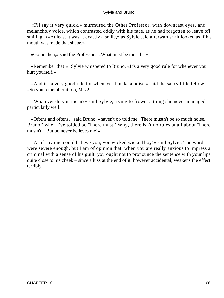«I'll say it very quick,» murmured the Other Professor, with downcast eyes, and melancholy voice, which contrasted oddly with his face, as he had forgotten to leave off smiling. («At least it wasn't exactly a smile,» as Sylvie said afterwards: «it looked as if his mouth was made that shape.»

«Go on then,» said the Professor. «What must be must be.»

 «Remember that!» Sylvie whispered to Bruno, «It's a very good rule for whenever you hurt yourself.»

 «And it's a very good rule for whenever I make a noise,» said the saucy little fellow. «So you remember it too, Miss!»

 «Whatever do you mean?» said Sylvie, trying to frown, a thing she never managed particularly well.

 «Oftens and oftens,» said Bruno, «haven't oo told me ' There mustn't be so much noise, Bruno!' when I've tolded oo 'There must!' Why, there isn't no rules at all about 'There mustn't'! But oo never believes me!»

 «As if any one could believe you, you wicked wicked boy!» said Sylvie. The words were severe enough, but I am of opinion that, when you are really anxious to impress a criminal with a sense of his guilt, you ought not to pronounce the sentence with your lips quite close to his cheek – since a kiss at the end of it, however accidental, weakens the effect terribly.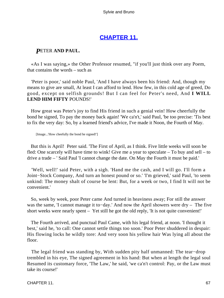## **[CHAPTER 11.](#page-177-0)**

## *P*ETER **AND PAUL.**

 «As I was saying,» the Other Professor resumed, "if you'll just think over any Poem, that contains the words – such as

 'Peter is poor,' said noble Paul, 'And I have always been his friend: And, though my means to give are small, At least I can afford to lend. How few, in this cold age of greed, Do good, except on selfish grounds! But I can feel for Peter's need, And **I WILL LEND HIM FIFTY** POUNDS!'

 How great was Peter's joy to find His friend in such a genial vein! How cheerfully the bond he signed, To pay the money back again! 'We ca'n't,' said Paul, 'be too precise: 'Tis best to fix the very day: So, by a learned friend's advice, I've made it Noon, the Fourth of May.

[Image...'How cheefully the bond he signed!']

 But this is April! Peter said. 'The First of April, as I think. Five little weeks will soon be fled: One scarcely will have time to wink! Give me a year to speculate – To buy and sell – to drive a trade – ' Said Paul 'I cannot change the date. On May the Fourth it must be paid.'

 'Well, well!' said Peter, with a sigh. 'Hand me the cash, and I will go. I'll form a Joint−Stock Company, And turn an honest pound or so.' 'I'm grieved,' said Paul, 'to seem unkind: The money shalt of course be lent: But, for a week or two, I find It will not be convenient.'

 So, week by week, poor Peter came And turned in heaviness away; For still the answer was the same, 'I cannot manage it to−day.' And now the April showers were dry – The five short weeks were nearly spent – Yet still he got the old reply, 'It is not quite convenient!'

 The Fourth arrived, and punctual Paul Came, with his legal friend, at noon. 'I thought it best,' said he, 'to call: One cannot settle things too soon.' Poor Peter shuddered in despair: His flowing locks he wildly tore: And very soon his yellow hair Was lying all about the floor.

 The legal friend was standing by, With sudden pity half unmanned: The tear−drop trembled in his eye, The signed agreement in his hand: But when at length the legal soul Resumed its customary force, 'The Law,' he said, 'we ca'n't control: Pay, or the Law must take its course!'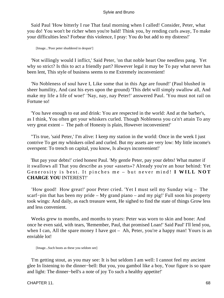Said Paul 'How bitterly I rue That fatal morning when I called! Consider, Peter, what you do! You won't be richer when you're bald! Think you, by rending curls away, To make your difficulties less? Forbear this violence, I pray: You do but add to my distress!'

[Image...'Poor peter shuddered in despair']

 'Not willingly would I inflict,' Said Peter, 'on that noble heart One needless pang. Yet why so strict? Is this to act a friendly part? However legal it may be To pay what never has been lent, This style of business seems to me Extremely inconvenient!

 'No Nobleness of soul have I, Like some that in this Age are found!' (Paul blushed in sheer humility, And cast his eyes upon the ground) 'This debt will simply swallow all, And make my life a life of woe!' 'Nay, nay, nay Peter!' answered Paul. 'You must not rail on Fortune so!

 'You have enough to eat and drink: You are respected in the world: And at the barber's, as I think, You often get your whiskers curled. Though Nobleness you ca'n't attain To any very great extent – The path of Honesty is plain, However inconvenient!'

 "Tis true, 'said Peter,' I'm alive: I keep my station in the world: Once in the week I just contrive To get my whiskers oiled and curled. But my assets are very low: My little income's overspent: To trench on capital, you know, Is always inconvenient!'

 'But pay your debts!' cried honest Paul. 'My gentle Peter, pay your debts! What matter if it swallows all That you describe as your «assets»? Already you're an hour behind: Yet Generosity is best. It pinches me – but never mind! **I WILL NOT CHARGE YOU** INTEREST!'

 'How good! How great!' poor Peter cried. 'Yet I must sell my Sunday wig – The scarf−pin that has been my pride – My grand piano – and my pig!' Full soon his property took wings: And daily, as each treasure went, He sighed to find the state of things Grow less and less convenient.

 Weeks grew to months, and months to years: Peter was worn to skin and bone: And once he even said, with tears, 'Remember, Paul, that promised Loan!' Said Paul' I'll lend you, when I can, All the spare money I have got – Ah, Peter, you're a happy man! Yours is an enviable lot!

[Image...Such boots as these you seldom see]

 'I'm getting stout, as you may see: It is but seldom I am well: I cannot feel my ancient glee In listening to the dinner−bell: But you, you gambol like a boy, Your figure is so spare and light: The dinner−bell's a note of joy To such a healthy appetite!'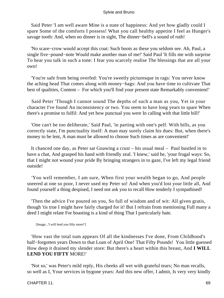Said Peter 'I am well aware Mine is a state of happiness: And yet how gladly could I spare Some of the comforts I possess! What you call healthy appetite I feel as Hunger's savage tooth: And, when no dinner is in sight, The dinner−bell's a sound of ruth!

 'No scare−crow would accept this coat: Such boots as these you seldom see. Ah, Paul, a single five−pound−note Would make another man of me!' Said Paul 'It fills me with surprise To hear you talk in such a tone: I fear you scarcely realise The blessings that are all your own!

 'You're safe from being overfed: You're sweetly picturesque in rags: You never know the aching head That comes along with money−bags: And you have time to cultivate That best of qualities, Content – For which you'll find your present state Remarkably convenient!'

 Said Peter 'Though I cannot sound The depths of such a man as you, Yet in your character I've found An inconsistency or two. You seem to have long years to spare When there's a promise to fulfil: And yet how punctual you were In calling with that little bill!'

 'One can't be too deliberate,' Said Paul, 'in parting with one's pelf. With bills, as you correctly state, I'm punctuality itself: A man may surely claim his dues: But, when there's money to be lent, A man must be allowed to choose Such times as are convenient!'

 It chanced one day, as Peter sat Gnawing a crust – his usual meal – Paul bustled in to have a chat, And grasped his hand with friendly zeal. 'I knew,' said he, 'your frugal ways: So, that I might not wound your pride By bringing strangers in to gaze, I've left my legal friend outside!

 'You well remember, I am sure, When first your wealth began to go, And people sneered at one so poor, I never used my Peter so! And when you'd lost your little all, And found yourself a thing despised, I need not ask you to recall How tenderly I sympathised!

 'Then the advice I've poured on you, So full of wisdom and of wit: All given gratis, though 'tis true I might have fairly charged for it! But I refrain from mentioning Full many a deed I might relate For boasting is a kind of thing That I particularly hate.

[Image...'I will lend you fifty more!']

 'How vast the total sum appears Of all the kindnesses I've done, From Childhood's half−forgotten years Down to that Loan of April One! That Fifty Pounds! You little guessed How deep it drained my slender store: But there's a heart within this breast, And **I WILL LEND YOU FIFTY** MORE!'

 'Not so,' was Peter's mild reply, His cheeks all wet with grateful tears; No man recalls, so well as I, Your services in bygone years: And this new offer, I admit, Is very very kindly

CHAPTER 11. 69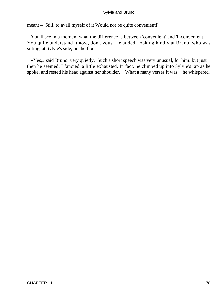meant – Still, to avail myself of it Would not be quite convenient!'

 You'll see in a moment what the difference is between 'convenient' and 'inconvenient.' You quite understand it now, don't you?" he added, looking kindly at Bruno, who was sitting, at Sylvie's side, on the floor.

 «Yes,» said Bruno, very quietly. Such a short speech was very unusual, for him: but just then he seemed, I fancied, a little exhausted. In fact, he climbed up into Sylvie's lap as he spoke, and rested his head against her shoulder. «What a many verses it was!» he whispered.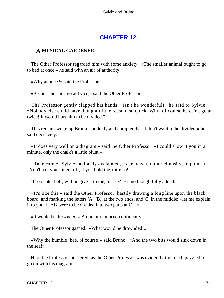# **[CHAPTER 12.](#page-177-0)**

## *A* **MUSICAL GARDENER.**

 The Other Professor regarded him with some anxiety. «The smaller animal ought to go to bed at once,» he said with an air of authority.

«Why at once?» said the Professor.

«Because he can't go at twice,» said the Other Professor.

 The Professor gently clapped his hands. 'Isn't he wonderful!« he said to Sylvie. »Nobody else could have thought of the reason, so quick. Why, of course he ca'n't go at twice! It would hurt him to be divided."

 This remark woke up Bruno, suddenly and completely. «I don't want to be divided,» he said decisively.

 «It does very well on a diagram,» said the Other Professor. «I could show it you in a minute, only the chalk's a little blunt.»

 «Take care!» Sylvie anxiously exclaimed, as he began, rather clumsily, to point it. «You'll cut your finger off, if you hold the knife so!»

"If oo cuts it off, will oo give it to me, please? Bruno thoughtfully added.

 «It's like this,» said the Other Professor, hastily drawing a long line upon the black board, and marking the letters 'A,' 'B,' at the two ends, and 'C' in the middle: «let me explain it to you. If AB were to be divided into two parts at  $C - \infty$ 

«It would be drownded,» Bruno pronounced confidently.

The Other Professor gasped. «What would be drownded?»

 «Why the bumble−bee, of course!» said Bruno. «And the two bits would sink down in the sea!»

 Here the Professor interfered, as the Other Professor was evidently too much puzzled to go on with his diagram.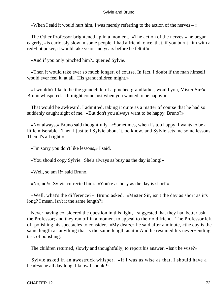«When I said it would hurt him, I was merely referring to the action of the nerves  $-\infty$ 

 The Other Professor brightened up in a moment. «The action of the nerves,» he began eagerly, «is curiously slow in some people. I had a friend, once, that, if you burnt him with a red−hot poker, it would take years and years before he felt it!»

«And if you only pinched him?» queried Sylvie.

 «Then it would take ever so much longer, of course. In fact, I doubt if the man himself would ever feel it, at all. His grandchildren might.»

 «I wouldn't like to be the grandchild of a pinched grandfather, would you, Mister Sir?» Bruno whispered. «It might come just when you wanted to be happy!»

 That would be awkward, I admitted, taking it quite as a matter of course that he had so suddenly caught sight of me. «But don't you always want to be happy, Bruno?»

 «Not always,» Bruno said thoughtfully. «Sometimes, when I's too happy, I wants to be a little miserable. Then I just tell Sylvie about it, oo know, and Sylvie sets me some lessons. Then it's all right.»

«I'm sorry you don't like lessons,» I said.

«You should copy Sylvie. She's always as busy as the day is long!»

«Well, so am I!» said Bruno.

«No, no!» Sylvie corrected him. «You're as busy as the day is short!»

 «Well, what's the difference?» Bruno asked. «Mister Sir, isn't the day as short as it's long? I mean, isn't it the same length?»

 Never having considered the question in this light, I suggested that they had better ask the Professor; and they ran off in a moment to appeal to their old friend. The Professor left off polishing his spectacles to consider. «My dears,» he said after a minute, «the day is the same length as anything that is the same length as it.» And he resumed his never−ending task of polishing.

The children returned, slowly and thoughtfully, to report his answer. «Isn't he wise?»

 Sylvie asked in an awestruck whisper. «If I was as wise as that, I should have a head−ache all day long. I know I should!»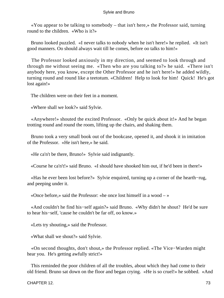«You appear to be talking to somebody – that isn't here,» the Professor said, turning round to the children. «Who is it?»

 Bruno looked puzzled. «I never talks to nobody when he isn't here!» he replied. «It isn't good manners. Oo should always wait till he comes, before oo talks to him!»

 The Professor looked anxiously in my direction, and seemed to look through and through me without seeing me. «Then who are you talking to?» he said. «There isn't anybody here, you know, except the Other Professor and he isn't here!» he added wildly, turning round and round like a teetotum. «Children! Help to look for him! Quick! He's got lost again!»

The children were on their feet in a moment.

«Where shall we look?» said Sylvie.

 «Anywhere!» shouted the excited Professor. «Only be quick about it!» And he began trotting round and round the room, lifting up the chairs, and shaking them.

 Bruno took a very small book out of the bookcase, opened it, and shook it in imitation of the Professor. «He isn't here,» he said.

«He ca'n't be there, Bruno!» Sylvie said indignantly.

«Course he ca'n't!» said Bruno. «I should have shooked him out, if he'd been in there!»

 «Has he ever been lost before?» Sylvie enquired, turning up a corner of the hearth−rug, and peeping under it.

«Once before,» said the Professor: «he once lost himself in a wood – »

 «And couldn't he find his−self again?» said Bruno. «Why didn't he shout? He'd be sure to hear his−self, 'cause he couldn't be far off, oo know.»

«Lets try shouting,» said the Professor.

«What shall we shout?» said Sylvie.

 «On second thoughts, don't shout,» the Professor replied. «The Vice−Warden might hear you. He's getting awfully strict!»

 This reminded the poor children of all the troubles, about which they had come to their old friend. Bruno sat down on the floor and began crying. «He is so cruel!» he sobbed. «And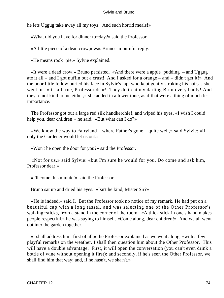he lets Uggug take away all my toys! And such horrid meals!»

«What did you have for dinner to−day?» said the Professor.

«A little piece of a dead crow,» was Bruno's mournful reply.

«He means rook−pie,» Sylvie explained.

 «It were a dead crow,» Bruno persisted. «And there were a apple−pudding – and Uggug ate it all – and I got nuffin but a crust! And I asked for a orange – and – didn't get it!» And the poor little fellow buried his face in Sylvie's lap, who kept gently stroking his hair,as she went on. «It's all true, Professor dear! They do treat my darling Bruno very badly! And they're not kind to me either,» she added in a lower tone, as if that were a thing of much less importance.

 The Professor got out a large red silk handkerchief, and wiped his eyes. «I wish I could help you, dear children!» he said. «But what can I do?»

 «We know the way to Fairyland – where Father's gone – quite well,» said Sylvie: «if only the Gardener would let us out.»

«Won't he open the door for you?» said the Professor.

 «Not for us,» said Sylvie: «but I'm sure he would for you. Do come and ask him, Professor dear!»

«I'll come this minute!» said the Professor.

Bruno sat up and dried his eyes. «Isn't he kind, Mister Sir?»

 «He is indeed,» said I. But the Professor took no notice of my remark. He had put on a beautiful cap with a long tassel, and was selecting one of the Other Professor's walking−sticks, from a stand in the corner of the room. «A thick stick in one's hand makes people respectful,» he was saying to himself. «Come along, dear children!» And we all went out into the garden together.

 «I shall address him, first of all,» the Professor explained as we went along, «with a few playful remarks on the weather. I shall then question him about the Other Professor. This will have a double advantage. First, it will open the conversation (you can't even drink a bottle of wine without opening it first): and secondly, if he's seen the Other Professor, we shall find him that way: and, if he hasn't, we sha'n't.»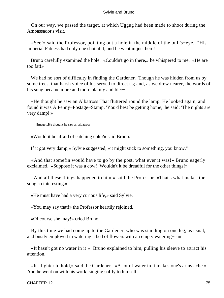On our way, we passed the target, at which Uggug had been made to shoot during the Ambassador's visit.

 «See!» said the Professor, pointing out a hole in the middle of the bull's−eye. "His Imperial Fatness had only one shot at it; and he went in just here!

 Bruno carefully examined the hole. «Couldn't go in there,» he whispered to me. «He are too fat!»

 We had no sort of difficulty in finding the Gardener. Though he was hidden from us by some trees, that harsh voice of his served to direct us; and, as we drew nearer, the words of his song became more and more plainly audible:−

 «He thought he saw an Albatross That fluttered round the lamp: He looked again, and found it was A Penny−Postage−Stamp. 'You'd best be getting home,' he said: 'The nights are very damp!'»

[Image...He thought he saw an albatross]

«Would it be afraid of catching cold?» said Bruno.

If it got very damp,« Sylvie suggested, »it might stick to something, you know."

 «And that somefin would have to go by the post, what ever it was!» Bruno eagerly exclaimed. «Suppose it was a cow! Wouldn't it be dreadful for the other things!»

 «And all these things happened to him,» said the Professor. «That's what makes the song so interesting.»

«He must have had a very curious life,» said Sylvie.

«You may say that!» the Professor heartily rejoined.

«Of course she may!» cried Bruno.

 By this time we had come up to the Gardener, who was standing on one leg, as usual, and busily employed in watering a bed of flowers with an empty watering−can.

 «It hasn't got no water in it!» Bruno explained to him, pulling his sleeve to attract his attention.

 «It's lighter to hold,» said the Gardener. «A lot of water in it makes one's arms ache.» And he went on with his work, singing softly to himself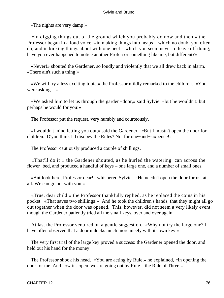«The nights are very damp!»

 «In digging things out of the ground which you probably do now and then,» the Professor began in a loud voice; «in making things into heaps – which no doubt you often do; and in kicking things about with one heel – which you seem never to leave off doing; have you ever happened to notice another Professor something like me, but different?»

 «Never!» shouted the Gardener, so loudly and violently that we all drew back in alarm. «There ain't such a thing!»

 «We will try a less exciting topic,» the Professor mildly remarked to the children. «You were asking  $-\infty$ 

 «We asked him to let us through the garden−door,» said Sylvie: «but he wouldn't: but perhaps he would for you!»

The Professor put the request, very humbly and courteously.

 «I wouldn't mind letting you out,» said the Gardener. «But I mustn't open the door for children. D'you think I'd disobey the Rules? Not for one−and−sixpence!»

The Professor cautiously produced a couple of shillings.

 «That'll do it!» the Gardener shouted, as he hurled the watering−can across the flower−bed, and produced a handful of keys – one large one, and a number of small ones.

 «But look here, Professor dear!» whispered Sylvie. «He needn't open the door for us, at all. We can go out with you.»

 «True, dear child!» the Professor thankfully replied, as he replaced the coins in his pocket. «That saves two shillings!» And he took the children's hands, that they might all go out together when the door was opened. This, however, did not seem a very likely event, though the Gardener patiently tried all the small keys, over and over again.

 At last the Professor ventured on a gentle suggestion. «Why not try the large one? I have often observed that a door unlocks much more nicely with its own key.»

 The very first trial of the large key proved a success: the Gardener opened the door, and held out his hand for the money.

 The Professor shook his head. «You are acting by Rule,» he explained, «in opening the door for me. And now it's open, we are going out by Rule – the Rule of Three.»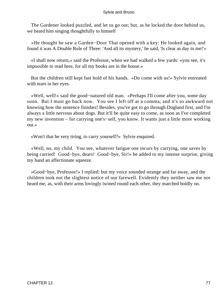The Gardener looked puzzled, and let us go out; but, as he locked the door behind us, we heard him singing thoughtfully to himself

 «He thought he saw a Garden−Door That opened with a key: He looked again, and found it was A Double Rule of Three: 'And all its mystery,' he said, 'Is clear as day to me!'»

 «I shall now return,» said the Professor, when we had walked a few yards: «you see, it's impossible to read here, for all my books are in the house.»

 But the children still kept fast hold of his hands. «Do come with us!» Sylvie entreated with tears in her eyes.

 «Well, well!» said the good−natured old man. «Perhaps I'll come after you, some day soon. But I must go back now. You see I left off at a comma, and it's so awkward not knowing how the sentence finishes! Besides, you've got to go through Dogland first, and I'm always a little nervous about dogs. But it'll be quite easy to come, as soon as I've completed my new invention – for carrying one's−self, you know. It wants just a little more working out.»

«Won't that be very tiring, to carry yourself?» Sylvie enquired.

 «Well, no, my child. You see, whatever fatigue one incurs by carrying, one saves by being carried! Good−bye, dears! Good−bye, Sir!» he added to my intense surprise, giving my hand an affectionate squeeze.

 «Good−bye, Professor!» I replied: but my voice sounded strange and far away, and the children took not the slightest notice of our farewell. Evidently they neither saw me nor heard me, as, with their arms lovingly twined round each other, they marched boldly on.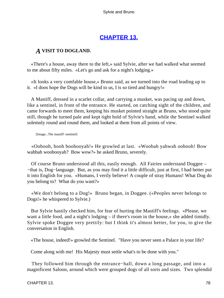# **[CHAPTER 13.](#page-177-0)**

# *A* **VISIT TO DOGLAND.**

 «There's a house, away there to the left,» said Sylvie, after we had walked what seemed to me about fifty miles. «Let's go and ask for a night's lodging.»

 «It looks a very comfable house,» Bruno said, as we turned into the road leading up to it. «I doos hope the Dogs will be kind to us, I is so tired and hungry!»

 A Mastiff, dressed in a scarlet collar, and carrying a musket, was pacing up and down, like a sentinel, in front of the entrance. He started, on catching sight of the children, and came forwards to meet them, keeping his musket pointed straight at Bruno, who stood quite still, though he turned pale and kept tight hold of Sylvie's hand, while the Sentinel walked solemnly round and round them, and looked at them from all points of view.

[Image...The mastiff−sentinel]

 «Oobooh, hooh boohooyah!» He growled at last. «Woobah yahwah oobooh! Bow wahbah woobooyah? Bow wow?» he asked Bruno, severely.

 Of course Bruno understood all this, easily enough. All Fairies understand Doggee – −that is, Dog−language. But, as you may find it a little difficult, just at first, I had better put it into English for you. «Humans, I verily believe! A couple of stray Humans! What Dog do you belong to? What do you want?»

 «We don't belong to a Dog!» Bruno began, in Doggee. («Peoples never belongs to Dogs!» he whispered to Sylvie.)

 But Sylvie hastily checked him, for fear of hurting the Mastiff's feelings. «Please, we want a little food, and a night's lodging – if there's room in the house,» she added timidly. Sylvie spoke Doggee very prettily: but I think it's almost better, for you, to give the conversation in English.

«The house, indeed!» growled the Sentinel. "Have you never seen a Palace in your life?

Come along with me! His Majesty must settle what's to be done with you."

 They followed him through the entrance−hall, down a long passage, and into a magnificent Saloon, around which were grouped dogs of all sorts and sizes. Two splendid

CHAPTER 13. 28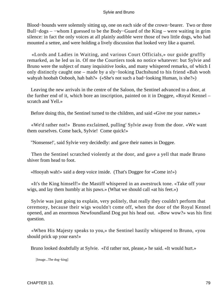Blood−hounds were solemnly sitting up, one on each side of the crown−bearer. Two or three Bull−dogs – −whom I guessed to be the Body−Guard of the King – were waiting in grim silence: in fact the only voices at all plainly audible were those of two little dogs, who had mounted a settee, and were holding a lively discussion that looked very like a quarrel.

 «Lords and Ladies in Waiting, and various Court Officials,» our guide gruffly remarked, as he led us in. Of me the Courtiers took no notice whatever: but Sylvie and Bruno were the subject of many inquisitive looks, and many whispered remarks, of which I only distinctly caught one – made by a sly−looking Dachshund to his friend «Bah wooh wahyah hoobah Oobooh, hah bah?» («She's not such a bad−looking Human, is she?»)

 Leaving the new arrivals in the centre of the Saloon, the Sentinel advanced to a door, at the further end of it, which bore an inscription, painted on it in Doggee, «Royal Kennel – scratch and Yell.»

Before doing this, the Sentinel turned to the children, and said «Give me your names.»

 «We'd rather not!» Bruno exclaimed, pulling' Sylvie away from the door. «We want them ourselves. Come back, Sylvie! Come quick!»

"Nonsense!', said Sylvie very decidedly: and gave their names in Doggee.

 Then the Sentinel scratched violently at the door, and gave a yell that made Bruno shiver from head to foot.

«Hooyah wah!» said a deep voice inside. (That's Doggee for «Come in!»)

 «It's the King himself!» the Mastiff whispered in an awestruck tone. «Take off your wigs, and lay them humbly at his paws.» (What we should call «at his feet.»)

 Sylvie was just going to explain, very politely, that really they couldn't perform that ceremony, because their wigs wouldn't come off, when the door of the Royal Kennel opened, and an enormous Newfoundland Dog put his head out. «Bow wow?» was his first question.

 «When His Majesty speaks to you,» the Sentinel hastily whispered to Bruno, «you should prick up your ears!»

Bruno looked doubtfully at Sylvie. «I'd rather not, please,» he said. «It would hurt.»

[Image...The dog−king]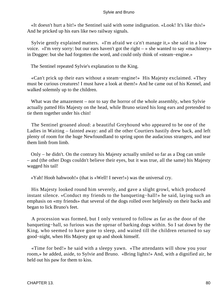«It doesn't hurt a bit!» the Sentinel said with some indignation. «Look! It's like this!» And he pricked up his ears like two railway signals.

 Sylvie gently explained matters. «I'm afraid we ca'n't manage it,» she said in a low voice. «I'm very sorry: but our ears haven't got the right – » she wanted to say «machinery» in Doggee: but she had forgotten the word, and could only think of «steam−engine.»

The Sentinel repeated Sylvie's explanation to the King.

 «Can't prick up their ears without a steam−engine!» His Majesty exclaimed. «They must be curious creatures! I must have a look at them!» And he came out of his Kennel, and walked solemnly up to the children.

What was the amazement – nor to say the horror of the whole assembly, when Sylvie actually patted His Majesty on the head, while Bruno seized his long ears and pretended to tie them together under his chin!

 The Sentinel groaned aloud: a beautiful Greyhound who appeared to be one of the Ladies in Waiting – fainted away: and all the other Courtiers hastily drew back, and left plenty of room for the huge Newfoundland to spring upon the audacious strangers, and tear them limb from limb.

 Only – he didn't. On the contrary his Majesty actually smiled so far as a Dog can smile – and (the other Dogs couldn't believe their eyes, but it was true, all the same) his Majesty wagged his tail!

«Yah! Hooh hahwooh!» (that is «Well! I never!») was the universal cry.

 His Majesty looked round him severely, and gave a slight growl, which produced instant silence. «Conduct my friends to the banqueting−hall!» he said, laying such an emphasis on «my friends» that several of the dogs rolled over helplessly on their backs and began to lick Bruno's feet.

 A procession was formed, but I only ventured to follow as far as the door of the banqueting−hall, so furious was the uproar of barking dogs within. So I sat down by the King, who seemed to have gone to sleep, and waited till the children returned to say good−night, when His Majesty got up and shook himself.

 «Time for bed!» he said with a sleepy yawn. «The attendants will show you your room,» he added, aside, to Sylvie and Bruno. «Bring lights!» And, with a dignified air, he held out his paw for them to kiss.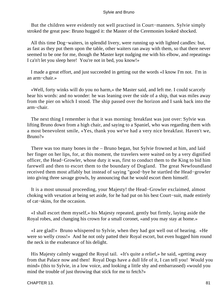But the children were evidently not well practised in Court−manners. Sylvie simply stroked the great paw: Bruno hugged it: the Master of the Ceremonies looked shocked.

 All this time Dog−waiters, in splendid livery, were running up with lighted candles: but, as fast as they put them upon the table, other waiters ran away with them, so that there never seemed to be one for me, though the Master kept nudging me with his elbow, and repeating« I ca'n't let you sleep here! You're not in bed, you know!»

 I made a great effort, and just succeeded in getting out the words «I know I'm not. I'm in an arm−chair.»

 «Well, forty winks will do you no harm,» the Master said, and left me. I could scarcely hear his words: and no wonder: he was leaning over the side of a ship, that was miles away from the pier on which I stood. The ship passed over the horizon and I sank back into the arm−chair.

 The next thing I remember is that it was morning: breakfast was just over: Sylvie was lifting Bruno down from a high chair, and saying to a Spaniel, who was regarding them with a most benevolent smile, «Yes, thank you we've had a very nice breakfast. Haven't we, Bruno?»

 There was too many bones in the – Bruno began, but Sylvie frowned at him, and laid her finger on her lips, for, at this moment, the travelers were waited on by a very dignified officer, the Head−Growler, whose duty it was, first to conduct them to the King to bid him farewell and then to escort them to the boundary of Dogland. The great Newfoundland received them most affably but instead of saying "good−bye he startled the Head−growler into giving three savage growls, by announcing that he would escort them himself.

 It is a most unusual proceeding, your Majesty! the Head−Growler exclaimed, almost choking with vexation at being set aside, for he had put on his best Court−suit, made entirely of cat−skins, for the occasion.

 «I shall escort them myself,» his Majesty repeated, gently but firmly, laying aside the Royal robes, and changing his crown for a small coronet, «and you may stay at home.»

 «I are glad!» Bruno whispered to Sylvie, when they had got well out of hearing. «He were so welly cross!» And he not only patted their Royal escort, but even hugged him round the neck in the exuberance of his delight.

 His Majesty calmly wagged the Royal tail. «It's quite a relief,» he said, «getting away from that Palace now and then! Royal Dogs have a dull life of it, I can tell you! Would you mind» (this to Sylvie, in a low voice, and looking a little shy and embarrassed) «would you mind the trouble of just throwing that stick for me to fetch?»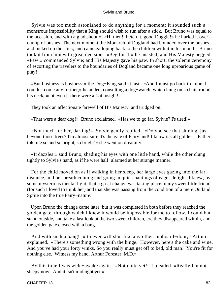Sylvie was too much astonished to do anything for a moment: it sounded such a monstrous impossibility that a King should wish to run after a stick. But Bruno was equal to the occasion, and with a glad shout of «Hi then! Fetch it, good Doggie!» he hurled it over a clump of bushes. The next moment the Monarch of Dogland had bounded over the bushes, and picked up the stick, and came galloping back to the children with it in his mouth. Bruno took it from him with great decision. «Beg for it!» he insisted; and His Majesty begged. «Paw!» commanded Sylvie; and His Majesty gave his paw. In short, the solemn ceremony of escorting the travelers to the boundaries of Dogland became one long uproarious game of play!

 «But business is business!» the Dog−King said at last. «And I must go back to mine. I couldn't come any further,» he added, consulting a dog−watch, which hung on a chain round his neck, «not even if there were a Cat insight!»

They took an affectionate farewell of His Majesty, and trudged on.

«That were a dear dog!» Bruno exclaimed. «Has we to go far, Sylvie? I's tired!»

 «Not much further, darling!» Sylvie gently replied. «Do you see that shining, just beyond those trees? I'm almost sure it's the gate of Fairyland! I know it's all golden – Father told me so and so bright, so bright!» she went on dreamily.

 «It dazzles!» said Bruno, shading his eyes with one little hand, while the other clung tightly to Sylvie's hand, as if he were half−alarmed at her strange manner.

 For the child moved on as if walking in her sleep, her large eyes gazing into the far distance, and her breath coming and going in quick pantings of eager delight. I knew, by some mysterious mental light, that a great change was taking place in my sweet little friend (for such I loved to think her) and that she was passing from the condition of a mere Outland Sprite into the true Fairy−nature.

 Upon Bruno the change came later: but it was completed in both before they reached the golden gate, through which I knew it would be impossible for me to follow. I could but stand outside, and take a last look at the two sweet children, ere they disappeared within, and the golden gate closed with a bang.

 And with such a bang! «It never will shut like any other cupboard−door,» Arthur explained. «There's something wrong with the hinge. However, here's the cake and wine. And you've had your forty winks. So you really must get off to bed, old man! You're fit for nothing else. Witness my hand, Arthur Forester, M.D.»

 By this time I was wide−awake again. «Not quite yet!» I pleaded. «Really I'm not sleepy now. And it isn't midnight yet.»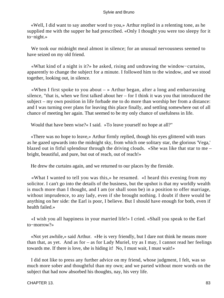«Well, I did want to say another word to you,» Arthur replied in a relenting tone, as he supplied me with the supper he had prescribed. «Only I thought you were too sleepy for it to−night.»

 We took our midnight meal almost in silence; for an unusual nervousness seemed to have seized on my old friend.

 «What kind of a night is it?» he asked, rising and undrawing the window−curtains, apparently to change the subject for a minute. I followed him to the window, and we stood together, looking out, in silence.

«When I first spoke to you about  $-\infty$  Arthur began, after a long and embarrassing silence, "that is, when we first talked about her – for I think it was you that introduced the subject – my own position in life forbade me to do more than worship her from a distance: and I was turning over plans for leaving this place finally, and settling somewhere out of all chance of meeting her again. That seemed to be my only chance of usefulness in life.

Would that have been wise?« I said. »To leave yourself no hope at all?"

 «There was no hope to leave,» Arthur firmly replied, though his eyes glittered with tears as he gazed upwards into the midnight sky, from which one solitary star, the glorious 'Vega,' blazed out in fitful splendour through the driving clouds. «She was like that star to me – bright, beautiful, and pure, but out of reach, out of reach!»

He drew the curtains again, and we returned to our places by the fireside.

 «What I wanted to tell you was this,» he resumed. «I heard this evening from my solicitor. I can't go into the details of the business, but the upshot is that my worldly wealth is much more than I thought, and I am (or shall soon be) in a position to offer marriage, without imprudence, to any lady, even if she brought nothing. I doubt if there would be anything on her side: the Earl is poor, I believe. But I should have enough for both, even if health failed.»

 «I wish you all happiness in your married life!» I cried. «Shall you speak to the Earl to−morrow?»

 «Not yet awhile,» said Arthur. «He is very friendly, but I dare not think he means more than that, as yet. And as for – as for Lady Muriel, try as I may, I cannot read her feelings towards me. If there is love, she is hiding it! No, I must wait, I must wait!»

 I did not like to press any further advice on my friend, whose judgment, I felt, was so much more sober and thoughtful than my own; and we parted without more words on the subject that had now absorbed his thoughts, nay, his very life.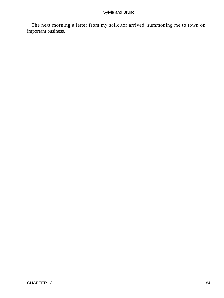The next morning a letter from my solicitor arrived, summoning me to town on important business.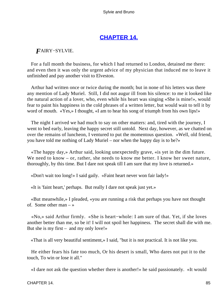# **[CHAPTER 14.](#page-177-0)**

# *F*AIRY−SYLVlE.

 For a full month the business, for which I had returned to London, detained me there: and even then it was only the urgent advice of my physician that induced me to leave it unfinished and pay another visit to Elveston.

 Arthur had written once or twice during the month; but in none of his letters was there any mention of Lady Muriel. Still, I did not augur ill from his silence: to me it looked like the natural action of a lover, who, even while his heart was singing «She is mine!», would fear to paint his happiness in the cold phrases of a written letter, but would wait to tell it by word of mouth. «Yes,» I thought, «I am to hear his song of triumph from his own lips!»

 The night I arrived we had much to say on other matters: and, tired with the journey, I went to bed early, leaving the happy secret still untold. Next day, however, as we chatted on over the remains of luncheon, I ventured to put the momentous question. «Well, old friend, you have told me nothing of Lady Muriel – nor when the happy day is to be?»

 «The happy day,» Arthur said, looking unexpectedly grave, «is yet in the dim future. We need to know – or, rather, she needs to know me better. I know her sweet nature, thoroughly, by this time. But I dare not speak till I am sure that my love is returned.»

«Don't wait too long!» I said gaily. «Faint heart never won fair lady!»

«It is 'faint heart,' perhaps. But really I dare not speak just yet.»

 «But meanwhile,» I pleaded, «you are running a risk that perhaps you have not thought of. Some other man – »

 «No,» said Arthur firmly. «She is heart−whole: I am sure of that. Yet, if she loves another better than me, so be it! I will not spoil her happiness. The secret shall die with me. But she is my first – and my only love!»

«That is all very beautiful sentiment,» I said, "but it is not practical. It is not like you.

 He either fears his fate too much, Or his desert is small, Who dares not put it to the touch, To win or lose it all."

«I dare not ask the question whether there is another!» he said passionately. «It would

CHAPTER 14. 85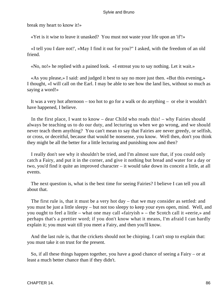break my heart to know it!»

«Yet is it wise to leave it unasked? You must not waste your life upon an 'if'!»

 «I tell you I dare not!', »May I find it out for you?" I asked, with the freedom of an old friend.

«No, no!» he replied with a pained look. «I entreat you to say nothing. Let it wait.»

 «As you please,» I said: and judged it best to say no more just then. «But this evening,» I thought, «I will call on the Earl. I may be able to see how the land lies, without so much as saying a word!»

 It was a very hot afternoon – too hot to go for a walk or do anything – or else it wouldn't have happened, I believe.

 In the first place, I want to know – dear Child who reads this! – why Fairies should always be teaching us to do our duty, and lecturing us when we go wrong, and we should never teach them anything? You can't mean to say that Fairies are never greedy, or selfish, or cross, or deceitful, because that would be nonsense, you know. Well then, don't you think they might be all the better for a little lecturing and punishing now and then?

 I really don't see why it shouldn't be tried, and I'm almost sure that, if you could only catch a Fairy, and put it in the corner, and give it nothing but bread and water for a day or two, you'd find it quite an improved character – it would take down its conceit a little, at all events.

 The next question is, what is the best time for seeing Fairies? I believe I can tell you all about that.

 The first rule is, that it must be a very hot day – that we may consider as settled: and you must be just a little sleepy – but not too sleepy to keep your eyes open, mind. Well, and you ought to feel a little – what one may call «fairyish » – the Scotch call it «eerie,» and perhaps that's a prettier word; if you don't know what it means, I'm afraid I can hardly explain it; you must wait till you meet a Fairy, and then you'll know.

 And the last rule is, that the crickets should not be chirping. I can't stop to explain that: you must take it on trust for the present.

 So, if all these things happen together, you have a good chance of seeing a Fairy – or at least a much better chance than if they didn't.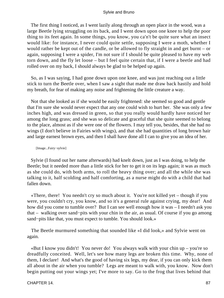The first thing I noticed, as I went lazily along through an open place in the wood, was a large Beetle lying struggling on its back, and I went down upon one knee to help the poor thing to its feet again. In some things, you know, you ca'n't be quite sure what an insect would like: for instance, I never could quite settle, supposing I were a moth, whether I would rather be kept out of the candle, or be allowed to fly straight in and get burnt – or again, supposing I were a spider, I'm not sure if I should be quite pleased to have my web torn down, and the fly let loose – but I feel quite certain that, if I were a beetle and had rolled over on my back, I should always be glad to be helped up again.

 So, as I was saying, I had gone down upon one knee, and was just reaching out a little stick to turn the Beetle over, when I saw a sight that made me draw back hastily and hold my breath, for fear of making any noise and frightening the little creature a way.

 Not that she looked as if she would be easily frightened: she seemed so good and gentle that I'm sure she would never expect that any one could wish to hurt her. She was only a few inches high, and was dressed in green, so that you really would hardly have noticed her among the long grass; and she was so delicate and graceful that she quite seemed to belong to the place, almost as if she were one of the flowers. I may tell you, besides, that she had no wings (I don't believe in Fairies with wings), and that she had quantities of long brown hair and large earnest brown eyes, and then I shall have done all I can to give you an idea of her.

#### [Image...Fairy−sylvie]

 Sylvie (I found out her name afterwards) had knelt down, just as I was doing, to help the Beetle; but it needed more than a little stick for her to get it on its legs again; it was as much as she could do, with both arms, to roll the heavy thing over; and all the while she was talking to it, half scolding and half comforting, as a nurse might do with a child that had fallen down.

 «There, there! You needn't cry so much about it. You're not killed yet – though if you were, you couldn't cry, you know, and so it's a general rule against crying, my dear! And how did you come to tumble over? But I can see well enough how it was – I needn't ask you that – walking over sand−pits with your chin in the air, as usual. Of course if you go among sand−pits like that, you must expect to tumble. You should look.»

 The Beetle murmured something that sounded like «I did look,» and Sylvie went on again.

 «But I know you didn't! You never do! You always walk with your chin up – you're so dreadfully conceited. Well, let's see how many legs are broken this time. Why, none of them, I declare! And what's the good of having six legs, my dear, if you can only kick them all about in the air when you tumble? Legs are meant to walk with, you know. Now don't begin putting out your wings yet; I've more to say. Go to the frog that lives behind that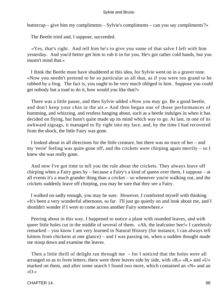buttercup – give him my compliments – Sylvie's compliments – can you say compliments'?»

The Beetle tried and, I suppose, succeeded.

 «Yes, that's right. And tell him he's to give you some of that salve I left with him yesterday. And you'd better get him to rub it in for you. He's got rather cold hands, but you mustn't mind that.»

 I think the Beetle must have shuddered at this idea, for Sylvie went on in a graver tone. «Now you needn't pretend to be so particular as all that, as if you were too grand to be rubbed by a frog. The fact is, you ought to be very much obliged to him. Suppose you could get nobody but a toad to do it, how would you like that?»

 There was a little pause, and then Sylvie added «Now you may go. Be a good beetle, and don't keep your chin in the air.» And then began one of those performances of humming, and whizzing, and restless banging about, such as a beetle indulges in when it has decided on flying, but hasn't quite made up its mind which way to go. At last, in one of its awkward zigzags, it managed to fly right into my face, and, by the time I had recovered from the shock, the little Fairy was gone.

 I looked about in all directions for the little creature, but there was no trace of her – and my 'eerie' feeling was quite gone off, and the crickets were chirping again merrily – so I knew she was really gone.

 And now I've got time to tell you the rule about the crickets. They always leave off chirping when a Fairy goes by – because a Fairy's a kind of queen over them, I suppose – at all events it's a much grander thing than a cricket – so whenever you're walking out, and the crickets suddenly leave off chirping, you may be sure that they see a Fairy.

 I walked on sadly enough, you may be sure. However, I comforted myself with thinking «It's been a very wonderful afternoon, so far. I'll just go quietly on and look about me, and I shouldn't wonder if I were to come across another Fairy somewhere.»

 Peering about in this way, I happened to notice a plant with rounded leaves, and with queer little holes cut in the middle of several of them. «Ah, the leafcutter bee!» I carelessly remarked – you know I am very learned in Natural History (for instance, I can always tell kittens from chickens at one glance) – and I was passing on, when a sudden thought made me stoop down and examine the leaves.

 Then a little thrill of delight ran through me – for I noticed that the holes were all arranged so as to form letters; there were three leaves side by side, with «B,» «R,» and «U» marked on them, and after some search I found two more, which contained an «N» and an «O.»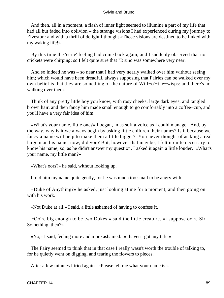And then, all in a moment, a flash of inner light seemed to illumine a part of my life that had all but faded into oblivion – the strange visions I had experienced during my journey to Elveston: and with a thrill of delight I thought «Those visions are destined to be linked with my waking life!»

 By this time the 'eerie' feeling had come back again, and I suddenly observed that no crickets were chirping; so I felt quite sure that "Bruno was somewhere very near.

 And so indeed he was – so near that I had very nearly walked over him without seeing him; which would have been dreadful, always supposing that Fairies can be walked over my own belief is that they are something of the nature of Will−o'−the−wisps: and there's no walking over them.

 Think of any pretty little boy you know, with rosy cheeks, large dark eyes, and tangled brown hair, and then fancy him made small enough to go comfortably into a coffee−cup, and you'll have a very fair idea of him.

 «What's your name, little one?» I began, in as soft a voice as I could manage. And, by the way, why is it we always begin by asking little children their names? Is it because we fancy a name will help to make them a little bigger? You never thought of as king a real large man his name, now, did you? But, however that may be, I felt it quite necessary to know his name; so, as he didn't answer my question, I asked it again a little louder. «What's your name, my little man?»

«What's oors?» he said, without looking up.

I told him my name quite gently, for he was much too small to be angry with.

 «Duke of Anything?» he asked, just looking at me for a moment, and then going on with his work.

«Not Duke at all,» I said, a little ashamed of having to confess it.

 «Oo're big enough to be two Dukes,» said the little creature. «I suppose oo're Sir Something, then?»

«No,» I said, feeling more and more ashamed. «I haven't got any title.»

 The Fairy seemed to think that in that case I really wasn't worth the trouble of talking to, for he quietly went on digging, and tearing the flowers to pieces.

After a few minutes I tried again. «Please tell me what your name is.»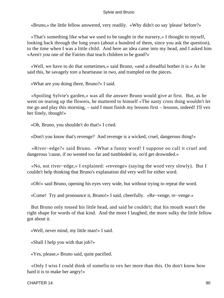«Bruno,» the little fellow answered, very readily. «Why didn't oo say 'please' before?»

 «That's something like what we used to be taught in the nursery,» I thought to myself, looking back through the long years (about a hundred of them, since you ask the question), to the time when I was a little child. And here an idea came into my head, and I asked him «Aren't you one of the Fairies that teach children to be good?»

 «Well, we have to do that sometimes,» said Bruno, «and a dreadful bother it is.» As he said this, he savagely tore a heartsease in two, and trampled on the pieces.

«What are you doing there, Bruno?» I said.

 «Spoiling Sylvie's garden,» was all the answer Bruno would give at first. But, as he went on tearing up the flowers, he muttered to himself «The nasty cross thing wouldn't let me go and play this morning, – said I must finish my lessons first – lessons, indeed! I'll vex her finely, though!»

«Oh, Bruno, you shouldn't do that!» I cried.

«Don't you know that's revenge? And revenge is a wicked, cruel, dangerous thing!»

 «River−edge?» said Bruno. «What a funny word! I suppose oo call it cruel and dangerous 'cause, if oo wented too far and tumbleded in, oo'd get drownded.»

 «No, not river−edge,» I explained: «revenge» (saying the word very slowly). But I couldn't help thinking that Bruno's explanation did very well for either word.

«Oh!» said Bruno, opening his eyes very wide, but without trying to repeat the word.

«Come! Try and pronounce it, Bruno!» I said, cheerfully. «Re−venge, re−venge.»

 But Bruno only tossed his little head, and said he couldn't; that his mouth wasn't the right shape for words of that kind. And the more I laughed, the more sulky the little fellow got about it.

«Well, never mind, my little man!» I said.

«Shall I help you with that job?»

«Yes, please,» Bruno said, quite pacified.

 «Only I wiss I could think of somefin to vex her more than this. Oo don't know how hard it is to make her angry!»

CHAPTER 14. 90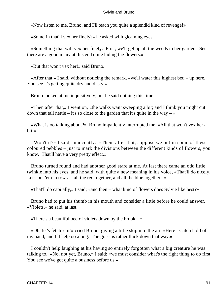«Now listen to me, Bruno, and I'll teach you quite a splendid kind of revenge!»

«Somefin that'll vex her finely?» he asked with gleaming eyes.

 «Something that will vex her finely. First, we'll get up all the weeds in her garden. See, there are a good many at this end quite hiding the flowers.»

«But that won't vex her!» said Bruno.

 «After that,» I said, without noticing the remark, «we'll water this highest bed – up here. You see it's getting quite dry and dusty.»

Bruno looked at me inquisitively, but he said nothing this time.

 «Then after that,» I went on, «the walks want sweeping a bit; and I think you might cut down that tall nettle – it's so close to the garden that it's quite in the way –  $\gg$ 

 «What is oo talking about?» Bruno impatiently interrupted me. «All that won't vex her a bit!»

 «Won't it?» I said, innocently. «Then, after that, suppose we put in some of these coloured pebbles – just to mark the divisions between the different kinds of flowers, you know. That'll have a very pretty effect.»

 Bruno turned round and had another good stare at me. At last there came an odd little twinkle into his eyes, and he said, with quite a new meaning in his voice, «That'll do nicely. Let's put 'em in rows – all the red together, and all the blue together. »

«That'll do capitally,» I said; «and then – what kind of flowers does Sylvie like best?»

 Bruno had to put his thumb in his mouth and consider a little before he could answer. «Violets,» he said, at last.

«There's a beautiful bed of violets down by the brook  $-\infty$ 

 «Oh, let's fetch 'em!» cried Bruno, giving a little skip into the air. «Here! Catch hold of my hand, and I'll help oo along. The grass is rather thick down that way.»

 I couldn't help laughing at his having so entirely forgotten what a big creature he was talking to. «No, not yet, Bruno,» I said: «we must consider what's the right thing to do first. You see we've got quite a business before us.»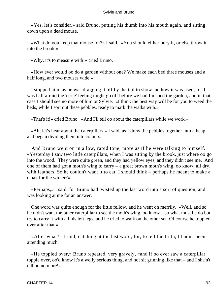«Yes, let's consider,» said Bruno, putting his thumb into his mouth again, and sitting down upon a dead mouse.

 «What do you keep that mouse for?» I said. «You should either bury it, or else throw it into the brook.»

«Why, it's to measure with!» cried Bruno.

 «How ever would oo do a garden without one? We make each bed three mouses and a half long, and two mouses wide.»

 I stopped him, as he was dragging it off by the tail to show me how it was used, for I was half afraid the 'eerie' feeling might go off before we had finished the garden, and in that case I should see no more of him or Sylvie. «I think the best way will be for you to weed the beds, while I sort out these pebbles, ready to mark the walks with.»

«That's it!» cried Bruno. «And I'll tell oo about the caterpillars while we work.»

 «Ah, let's hear about the caterpillars,» I said, as I drew the pebbles together into a heap and began dividing them into colours.

 And Bruno went on in a low, rapid tone, more as if he were talking to himself. «Yesterday I saw two little caterpillars, when I was sitting by the brook, just where oo go into the wood. They were quite green, and they had yellow eyes, and they didn't see me. And one of them had got a moth's wing to carry – a great brown moth's wing, oo know, all dry, with feathers. So he couldn't want it to eat, I should think – perhaps he meant to make a cloak for the winter?»

 «Perhaps,» I said, for Bruno had twisted up the last word into a sort of question, and was looking at me for an answer.

 One word was quite enough for the little fellow, and he went on merrily. «Well, and so he didn't want the other caterpillar to see the moth's wing, oo know – so what must he do but try to carry it with all his left legs, and he tried to walk on the other set. Of course he toppled over after that »

 «After what?» I said, catching at the last word, for, to tell the truth, I hadn't been attending much.

 «He toppled over,» Bruno repeated, very gravely, «and if oo ever saw a caterpillar topple over, oo'd know it's a welly serious thing, and not sit grinning like that – and I sha'n't tell oo no more!»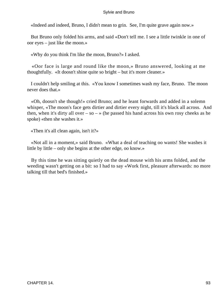«Indeed and indeed, Bruno, I didn't mean to grin. See, I'm quite grave again now.»

 But Bruno only folded his arms, and said «Don't tell me. I see a little twinkle in one of oor eyes – just like the moon.»

«Why do you think I'm like the moon, Bruno?» I asked.

 «Oor face is large and round like the moon,» Bruno answered, looking at me thoughtfully. «It doosn't shine quite so bright – but it's more cleaner.»

 I couldn't help smiling at this. «You know I sometimes wash my face, Bruno. The moon never does that.»

 «Oh, doosn't she though!» cried Bruno; and he leant forwards and added in a solemn whisper, «The moon's face gets dirtier and dirtier every night, till it's black all across. And then, when it's dirty all over – so – » (he passed his hand across his own rosy cheeks as he spoke) «then she washes it.»

«Then it's all clean again, isn't it?»

 «Not all in a moment,» said Bruno. «What a deal of teaching oo wants! She washes it little by little – only she begins at the other edge, oo know.»

 By this time he was sitting quietly on the dead mouse with his arms folded, and the weeding wasn't getting on a bit: so I had to say «Work first, pleasure afterwards: no more talking till that bed's finished.»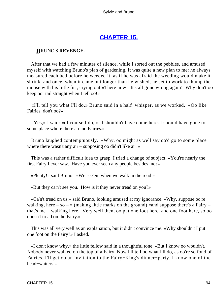# **[CHAPTER 15.](#page-177-0)**

# *B*RUNO'S **REVENGE.**

 After that we had a few minutes of silence, while I sorted out the pebbles, and amused myself with watching Bruno's plan of gardening. It was quite a new plan to me: he always measured each bed before he weeded it, as if he was afraid the weeding would make it shrink; and once, when it came out longer than he wished, he set to work to thump the mouse with his little fist, crying out «There now! It's all gone wrong again! Why don't oo keep oor tail straight when I tell oo!»

 «I'll tell you what I'll do,» Bruno said in a half−whisper, as we worked. «Oo like Fairies, don't oo?»

 «Yes,» I said: «of course I do, or I shouldn't have come here. I should have gone to some place where there are no Fairies.»

 Bruno laughed contemptuously. «Why, oo might as well say oo'd go to some place where there wasn't any air – supposing oo didn't like air!»

 This was a rather difficult idea to grasp. I tried a change of subject. «You're nearly the first Fairy I ever saw. Have you ever seen any people besides me?»

«Plenty!» said Bruno. «We see'em when we walk in the road.»

«But they ca'n't see you. How is it they never tread on you?»

 «Ca'n't tread on us,» said Bruno, looking amused at my ignorance. «Why, suppose oo're walking, here – so – » (making little marks on the ground) «and suppose there's a Fairy – that's me – walking here. Very well then, oo put one foot here, and one foot here, so oo doosn't tread on the Fairy.»

 This was all very well as an explanation, but it didn't convince me. «Why shouldn't I put one foot on the Fairy?» I asked.

 «I don't know why,» the little fellow said in a thoughtful tone. «But I know oo wouldn't. Nobody never walked on the top of a Fairy. Now I'll tell oo what I'll do, as oo're so fond of Fairies. I'll get oo an invitation to the Fairy−King's dinner−party. I know one of the head−waiters.»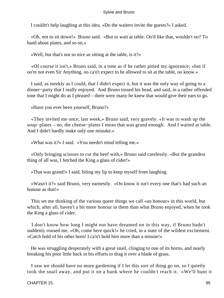I couldn't help laughing at this idea. «Do the waiters invite the guests?» I asked.

 «Oh, not to sit down!» Bruno said. «But to wait at table. Oo'd like that, wouldn't oo? To hand about plates, and so on.»

«Well, but that's not so nice as sitting at the table, is it?»

 «Of course it isn't,» Bruno said, in a tone as if he rather pitied my ignorance; «but if oo're not even Sir Anything, oo ca'n't expect to be allowed to sit at the table, oo know.»

 I said, as meekly as I could, that I didn't expect it, but it was the only way of going to a dinner−party that I really enjoyed. And Bruno tossed his head, and said, in a rather offended tone that I might do as I pleased – there were many he knew that would give their ears to go.

«Have you ever been yourself, Bruno?»

 «They invited me once, last week,» Bruno said, very gravely. «It was to wash up the soup−plates – no, the cheese−plates I mean that was grand enough. And I waited at table. And I didn't hardly make only one mistake.»

«What was it?» I said. «You needn't mind telling me.»

 «Only bringing scissors to cut the beef with,» Bruno said carelessly. «But the grandest thing of all was, I fetched the King a glass of cider!»

«That was grand!» I said, biting my lip to keep myself from laughing.

 «Wasn't it?» said Bruno, very earnestly. «Oo know it isn't every one that's had such an honour as that!»

 This set me thinking of the various queer things we call «an honour» in this world, but which, after all, haven't a bit more honour in them than what Bruno enjoyed, when he took the King a glass of cider.

 I don't know how long I might not have dreamed on in this way, if Bruno hadn't suddenly roused me. «Oh, come here quick!» he cried, in a state of the wildest excitement. «Catch hold of his other horn! I ca'n't hold him more than a minute!»

 He was struggling desperately with a great snail, clinging to one of its horns, and nearly breaking his poor little back in his efforts to drag it over a blade of grass.

 I saw we should have no more gardening if I let this sort of thing go on, so I quietly took the snail away, and put it on a bank where he couldn't reach it. «We'll hunt it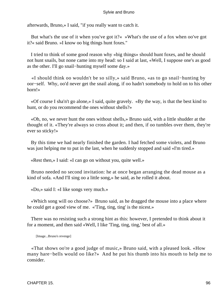afterwards, Bruno,» I said, "if you really want to catch it.

 But what's the use of it when you've got it?« »What's the use of a fox when oo've got it?« said Bruno. »I know oo big things hunt foxes."

 I tried to think of some good reason why «big things» should hunt foxes, and he should not hunt snails, but none came into my head: so I said at last, «Well, I suppose one's as good as the other. I'll go snail−hunting myself some day.»

 «I should think oo wouldn't be so silly,» said Bruno, «as to go snail−hunting by oor−self. Why, oo'd never get the snail along, if oo hadn't somebody to hold on to his other horn!»

 «Of course I sha'n't go alone,» I said, quite gravely. «By the way, is that the best kind to hunt, or do you recommend the ones without shells?»

 «Oh, no, we never hunt the ones without shells,» Bruno said, with a little shudder at the thought of it. «They're always so cross about it; and then, if oo tumbles over them, they're ever so sticky!»

 By this time we had nearly finished the garden. I had fetched some violets, and Bruno was just helping me to put in the last, when he suddenly stopped and said «I'm tired.»

«Rest then,» I said: «I can go on without you, quite well.»

 Bruno needed no second invitation: he at once began arranging the dead mouse as a kind of sofa. «And I'll sing oo a little song,» he said, as he rolled it about.

«Do,» said I: «I like songs very much.»

 «Which song will oo choose?» Bruno said, as he dragged the mouse into a place where he could get a good view of me. «'Ting, ting, ting' is the nicest.»

 There was no resisting such a strong hint as this: however, I pretended to think about it for a moment, and then said «Well, I like 'Ting, ting, ting,' best of all.»

[Image...Bruno's revenge]

 «That shows oo're a good judge of music,» Bruno said, with a pleased look. «How many hare−bells would oo like?» And he put his thumb into his mouth to help me to consider.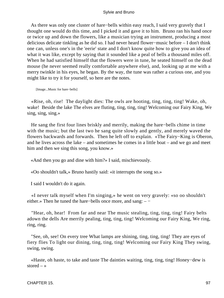As there was only one cluster of hare−bells within easy reach, I said very gravely that I thought one would do this time, and I picked it and gave it to him. Bruno ran his hand once or twice up and down the flowers, like a musician trying an instrument, producing a most delicious delicate tinkling as he did so. I had never heard flower−music before – I don't think one can, unless one's in the 'eerie' state and I don't know quite how to give you an idea of what it was like, except by saying that it sounded like a peal of bells a thousand miles off. When he had satisfied himself that the flowers were in tune, he seated himself on the dead mouse (he never seemed really comfortable anywhere else), and, looking up at me with a merry twinkle in his eyes, he began. By the way, the tune was rather a curious one, and you might like to try it for yourself, so here are the notes.

[Image...Music for hare−bells]

 «Rise, oh, rise! The daylight dies: The owls are hooting, ting, ting, ting! Wake, oh, wake! Beside the lake The elves are fluting, ting, ting, ting! Welcoming our Fairy King, We sing, sing, sing.»

 He sang the first four lines briskly and merrily, making the hare−bells chime in time with the music; but the last two he sang quite slowly and gently, and merely waved the flowers backwards and forwards. Then he left off to explain. «The Fairy−King is Oberon, and he lives across the lake – and sometimes he comes in a little boat – and we go and meet him and then we sing this song, you know.»

«And then you go and dine with him?» I said, mischievously.

«Oo shouldn't talk,» Bruno hastily said: «it interrupts the song so.»

I said I wouldn't do it again.

 «I never talk myself when I'm singing,» he went on very gravely: «so oo shouldn't either.» Then he tuned the hare−bells once more, and sang: – −

 "Hear, oh, hear! From far and near The music stealing, ting, ting, ting! Fairy belts adown the dells Are merrily pealing, ting, ting, ting! Welcoming our Fairy King, We ring, ring, ring.

 "See, oh, see! On every tree What lamps are shining, ting, ting, ting! They are eyes of fiery flies To light our dining, ting, ting, ting! Welcoming our Fairy King They swing, swing, swing.

 «Haste, oh haste, to take and taste The dainties waiting, ting, ting, ting! Honey−dew is stored  $-$  »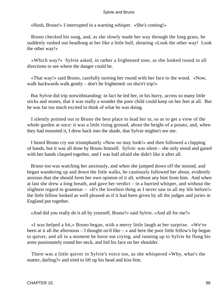«Hush, Bruno!» I interrupted in a warning whisper. «She's coming!»

 Bruno checked his song, and, as she slowly made her way through the long grass, he suddenly rushed out headlong at her like a little bull, shouting «Look the other way! Look the other way!»

 «Which way?» Sylvie asked, in rather a frightened tone, as she looked round in all directions to see where the danger could be.

 «That way!» said Bruno, carefully turning her round with her face to the wood. «Now, walk backwards walk gently – don't be frightened: oo sha'n't trip!»

 But Sylvie did trip notwithstanding: in fact he led her, in his hurry, across so many little sticks and stones, that it was really a wonder the poor child could keep on her feet at all. But he was far too much excited to think of what he was doing.

 I silently pointed out to Bruno the best place to lead her to, so as to get a view of the whole garden at once: it was a little rising ground, about the height of a potato; and, when they had mounted it, I drew back into the shade, that Sylvie mightn't see me.

 I heard Bruno cry out triumphantly «Now oo may look!» and then followed a clapping of hands, but it was all done by Bruno himself. Sylvie: was silent – she only stood and gazed with her hands clasped together, and I was half afraid she didn't like it after all.

 Bruno too was watching her anxiously, and when she jumped down off the mound, and began wandering up and down the little walks, he cautiously followed her about, evidently anxious that she should form her own opinion of it all, without any hint from him. And when at last she drew a long breath, and gave her verdict – in a hurried whisper, and without the slightest regard to grammar – «It's the loveliest thing as I never saw in all my life before!» the little fellow looked as well pleased as if it had been given by all the judges and juries in England put together.

«And did you really do it all by yourself, Bruno?» said Sylvie. «And all for me?»

 «I was helped a bit,» Bruno began, with a merry little laugh at her surprise. «We've been at it all the afternoon  $-I$  thought oo'd like  $-\infty$  and here the poor little fellow's lip began to quiver, and all in a moment he burst out crying, and running up to Sylvie he flung his arms passionately round her neck, and hid his face on her shoulder.

 There was a little quiver in Sylvie's voice too, as she whispered «Why, what's the matter, darling?» and tried to lift up his head and kiss him.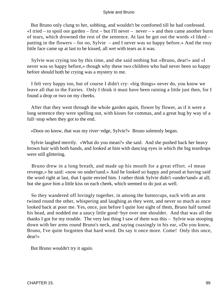But Bruno only clung to her, sobbing, and wouldn't be comforted till he had confessed.  $\ll$ I tried – to spoil oor garden – first – but I'll never – never – » and then came another burst of tears, which drowned the rest of the sentence. At last he got out the words «I liked – putting in the flowers – for oo, Sylvie – and I never was so happy before.» And the rosy little face came up at last to be kissed, all wet with tears as it was.

 Sylvie was crying too by this time, and she said nothing but «Bruno, dear!» and «I never was so happy before,» though why these two children who had never been so happy before should both be crying was a mystery to me.

 I felt very happy too, but of course I didn't cry: «big things» never do, you know we leave all that to the Fairies. Only I think it must have been raining a little just then, for I found a drop or two on my cheeks.

 After that they went through the whole garden again, flower by flower, as if it were a long sentence they were spelling out, with kisses for commas, and a great hug by way of a full−stop when they got to the end.

«Doos oo know, that was my river−edge, Sylvie?» Bruno solemnly began.

 Sylvie laughed merrily. «What do you mean?» she said. And she pushed back her heavy brown hair with both hands, and looked at him with dancing eyes in which the big teardrops were still glittering.

 Bruno drew in a long breath, and made up his mouth for a great effort. «I mean revenge,» he said: «now oo under'tand.» And he looked so happy and proud at having said the word right at last, that I quite envied him. I rather think Sylvie didn't «under'tand» at all; but she gave him a little kiss on each cheek, which seemed to do just as well.

 So they wandered off lovingly together, in among the buttercups, each with an arm twined round the other, whispering and laughing as they went, and never so much as once looked back at poor me. Yes, once, just before I quite lost sight of them, Bruno half turned his head, and nodded me a saucy little good−bye over one shoulder. And that was all the thanks I got for my trouble. The very last thing I saw of them was this – Sylvie was stooping down with her arms round Bruno's neck, and saying coaxingly in his ear, «Do you know, Bruno, I've quite forgotten that hard word. Do say it once more. Come! Only this once, dear!»

But Bruno wouldn't try it again.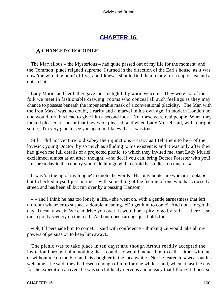# **[CHAPTER 16.](#page-177-0)**

# *A* **CHANGED CROCODILE.**

 The Marvellous – the Mysterious – had quite passed out of my life for the moment: and the Common−place reigned supreme. I turned in the direction of the Earl's house, as it was now 'the witching hour' of five, and I knew I should find them ready for a cup of tea and a quiet chat.

 Lady Muriel and her father gave me a delightfully warm welcome. They were not of the folk we meet in fashionable drawing−rooms who conceal all such feelings as they may chance to possess beneath the impenetrable mask of a conventional placidity. 'The Man with the Iron Mask' was, no doubt, a rarity and a marvel in his own age: in modern London no one would turn his head to give him a second look! No, these were real people. When they looked pleased, it meant that they were pleased: and when Lady Muriel said, with a bright smile, «I'm very glad to see you again!», I knew that it was true.

Still I did not venture to disobey the injunctions – crazy as I felt them to be – of the lovesick young Doctor, by so much as alluding to his existence: and it was only after they had given me full details of a projected picnic, to which they invited me, that Lady Muriel exclaimed, almost as an after−thought, «and do, if you can, bring Doctor Forester with you! I'm sure a day in the country would do him good. I'm afraid he studies too much  $-\infty$ 

 It was 'on the tip of my tongue' to quote the words «His only books are woman's looks!» but I checked myself just in time – with something of the feeling of one who has crossed a street, and has been all but run over by a passing 'Hansom.'

 « – and I think he has too lonely a life,» she went on, with a gentle earnestness that left no room whatever to suspect a double meaning. «Do get him to come! And don't forget the day, Tuesday week. We can drive you over. It would be a pity to go by rail – − there is so much pretty scenery on the road. And our open carriage just holds four.»

 «Oh, I'll persuade him to come!» I said with confidence – thinking «it would take all my powers of persuasion to keep him away!»

 The picnic was to take place in ten days: and though Arthur readily accepted the invitation I brought him, nothing that I could say would induce him to call – either with me or without me on the Earl and his daughter in the meanwhile. No: he feared to « wear out his welcome,» he said: they had «seen enough of him for one while»: and, when at last the day for the expedition arrived, he was so childishly nervous and uneasy that I thought it best so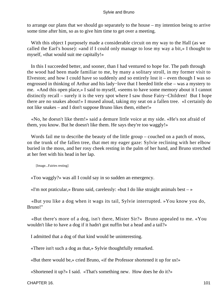to arrange our plans that we should go separately to the house – my intention being to arrive some time after him, so as to give him time to get over a meeting.

 With this object I purposely made a considerable circuit on my way to the Hall (as we called the Earl's house): «and if I could only manage to lose my way a bit,» I thought to myself, «that would suit me capitally!»

 In this I succeeded better, and sooner, than I had ventured to hope for. The path through the wood had been made familiar to me, by many a solitary stroll, in my former visit to Elveston; and how I could have so suddenly and so entirely lost it – even though I was so engrossed in thinking of Arthur and his lady−love that I heeded little else – was a mystery to me. «And this open place,» I said to myself, «seems to have some memory about it I cannot distinctly recall – surely it is the very spot where I saw those Fairy−Children! But I hope there are no snakes about!» I mused aloud, taking my seat on a fallen tree. «I certainly do not like snakes – and I don't suppose Bruno likes them, either!»

 «No, he doesn't like them!» said a demure little voice at my side. «He's not afraid of them, you know. But he doesn't like them. He says they're too waggly!»

Words fail me to describe the beauty of the little group – couched on a patch of moss, on the trunk of the fallen tree, that met my eager gaze: Sylvie reclining with her elbow buried in the moss, and her rosy cheek resting in the palm of her hand, and Bruno stretched at her feet with his head in her lap.

[Image...Fairies resting]

«Too waggly?» was all I could say in so sudden an emergency.

«I'm not praticular,» Bruno said, carelessly: «but I do like straight animals best  $-\infty$ 

 «But you like a dog when it wags its tail, Sylvie interrupted. »You know you do, Bruno!"

 «But there's more of a dog, isn't there, Mister Sir?» Bruno appealed to me. «You wouldn't like to have a dog if it hadn't got nuffin but a head and a tail?»

I admitted that a dog of that kind would be uninteresting.

«There isn't such a dog as that,» Sylvie thoughtfully remarked.

«But there would be,» cried Bruno, «if the Professor shortened it up for us!»

«Shortened it up?» I said. «That's something new. How does he do it?»

CHAPTER 16. 101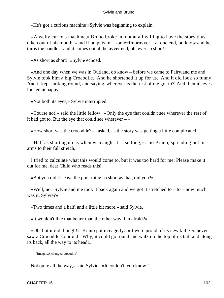«He's got a curious machine »Sylvie was beginning to explain.

 «A welly curious machine,» Bruno broke in, not at all willing to have the story thus taken out of his mouth, «and if oo puts in – some−finoruvver – at one end, oo know and he turns the handle – and it comes out at the uvver end, oh, ever so short!»

«As short as short! »Sylvie echoed.

 «And one day when we was in Outland, oo know – before we came to Fairyland me and Sylvie took him a big Crocodile. And he shortened it up for us. And it did look so funny! And it kept looking round, and saying 'wherever is the rest of me got to?' And then its eyes looked unhappy  $-\infty$ 

«Not both its eyes,» Sylvie interrupted.

 «Course not!» said the little fellow. «Only the eye that couldn't see wherever the rest of it had got to. But the eye that could see wherever  $-\infty$ 

«How short was the crocodile?» I asked, as the story was getting a little complicated.

«Half as short again as when we caught it  $-$  so long,» said Bruno, spreading out his arms to their full stretch.

 I tried to calculate what this would come to, but it was too hard for me. Please make it out for me, dear Child who reads this!

«But you didn't leave the poor thing so short as that, did you?»

«Well, no. Sylvie and me took it back again and we got it stretched to  $-$  to  $-$  how much was it, Sylvie?»

«Two times and a half, and a little bit more,» said Sylvie.

«It wouldn't like that better than the other way, I'm afraid?»

 «Oh, but it did though!» Bruno put in eagerly. «It were proud of its new tail! Oo never saw a Crocodile so proud! Why, it could go round and walk on the top of its tail, and along its back, all the way to its head!»

[Image...A changed crocodile]

Not quite all the way,« said Sylvie. »It couldn't, you know."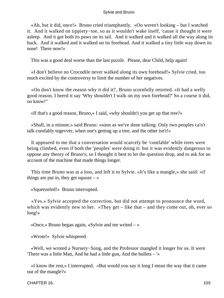«Ah, but it did, once!» Bruno cried triumphantly. «Oo weren't looking – but I watched it. And it walked on tippiety−toe, so as it wouldn't wake itself, 'cause it thought it were asleep. And it got both its paws on its tail. And it walked and it walked all the way along its back. And it walked and it walked on its forehead. And it walked a tiny little way down its nose! There now!»

This was a good deal worse than the last puzzle. Please, dear Child, help again!

 «I don't believe no Crocodile never walked along its own forehead!» Sylvie cried, too much excited by the controversy to limit the number of her negatives.

 «Oo don't know the reason why it did it!', Bruno scornfully retorted. »It had a welly good reason. I heerd it say 'Why shouldn't I walk on my own forehead?' So a course it did, oo know!"

«If that's a good reason, Bruno,» I said, «why shouldn't you get up that tree?»

 «Shall, in a minute,» said Bruno: «soon as we've done talking. Only two peoples ca'n't talk comfably togevver, when one's getting up a tree, and the other isn't!»

 It appeared to me that a conversation would scarcely be 'comfable' while trees were being climbed, even if both the 'peoples' were doing it: but it was evidently dangerous to oppose any theory of Bruno's; so I thought it best to let the question drop, and to ask for an account of the machine that made things longer.

 This time Bruno was at a loss, and left it to Sylvie. «It's like a mangle,» she said: «if things are put in, they get squoze  $-\infty$ 

«Squeezeled!» Bruno interrupted.

 «Yes.» Sylvie accepted the correction, but did not attempt to pronounce the word, which was evidently new to her. «They get – like that – and they come out, oh, ever so long!»

«Once,» Bruno began again, «Sylvie and me writed – »

«Wrote!» Sylvie whispered.

 «Well, we wroted a Nursery−Song, and the Professor mangled it longer for us. It were 'There was a little Man, And he had a little gun, And the bullets – '»

 «I know the rest,» I interrupted. «But would you say it long I mean the way that it came out of the mangle?»

CHAPTER 16. 103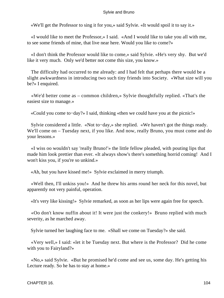«We'll get the Professor to sing it for you,» said Sylvie. «It would spoil it to say it.»

 «I would like to meet the Professor,» I said. «And I would like to take you all with me, to see some friends of mine, that live near here. Would you like to come?»

 «I don't think the Professor would like to come,» said Sylvie. «He's very shy. But we'd like it very much. Only we'd better not come this size, you know.»

 The difficulty had occurred to me already: and I had felt that perhaps there would be a slight awkwardness in introducing two such tiny friends into Society. «What size will you be?» I enquired.

 «We'd better come as – common children,» Sylvie thoughtfully replied. «That's the easiest size to manage.»

«Could you come to−day?» I said, thinking «then we could have you at the picnic!»

 Sylvie considered a little. «Not to−day,» she replied. «We haven't got the things ready. We'll come on – Tuesday next, if you like. And now, really Bruno, you must come and do your lessons.»

 «I wiss oo wouldn't say 'really Bruno!'» the little fellow pleaded, with pouting lips that made him look prettier than ever. «It always show's there's something horrid coming! And I won't kiss you, if you're so unkind.»

«Ah, but you have kissed me!» Sylvie exclaimed in merry triumph.

 «Well then, I'll unkiss you!» And he threw his arms round her neck for this novel, but apparently not very painful, operation.

«It's very like kissing!» Sylvie remarked, as soon as her lips were again free for speech.

 «Oo don't know nuffin about it! It were just the conkery!» Bruno replied with much severity, as he marched away.

Sylvie turned her laughing face to me. «Shall we come on Tuesday?» she said.

 «Very well,» I said: «let it be Tuesday next. But where is the Professor? Did he come with you to Fairyland?»

 «No,» said Sylvie. «But he promised he'd come and see us, some day. He's getting his Lecture ready. So he has to stay at home.»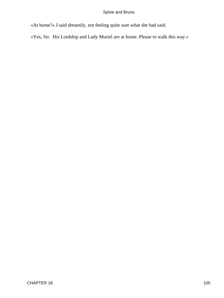«At home?» I said dreamily, not feeling quite sure what she had said.

«Yes, Sir. His Lordship and Lady Muriel are at home. Please to walk this way.»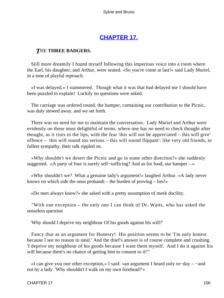# **[CHAPTER 17.](#page-177-0)**

# *T*HE **THREE BADGERS.**

 Still more dreamily I found myself following this imperious voice into a room where the Earl, his daughter, and Arthur, were seated. «So you're come at last!» said Lady Muriel, in a tone of playful reproach.

 «I was delayed,» I stammered. Though what it was that had delayed me I should have been puzzled to explain! Luckily no questions were asked.

 The carriage was ordered round, the hamper, containing our contribution to the Picnic, was duly stowed away, and we set forth.

 There was no need for me to maintain the conversation. Lady Muriel and Arthur were evidently on those most delightful of terms, where one has no need to check thought after thought, as it rises to the lips, with the fear 'this will not be appreciated – this will give' offence – this will sound too serious – this will sound flippant': like very old friends, in fullest sympathy, their talk rippled on.

 «Why shouldn't we desert the Picnic and go in some other direction?» she suddenly suggested. «A party of four is surely self−sufficing? And as for food, our hamper – »

 «Why shouldn't we? What a genuine lady's argument!» laughed Arthur. «A lady never knows on which side the onus probandi – the burden of proving – lies!»

«Do men always know?» she asked with a pretty assumption of meek docility.

 "With one exception – the only one I can think of Dr. Watts, who has asked the senseless question

'Why should I deprive my neighbour Of his goods against his will?'

 Fancy that as an argument for Honesty! His position seems to be 'I'm only honest because I see no reason to steal.' And the thief's answer is of course complete and crushing. 'I deprive my neighbour of his goods because I want them myself. And I do it against his will because there's no chance of getting him to consent to it!"

 «I can give you one other exception,» I said: «an argument I heard only to−day – −and not by a lady. 'Why shouldn't I walk on my own forehead?'»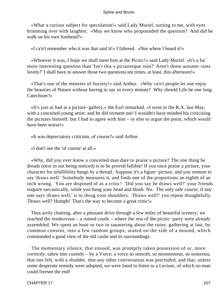«What a curious subject for speculation!» said Lady Muriel, turning to me, with eyes brimming over with laughter. «May we know who propounded the question? And did he walk on his own forehead?»

«I ca'n't remember who it was that said it!» I faltered. «Nor where I heard it!»

 «Whoever it was, I hope we shall meet him at the Picnic!» said Lady Muriel. «It's a far more interesting question than 'Isn't this a picturesque ruin?' Aren't those autumn−tints lovely?' I shall have to answer those two questions ten times, at least, this afternoon!»

 «That's one of the miseries of Society!» said Arthur. «Why ca'n't people let one enjoy the beauties of Nature without having to say so every minute? Why should Life be one long Catechism?»

 «It's just as bad at a picture−gallery,» the Earl remarked. «I went to the R.A. last May, with a conceited young artist: and he did torment me! I wouldn't have minded his criticizing the pictures himself: but I had to agree with him – or else to argue the point, which would have been worse!»

«It was depreciatory criticism, of course?» said Arthur.

«I don't see the 'of course' at all.»

 «Why, did you ever know a conceited man dare to praise a picture? The one thing he dreads (next to not being noticed) is to be proved fallible! If you once praise a picture, your character for infallibility hangs by a thread. Suppose it's a figure−picture, and you venture to say 'draws well.' Somebody measures it, and finds one of the proportions an eighth of an inch wrong. You are disposed of as a critic! 'Did you say he draws well?' your friends enquire sarcastically, while you hang your head and blush. No. The only safe course, if any one says 'draws well,' is to shrug your shoulders. 'Draws well?' you repeat thoughtfully. 'Draws well? Humph!' That's the way to become a great critic!»

 Thus airily chatting, after a pleasant drive through a few miles of beautiful scenery, we reached the rendezvous – a ruined castle – where the rest of the picnic−party were already assembled. We spent an hour or two in sauntering about the ruins: gathering at last, by common consent, into a few random groups, seated on the side of a mound, which commanded a good view of the old castle and its surroundings.

 The momentary silence, that ensued, was promptly taken possession of or, more correctly, taken into custody – by a Voice; a voice so smooth, so monotonous, so sonorous, that one felt, with a shudder, that any other conversation was precluded, and that, unless some desperate remedy were adopted, we were fated to listen to a Lecture, of which no man could foresee the end!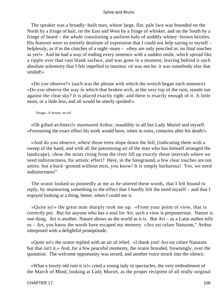The speaker was a broadly−built man, whose large, flat, pale face was bounded on the North by a fringe of hair, on the East and West by a fringe of whisker, and on the South by a fringe of beard – the whole constituting a uniform halo of stubbly whitey−brown bristles. His features were so entirely destitute of expression that I could not help saying to myself – helplessly, as if in the clutches of a night−mare – «they are only penciled in: no final touches as yet!» And he had a way of ending every sentence with a sudden smile, which spread like a ripple over that vast blank surface, and was gone in a moment, leaving behind it such absolute solemnity that I felt impelled to murmur «it was not he: it was somebody else that smiled!»

 «Do you observe?» (such was the phrase with which the wretch began each sentence) «Do you observe the way in which that broken arch, at the very top of the ruin, stands out against the clear sky? It is placed exactly right: and there is exactly enough of it. A little more, or a little less, and all would be utterly spoiled!»

[Image...A lecture, on art]

 «Oh gifted architect!» murmured Arthur, inaudibly to all but Lady Muriel and myself. «Foreseeing the exact effect his work would have, when in ruins, centuries after his death!»

 «And do you observe, where those trees slope down the hill, (indicating them with a sweep of the hand, and with all the patronising air of the man who has himself arranged the landscape), »how the mists rising from the river fill up exactly those intervals where we need indistinctness, for artistic effect? Here, in the foreground, a few clear touches are not amiss: but a back−ground without mist, you know! It is simply barbarous! Yes, we need indistinctness!"

 The orator looked so pointedly at me as he uttered these words, that I felt bound to reply, by murmuring something to the effect that I hardly felt the need myself – and that I enjoyed looking at a thing, better, when I could see it.

 «Quite so!» the great man sharply took me up. «From your point of view, that is correctly put. But for anyone who has a soul for Art, such a view is preposterous. Nature is one thing. Art is another. Nature shows us the world as it is. But Art – as a Latin author tells us – Art, you know the words have escaped my memory »Ars est celare Naturam," Arthur interposed with a delightful promptitude.

 «Quite so!» the orator replied with an air of relief. «I thank you! Ars est celare Naturam but that isn't it.» And, for a few peaceful moments, the orator brooded, frowningly, over the quotation. The welcome opportunity was seized, and another voice struck into the silence.

 «What a lovely old ruin it is!» cried a young lady in spectacles, the very embodiment of the March of Mind, looking at Lady Muriel, as the proper recipient of all really original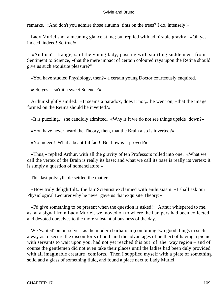remarks. «And don't you admire those autumn−tints on the trees? I do, intensely!»

 Lady Muriel shot a meaning glance at me; but replied with admirable gravity. «Oh yes indeed, indeed! So true!»

 «And isn't strange, said the young lady, passing with startling suddenness from Sentiment to Science, »that the mere impact of certain coloured rays upon the Retina should give us such exquisite pleasure?"

«You have studied Physiology, then?» a certain young Doctor courteously enquired.

«Oh, yes! Isn't it a sweet Science?»

 Arthur slightly smiled. «It seems a paradox, does it not,» he went on, «that the image formed on the Retina should be inverted?»

«It is puzzling,» she candidly admitted. «Why is it we do not see things upside−down?»

«You have never heard the Theory, then, that the Brain also is inverted?»

«No indeed! What a beautiful fact! But how is it proved?»

 «Thus,» replied Arthur, with all the gravity of ten Professors rolled into one. «What we call the vertex of the Brain is really its base: and what we call its base is really its vertex: it is simply a question of nomenclature.»

This last polysyllable settled the matter.

 «How truly delightful!» the fair Scientist exclaimed with enthusiasm. «I shall ask our Physiological Lecturer why he never gave us that exquisite Theory!»

 «I'd give something to be present when the question is asked!» Arthur whispered to me, as, at a signal from Lady Muriel, we moved on to where the hampers had been collected, and devoted ourselves to the more substantial business of the day.

 We 'waited' on ourselves, as the modern barbarism (combining two good things in such a way as to secure the discomforts of both and the advantages of neither) of having a picnic with servants to wait upon you, had not yet reached this out−of−the−way region – and of course the gentlemen did not even take their places until the ladies had been duly provided with all imaginable creature−comforts. Then I supplied myself with a plate of something solid and a glass of something fluid, and found a place next to Lady Muriel.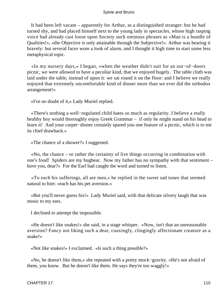It had been left vacant – apparently for Arthur, as a distinguished stranger: but he had turned shy, and had placed himself next to the young lady in spectacles, whose high rasping voice had already cast loose upon Society such ominous phrases as «Man is a bundle of Qualities!», «the Objective is only attainable through the Subjective!». Arthur was bearing it bravely: but several faces wore a look of alarm, and I thought it high time to start some less metaphysical topic.

 «In my nursery days,» I began, «when the weather didn't suit for an out−of−doors picnic, we were allowed to have a peculiar kind, that we enjoyed hugely. The table cloth was laid under the table, instead of upon it: we sat round it on the floor: and I believe we really enjoyed that extremely uncomfortable kind of dinner more than we ever did the orthodox arrangement!»

«I've no doubt of it,» Lady Muriel replied.

 «There's nothing a well−regulated child hates so much as regularity. I believe a really healthy boy would thoroughly enjoy Greek Grammar – if only he might stand on his head to learn it! And your carpet−dinner certainly spared you one feature of a picnic, which is to me its chief drawback.»

«The chance of a shower?» I suggested.

 «No, the chance – or rather the certainty of live things occurring in combination with one's food! Spiders are my bugbear. Now my father has no sympathy with that sentiment – have you, dear?» For the Earl had caught the word and turned to listen.

 «To each his sufferings, all are men,» he replied in the sweet sad tones that seemed natural to him: «each has his pet aversion.»

 «But you'll never guess his!» Lady Muriel said, with that delicate silvery laugh that was music to my ears.

I declined to attempt the impossible.

 «He doesn't like snakes!» she said, in a stage whisper. «Now, isn't that an unreasonable aversion? Fancy not liking such a dear, coaxingly, clingingly affectionate creature as a snake!»

«Not like snakes!» I exclaimed. «Is such a thing possible?»

 «No, he doesn't like them,» she repeated with a pretty mock−gravity. «He's not afraid of them, you know. But he doesn't like them. He says they're too waggly!»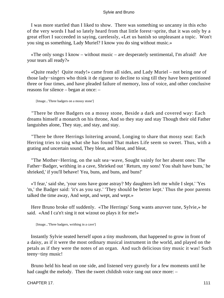I was more startled than I liked to show. There was something so uncanny in this echo of the very words I had so lately heard from that little forest−sprite, that it was only by a great effort I succeeded in saying, carelessly, «Let us banish so unpleasant a topic. Won't you sing us something, Lady Muriel? I know you do sing without music.»

 «The only songs I know – without music – are desperately sentimental, I'm afraid! Are your tears all ready?»

 «Quite ready! Quite ready!» came from all sides, and Lady Muriel – not being one of those lady−singers who think it de rigueur to decline to sing till they have been petitioned three or four times, and have pleaded failure of memory, loss of voice, and other conclusive reasons for silence – began at once: –

[Image...'Three badgers on a mossy stone']

 "There be three Badgers on a mossy stone, Beside a dark and covered way: Each dreams himself a monarch on his throne, And so they stay and stay Though their old Father languishes alone, They stay, and stay, and stay.

 "There be three Herrings loitering around, Longing to share that mossy seat: Each Herring tries to sing what she has found That makes Life seem so sweet. Thus, with a grating and uncertain sound, They bleat, and bleat, and bleat,

 "The Mother−Herring, on the salt sea−wave, Sought vainly for her absent ones: The Father−Badger, writhing in a cave, Shrieked out ' Return, my sons! You shalt have buns,' he shrieked,' if you'll behave! Yea, buns, and buns, and buns!'

 «'I fear,' said she, 'your sons have gone astray? My daughters left me while I slept.' 'Yes 'm,' the Badger said: 'it's as you say.' 'They should be better kept.' Thus the poor parents talked the time away, And wept, and wept, and wept.»

 Here Bruno broke off suddenly. «The Herrings' Song wants anuvver tune, Sylvie,» he said. «And I ca'n't sing it not wizout oo plays it for me!»

[Image...'Three badgers, writhing in a cave']

 Instantly Sylvie seated herself upon a tiny mushroom, that happened to grow in front of a daisy, as if it were the most ordinary musical instrument in the world, and played on the petals as if they were the notes of an organ. And such delicious tiny music it was! Such teeny−tiny music!

 Bruno held his head on one side, and listened very gravely for a few moments until he had caught the melody. Then the sweet childish voice rang out once more:  $-$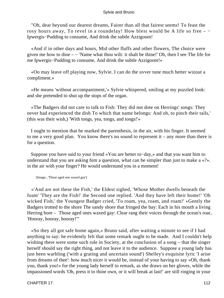"Oh, dear beyond our dearest dreams, Fairer than all that fairest seems! To feast the rosy hours away, To revel in a roundelay! How blest would be A life so free – − Ipwergis−Pudding to consume, And drink the subtle Azzigoom!

 «And if in other days and hours, Mid other fluffs and other flowers, The choice were given me how to dine – − 'Name what thou wilt: it shalt be thine!' Oh, then I see The life for me Ipwergis−Pudding to consume, And drink the subtle Azzigoom!»

 «Oo may leave off playing now, Sylvie. I can do the uvver tune much better wizout a compliment.»

 «He means 'without accompaniment,'» Sylvie whispered, smiling at my puzzled look: and she pretended to shut up the stops of the organ.

 «The Badgers did not care to talk to Fish: They did not dote on Herrings' songs: They never had experienced the dish To which that name belongs: And oh, to pinch their tails,' (this was their wish,) 'With tongs, yea, tongs, and tongs!'»

 I ought to mention that he marked the parenthesis, in the air, with his finger. It seemed to me a very good plan. You know there's no sound to represent it – any more than there is for a question.

 Suppose you have said to your friend «You are better to−day,» and that you want him to understand that you are asking him a question, what can be simpler than just to make a «?». in the air with your finger? He would understand you in a moment!

[Image...'Those aged one waxed gay']

 «'And are not these the Fish,' the Eldest sighed, 'Whose Mother dwells beneath the foam' 'They are the Fish!' the Second one replied. 'And they have left their home!' 'Oh wicked Fish,' the Youngest Badger cried, 'To roam, yea, roam, and roam!' »Gently the Badgers trotted to the shore The sandy shore that fringed the bay: Each in his mouth a living Herring bore – Those aged ones waxed gay: Clear rang their voices through the ocean's roar, 'Hooray, hooray, hooray!'"

 «So they all got safe home again,» Bruno said, after waiting a minute to see if I had anything to say: he evidently felt that some remark ought to be made. And I couldn't help wishing there were some such rule in Society, at the conclusion of a song – that the singer herself should say the right thing, and not leave it to the audience. Suppose a young lady has just been warbling ('with a grating and uncertain sound') Shelley's exquisite lyric 'I arise from dreams of thee': how much nicer it would be, instead of your having to say «Oh, thank you, thank you!» for the young lady herself to remark, as she draws on her gloves, while the impassioned words 'Oh, press it to thine own, or it will break at last!' are still ringing in your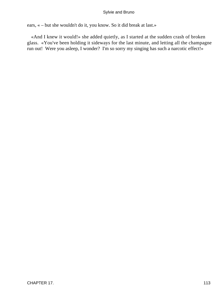ears, « – but she wouldn't do it, you know. So it did break at last.»

 «And I knew it would!» she added quietly, as I started at the sudden crash of broken glass. «You've been holding it sideways for the last minute, and letting all the champagne run out! Were you asleep, I wonder? I'm so sorry my singing has such a narcotic effect!»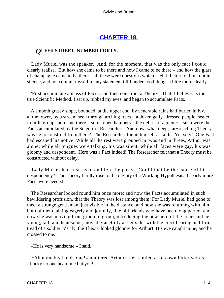# **[CHAPTER 18.](#page-177-0)**

# *Q*UEER **STREET, NUMBER FORTY.**

 Lady Muriel was the speaker. And, for the moment, that was the only fact I could clearly realise. But how she came to be there and how I came to be there – and how the glass of champagne came to be there – all these were questions which I felt it better to think out in silence, and not commit myself to any statement till I understood things a little more clearly.

 'First accumulate a mass of Facts: and then construct a Theory.' That, I believe, is the true Scientific Method. I sat up, rubbed my eves, and began to accumulate Facts.

 A smooth grassy slope, bounded, at the upper end, by venerable ruins half buried in ivy, at the lower, by a stream seen through arching trees – a dozen gaily−dressed people, seated in little groups here and there – some open hampers – the debris of a picnic – such were the Facts accumulated by the Scientific Researcher. And now, what deep, far−reaching Theory was he to construct from them? The Researcher found himself at fault. Yet stay! One Fact had escaped his notice. While all the rest were grouped in twos and in threes, Arthur was alone: while all tongues were talking, his was silent: while all faces were gay, his was gloomy and despondent. Here was a Fact indeed! The Researcher felt that a Theory must be constructed without delay.

 Lady Muriel had just risen and left the party. Could that be the cause of his despondency? The Theory hardly rose to the dignity of a Working Hypothesis. Clearly more Facts were needed.

 The Researcher looked round him once more: and now the Facts accumulated in such bewildering profusion, that the Theory was lost among them. For Lady Muriel had gone to meet a strange gentleman, just visible in the distance: and now she was returning with him, both of them talking eagerly and joyfully, like old friends who have been long parted: and now she was moving from group to group, introducing the new hero of the hour: and he, young, tall, and handsome, moved gracefully at her side, with the erect bearing and firm tread of a soldier. Verily, the Theory looked gloomy for Arthur! His eye caught mine, and he crossed to me.

«He is very handsome,» I said.

 «Abominably handsome!» muttered Arthur: then smiled at his own bitter words. «Lucky no one heard me but you!»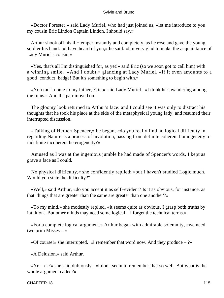«Doctor Forester,» said Lady Muriel, who had just joined us, «let me introduce to you my cousin Eric Lindon Captain Lindon, I should say.»

 Arthur shook off his ill−temper instantly and completely, as he rose and gave the young soldier his hand. «I have heard of you,» he said. «I'm very glad to make the acquaintance of Lady Muriel's cousin.»

 «Yes, that's all I'm distinguished for, as yet!» said Eric (so we soon got to call him) with a winning smile. «And I doubt,» glancing at Lady Muriel, «if it even amounts to a good−conduct−badge! But it's something to begin with.»

 «You must come to my father, Eric,» said Lady Muriel. «I think he's wandering among the ruins.» And the pair moved on.

 The gloomy look returned to Arthur's face: and I could see it was only to distract his thoughts that he took his place at the side of the metaphysical young lady, and resumed their interrupted discussion.

 «Talking of Herbert Spencer,» he began, «do you really find no logical difficulty in regarding Nature as a process of involution, passing from definite coherent homogeneity to indefinite incoherent heterogeneity?»

 Amused as I was at the ingenious jumble he had made of Spencer's words, I kept as grave a face as I could.

 No physical difficulty,« she confidently replied: »but I haven't studied Logic much. Would you state the difficulty?"

 «Well,» said Arthur, «do you accept it as self−evident? Is it as obvious, for instance, as that 'things that are greater than the same are greater than one another'?»

 «To my mind,» she modestly replied, «it seems quite as obvious. I grasp both truths by intuition. But other minds may need some logical – I forget the technical terms.»

 «For a complete logical argument,» Arthur began with admirable solemnity, «we need two prim Misses – »

«Of course!» she interrupted. «I remember that word now. And they produce – ?»

«A Delusion,» said Arthur.

 «Ye – es?» she said dubiously. «I don't seem to remember that so well. But what is the whole argument called?»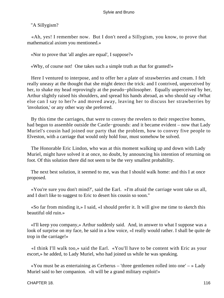"A Sillygism?

 «Ah, yes! I remember now. But I don't need a Sillygism, you know, to prove that mathematical axiom you mentioned.»

«Nor to prove that 'all angles are equal', I suppose?»

«Why, of course not! One takes such a simple truth as that for granted!»

 Here I ventured to interpose, and to offer her a plate of strawberries and cream. I felt really uneasy at the thought that she might detect the trick: and I contrived, unperceived by her, to shake my head reprovingly at the pseudo−philosopher. Equally unperceived by her, Arthur slightly raised his shoulders, and spread his hands abroad, as who should say «What else can I say to her?» and moved away, leaving her to discuss her strawberries by 'involution,' or any other way she preferred.

 By this time the carriages, that were to convey the revelers to their respective homes, had begun to assemble outside the Castle−grounds: and it became evident – now that Lady Muriel's cousin had joined our party that the problem, how to convey five people to Elveston, with a carriage that would only hold four, must somehow be solved.

 The Honorable Eric Lindon, who was at this moment walking up and down with Lady Muriel, might have solved it at once, no doubt, by announcing his intention of returning on foot. Of this solution there did not seem to be the very smallest probability.

 The next best solution, it seemed to me, was that I should walk home: and this I at once proposed.

 «You're sure you don't mind?', said the Earl. »I'm afraid the carriage wont take us all, and I don't like to suggest to Eric to desert his cousin so soon."

 «So far from minding it,» I said, «I should prefer it. It will give me time to sketch this beautiful old ruin.»

 «I'll keep you company,» Arthur suddenly said. And, in answer to what I suppose was a look of surprise on my face, he said in a low voice, «I really would rather. I shall be quite de trop in the carriage!»

 «I think I'll walk too,» said the Earl. «You'll have to be content with Eric as your escort,» he added, to Lady Muriel, who had joined us while he was speaking.

 «You must be as entertaining as Cerberus – 'three gentlemen rolled into one' – » Lady Muriel said to her companion. «It will be a grand military exploit!»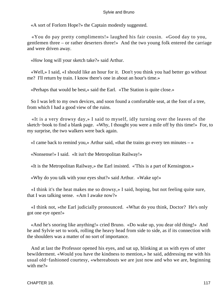«A sort of Forlorn Hope?» the Captain modestly suggested.

 «You do pay pretty compliments!» laughed his fair cousin. «Good day to you, gentlemen three – or rather deserters three!» And the two young folk entered the carriage and were driven away.

«How long will your sketch take?» said Arthur.

 «Well,» I said, «I should like an hour for it. Don't you think you had better go without me? I'll return by train. I know there's one in about an hour's time.»

«Perhaps that would be best,» said the Earl. «The Station is quite close.»

 So I was left to my own devices, and soon found a comfortable seat, at the foot of a tree, from which I had a good view of the ruins.

 «It is a very drowsy day,» I said to myself, idly turning over the leaves of the sketch−book to find a blank page. «Why, I thought you were a mile off by this time!» For, to my surprise, the two walkers were back again.

«I came back to remind you,» Arthur said, «that the trains go every ten minutes  $-\infty$ 

«Nonsense!» I said. «It isn't the Metropolitan Railway!»

«It is the Metropolitan Railway,» the Earl insisted. «'This is a part of Kensington.»

«Why do you talk with your eyes shut?» said Arthur. «Wake up!»

 «I think it's the heat makes me so drowsy,» I said, hoping, but not feeling quite sure, that I was talking sense. «Am I awake now?»

 «I think not, »the Earl judicially pronounced. «What do you think, Doctor? He's only got one eye open!»

 «And he's snoring like anything!» cried Bruno. «Do wake up, you dear old thing!» And he and Sylvie set to work, rolling the heavy head from side to side, as if its connection with the shoulders was a matter of no sort of importance.

 And at last the Professor opened his eyes, and sat up, blinking at us with eyes of utter bewilderment. «Would you have the kindness to mention,» he said, addressing me with his usual old−fashioned courtesy, «whereabouts we are just now and who we are, beginning with me?»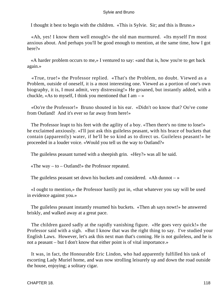I thought it best to begin with the children. «This is Sylvie. Sir; and this is Bruno.»

 «Ah, yes! I know them well enough!» the old man murmured. «Its myself I'm most anxious about. And perhaps you'll be good enough to mention, at the same time, how I got here?»

 «A harder problem occurs to me,» I ventured to say: «and that is, how you're to get back again.»

 «True, true!» the Professor replied. «That's the Problem, no doubt. Viewed as a Problem, outside of oneself, it is a most interesting one. Viewed as a portion of one's own biography, it is, I must admit, very distressing!» He groaned, but instantly added, with a chuckle, «As to myself, I think you mentioned that  $I$  am  $-$  »

 «Oo're the Professor!» Bruno shouted in his ear. «Didn't oo know that? Oo've come from Outland! And it's ever so far away from here!»

 The Professor leapt to his feet with the agility of a boy. «Then there's no time to lose!» he exclaimed anxiously. «I'll just ask this guileless peasant, with his brace of buckets that contain (apparently) water, if he'll be so kind as to direct us. Guileless peasant!» he proceeded in a louder voice. «Would you tell us the way to Outland?»

The guileless peasant turned with a sheepish grin. «Hey?» was all he said.

«The way  $-$  to  $-$  Outland!» the Professor repeated.

The guileless peasant set down his buckets and considered. «Ah dunnot  $-\infty$ 

 «I ought to mention,» the Professor hastily put in, «that whatever you say will be used in evidence against you.»

 The guileless peasant instantly resumed his buckets. «Then ah says nowt!» he answered briskly, and walked away at a great pace.

 The children gazed sadly at the rapidly vanishing figure. «He goes very quick!» the Professor said with a sigh. «But I know that was the right thing to say. I've studied your English Laws. However, let's ask this next man that's coming. He is not guileless, and he is not a peasant – but I don't know that either point is of vital importance.»

 It was, in fact, the Honourable Eric Lindon, who had apparently fulfilled his task of escorting Lady Muriel home, and was now strolling leisurely up and down the road outside the house, enjoying; a solitary cigar.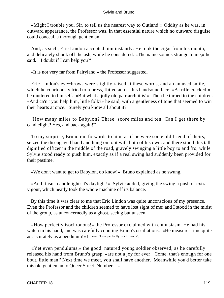«Might I trouble you, Sir, to tell us the nearest way to Outland!» Oddity as he was, in outward appearance, the Professor was, in that essential nature which no outward disguise could conceal, a thorough gentleman.

 And, as such, Eric Lindon accepted him instantly. He took the cigar from his mouth, and delicately shook off the ash, while he considered. «The name sounds strange to me,» he said. "I doubt if I can help you?'

«It is not very far from Fairyland,» the Professor suggested.

 Eric Lindon's eye−brows were slightly raised at these words, and an amused smile, which he courteously tried to repress, flitted across his handsome face: «A trifle cracked!» he muttered to himself. «But what a jolly old patriarch it is!» Then he turned to the children. «And ca'n't you help him, little folk?» he said, with a gentleness of tone that seemed to win their hearts at once. "Surely you know all about it?

 'How many miles to Babylon? Three−score miles and ten. Can I get there by candlelight? Yes, and back again!'"

 To my surprise, Bruno ran forwards to him, as if he were some old friend of theirs, seized the disengaged hand and hung on to it with both of his own: and there stood this tall dignified officer in the middle of the road, gravely swinging a little boy to and fro, while Sylvie stood ready to push him, exactly as if a real swing had suddenly been provided for their pastime.

«We don't want to get to Babylon, oo know!» Bruno explained as he swung.

 «And it isn't candlelight: it's daylight!» Sylvie added, giving the swing a push of extra vigour, which nearly took the whole machine off its balance.

 By this time it was clear to me that Eric Lindon was quite unconscious of my presence. Even the Professor and the children seemed to have lost sight of me: and I stood in the midst of the group, as unconcernedly as a ghost, seeing but unseen.

 «How perfectly isochronous!» the Professor exclaimed with enthusiasm. He had his watch in his hand, and was carefully counting Bruno's oscillations. «He measures time quite as accurately as a pendulum!» [Image...'How perfectly isochronous!']

 «Yet even pendulums,» the good−natured young soldier observed, as he carefully released his hand from Bruno's grasp, «are not a joy for ever! Come, that's enough for one bout, little man!' Next time we meet, you shall have another. Meanwhile you'd better take this old gentleman to Queer Street, Number – »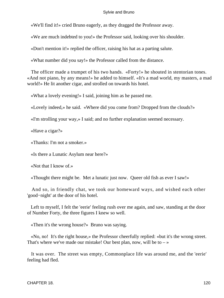«We'll find it!» cried Bruno eagerly, as they dragged the Professor away.

«We are much indebted to you!» the Professor said, looking over his shoulder.

«Don't mention it!» replied the officer, raising his hat as a parting salute.

«What number did you say!» the Professor called from the distance.

 The officer made a trumpet of his two hands. «Forty!» he shouted in stentorian tones. «And not piano, by any means!» he added to himself. «It's a mad world, my masters, a mad world!» He lit another cigar, and strolled on towards his hotel.

«What a lovely evening!» I said, joining him as he passed me.

«Lovely indeed,» he said. «Where did you come from? Dropped from the clouds?»

«I'm strolling your way,» I said; and no further explanation seemed necessary.

«Have a cigar?»

«Thanks: I'm not a smoker.»

«Is there a Lunatic Asylum near here?»

«Not that I know of.»

«Thought there might be. Met a lunatic just now. Queer old fish as ever I saw!»

 And so, in friendly chat, we took our homeward ways, and wished each other 'good−night' at the door of his hotel.

 Left to myself, I felt the 'eerie' feeling rush over me again, and saw, standing at the door of Number Forty, the three figures I knew so well.

«Then it's the wrong house?» Bruno was saying.

 «No, no! It's the right house,» the Professor cheerfully replied: «but it's the wrong street. That's where we've made our mistake! Our best plan, now, will be to  $-\infty$ 

 It was over. The street was empty, Commonplace life was around me, and the 'eerie' feeling had fled.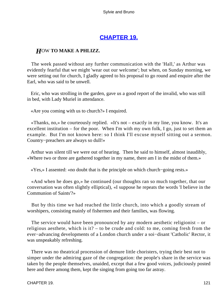# **[CHAPTER 19.](#page-177-0)**

# *H*OW **TO MAKE A PHLIZZ.**

 The week passed without any further communication with the 'Hall,' as Arthur was evidently fearful that we might 'wear out our welcome'; but when, on Sunday morning, we were setting out for church, I gladly agreed to his proposal to go round and enquire after the Earl, who was said to be unwell.

 Eric, who was strolling in the garden, gave us a good report of the invalid, who was still in bed, with Lady Muriel in attendance.

«Are you coming with us to church?» I enquired.

 «Thanks, no,» he courteously replied. «It's not – exactly in my line, you know. It's an excellent institution – for the poor. When I'm with my own folk, I go, just to set them an example. But I'm not known here: so I think I'll excuse myself sitting out a sermon. Country−preachers are always so dull!»

 Arthur was silent till we were out of hearing. Then he said to himself, almost inaudibly, «Where two or three are gathered together in my name, there am I in the midst of them.»

«Yes,» I assented: «no doubt that is the principle on which church−going rests.»

 «And when he does go,» he continued (our thoughts ran so much together, that our conversation was often slightly elliptical), «I suppose he repeats the words 'I believe in the Communion of Saints'?»

 But by this time we had reached the little church, into which a goodly stream of worshipers, consisting mainly of fishermen and their families, was flowing.

 The service would have been pronounced by any modern aesthetic religionist – or religious aesthete, which is it? – to be crude and cold: to me, coming fresh from the ever−advancing developments of a London church under a soi−disant 'Catholic' Rector, it was unspeakably refreshing.

 There was no theatrical procession of demure little choristers, trying their best not to simper under the admiring gaze of the congregation: the people's share in the service was taken by the people themselves, unaided, except that a few good voices, judiciously posted here and there among them, kept the singing from going too far astray.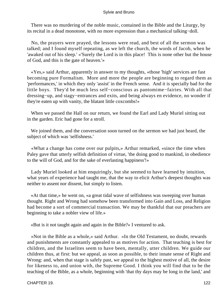There was no murdering of the noble music, contained in the Bible and the Liturgy, by its recital in a dead monotone, with no more expression than a mechanical talking−doll.

 No, the prayers were prayed, the lessons were read, and best of all the sermon was talked; and I found myself repeating, as we left the church, the words of Jacob, when he 'awaked out of his sleep.' «'Surely the Lord is in this place! This is none other but the house of God, and this is the gate of heaven.'»

 «Yes,» said Arthur, apparently in answer to my thoughts, «those 'high' services are fast becoming pure Formalism. More and more the people are beginning to regard them as 'performances,' in which they only 'assist' in the French sense. And it is specially bad for the little boys. They'd be much less self−conscious as pantomime−fairies. With all that dressing−up, and stagy−entrances and exits, and being always en evidence, no wonder if they're eaten up with vanity, the blatant little coxcombs!»

 When we passed the Hall on our return, we found the Earl and Lady Muriel sitting out in the garden. Eric had gone for a stroll.

 We joined them, and the conversation soon turned on the sermon we had just heard, the subject of which was 'selfishness.'

 «What a change has come over our pulpits,» Arthur remarked, «since the time when Paley gave that utterly selfish definition of virtue, 'the doing good to mankind, in obedience to the will of God, and for the sake of everlasting happiness'!»

 Lady Muriel looked at him enquiringly, but she seemed to have learned by intuition, what years of experience had taught me, that the way to elicit Arthur's deepest thoughts was neither to assent nor dissent, but simply to listen.

 «At that time,» he went on, «a great tidal wave of selfishness was sweeping over human thought. Right and Wrong had somehow been transformed into Gain and Loss, and Religion had become a sort of commercial transaction. We may be thankful that our preachers are beginning to take a nobler view of life.»

«But is it not taught again and again in the Bible?» I ventured to ask.

 «Not in the Bible as a whole,» said Arthur. «In the Old Testament, no doubt, rewards and punishments are constantly appealed to as motives for action. That teaching is best for children, and the Israelites seem to have been, mentally, utter children. We guide our children thus, at first: but we appeal, as soon as possible, to their innate sense of Right and Wrong: and, when that stage is safely past, we appeal to the highest motive of all, the desire for likeness to, and union with, the Supreme Good. I think you will find that to be the teaching of the Bible, as a whole, beginning with 'that thy days may be long in the land,' and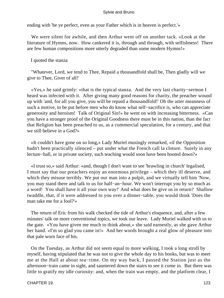ending with 'be ye perfect, even as your Father which is in heaven is perfect.'»

 We were silent for awhile, and then Arthur went off on another tack. «Look at the literature of Hymns, now. How cankered it is, through and through, with selfishness! There are few human compositions more utterly degraded than some modern Hymns!»

# I quoted the stanza

 "Whatever, Lord, we tend to Thee, Repaid a thousandfold shall be, Then gladly will we give to Thee, Giver of all!'

 «Yes,» he said grimly: «that is the typical stanza. And the very last charity−sermon I heard was infected with it. After giving many good reasons for charity, the preacher wound up with 'and, for all you give, you will be repaid a thousandfold!' Oh the utter meanness of such a motive, to be put before men who do know what self−sacrifice is, who can appreciate generosity and heroism! Talk of Original Sin!» he went on with increasing bitterness. «Can you have a stronger proof of the Original Goodness there must be in this nation, than the fact that Religion has been preached to us, as a commercial speculation, for a century, and that we still believe in a God?»

 «It couldn't have gone on so long,» Lady Muriel musingly remarked, «if the Opposition hadn't been practically silenced – put under what the French call la cloture. Surely in any lecture−hall, or in private society, such teaching would soon have been hooted down?»

 «I trust so,» said Arthur: «and, though I don't want to see 'brawling in church' legalised, I must say that our preachers enjoy an enormous privilege – which they ill deserve, and which they misuse terribly. We put our man into a pulpit, and we virtually tell him 'Now, you may stand there and talk to us for half−an−hour. We won't interrupt you by so much as a word! You shall have it all your own way!' And what does he give us in return? Shallow twaddle, that, if it were addressed to you over a dinner−table, you would think 'Does the man take me for a fool?'»

 The return of Eric from his walk checked the tide of Arthur's eloquence, and, after a few minutes' talk on more conventional topics, we took our leave. Lady Muriel walked with us to the gate. «You have given me much to think about,» she said earnestly, as she gave Arthur her hand. «I'm so glad you came in!» And her words brought a real glow of pleasure into that pale worn face of his.

 On the Tuesday, as Arthur did not seem equal to more walking, I took a long stroll by myself, having stipulated that he was not to give the whole day to his books, but was to meet me at the Hall at about tea−time. On my way back, I passed the Station just as the afternoon−train came in sight, and sauntered down the stairs to see it come in. But there was little to gratify my idle curiosity: and, when the train was empty, and the platform clear, I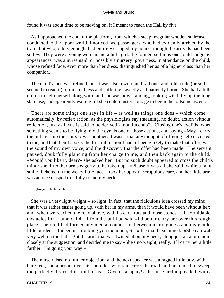found it was about time to be moving on, if I meant to reach the Hall by five.

 As I approached the end of the platform, from which a steep irregular wooden staircase conducted to the upper world, I noticed two passengers, who had evidently arrived by the train, but who, oddly enough, had entirely escaped my notice, though the arrivals had been so few. They were a young woman and a little girl: the former, so far as one could judge by appearances, was a nursemaid, or possibly a nursery−governess, in attendance on the child, whose refined face, even more than her dress, distinguished her as of a higher class than her companion.

 The child's face was refined, but it was also a worn and sad one, and told a tale (or so I seemed to read it) of much illness and suffering, sweetly and patiently borne. She had a little crutch to help herself along with: and she was now standing, looking wistfully up the long staircase, and apparently waiting till she could muster courage to begin the toilsome ascent.

 There are some things one says in life – as well as things one does – which come automatically, by reflex action, as the physiologists say (meaning, no doubt, action without reflection, just as lucus is said to be derived 'a non lucendo'). Closing one's eyelids, when something seems to be flying into the eye, is one of those actions, and saying «May I carry the little girl up the stairs?» was another. It wasn't that any thought of offering help occurred to me, and that then I spoke: the first intimation I had, of being likely to make that offer, was the sound of my own voice, and the discovery that the offer had been made. The servant paused, doubtfully glancing from her charge to me, and then back again to the child. «Would you like it, dear?» she asked her. But no such doubt appeared to cross the child's mind: she lifted her arms eagerly to be taken up. «Please!» was all she said, while a faint smile flickered on the weary little face. I took her up with scrupulous care, and her little arm was at once clasped trustfully round my neck.

[Image...The lame child]

 She was a very light weight – so light, in fact, that the ridiculous idea crossed my mind that it was rather easier going up, with her in my arms, than it would have been without her: and, when we reached the road above, with its cart−ruts and loose stones – all formidable obstacles for a lame child – I found that I had said «I'd better carry her over this rough place,» before I had formed any mental connection between its roughness and my gentle little burden. «Indeed it's troubling you too much, Sir!» the maid exclaimed. «She can walk very well on the flat.» But the arm, that was twined about my neck, clung just an atom more closely at the suggestion, and decided me to say «She's no weight, really. I'll carry her a little further. I'm going your way.»

 The nurse raised no further objection: and the next speaker was a ragged little boy, with bare feet, and a broom over his shoulder, who ran across the road, and pretended to sweep the perfectly dry road in front of us. «Give us a 'ap'ny!» the little urchin pleaded, with a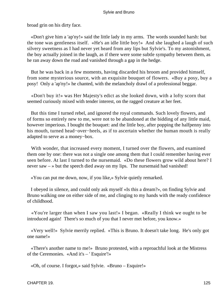broad grin on his dirty face.

 «Don't give him a 'ap'ny!» said the little lady in my arms. The words sounded harsh: but the tone was gentleness itself. «He's an idle little boy!» And she laughed a laugh of such silvery sweetness as I had never yet heard from any lips but Sylvie's. To my astonishment, the boy actually joined in the laugh, as if there were some subtle sympathy between them, as he ran away down the road and vanished through a gap in the hedge.

 But he was back in a few moments, having discarded his broom and provided himself, from some mysterious source, with an exquisite bouquet of flowers. «Buy a posy, buy a posy! Only a 'ap'ny!» he chanted, with the melancholy drawl of a professional beggar.

 «Don't buy it!» was Her Majesty's edict as she looked down, with a lofty scorn that seemed curiously mixed with tender interest, on the ragged creature at her feet.

 But this time I turned rebel, and ignored the royal commands. Such lovely flowers, and of forms so entirely new to me, were not to be abandoned at the bidding of any little maid, however imperious. I bought the bouquet: and the little boy, after popping the halfpenny into his mouth, turned head−over−heels, as if to ascertain whether the human mouth is really adapted to serve as a money−box.

 With wonder, that increased every moment, I turned over the flowers, and examined them one by one: there was not a single one among them that I could remember having ever seen before. At last I turned to the nursemaid. «Do these flowers grow wild about here? I never saw – » but the speech died away on my lips. The nursemaid had vanished!

«You can put me down, now, if you like,» Sylvie quietly remarked.

 I obeyed in silence, and could only ask myself «Is this a dream?», on finding Sylvie and Bruno walking one on either side of me, and clinging to my hands with the ready confidence of childhood.

 «You're larger than when I saw you last!» I began. «Really I think we ought to be introduced again! There's so much of you that I never met before, you know.»

 «Very well!» Sylvie merrily replied. «This is Bruno. It doesn't take long. He's only got one name!»

 «There's another name to me!» Bruno protested, with a reproachful look at the Mistress of the Ceremonies. «And it's – ' Esquire'!»

«Oh, of course. I forgot,» said Sylvie. «Bruno – Esquire!»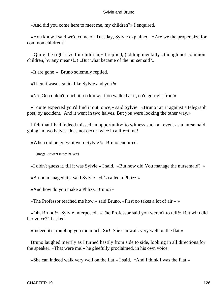«And did you come here to meet me, my children?» I enquired.

 «You know I said we'd come on Tuesday, Sylvie explained. »Are we the proper size for common children?"

 «Quite the right size for children,» I replied, (adding mentally «though not common children, by any means!») «But what became of the nursemaid?»

«It are gone!» Bruno solemnly replied.

«Then it wasn't solid, like Sylvie and you?»

«No. Oo couldn't touch it, oo know. If oo walked at it, oo'd go right froo!»

 «I quite expected you'd find it out, once,» said Sylvie. «Bruno ran it against a telegraph post, by accident. And it went in two halves. But you were looking the other way.»

 I felt that I had indeed missed an opportunity: to witness such an event as a nursemaid going 'in two halves' does not occur twice in a life−time!

«When did oo guess it were Sylvie?» Bruno enquired.

[Image...'It went in two halves']

«I didn't guess it, till it was Sylvie,» I said. «But how did You manage the nursemaid? »

«Bruno managed it,» said Sylvie. «It's called a Phlizz.»

«And how do you make a Phlizz, Bruno?»

«The Professor teached me how,» said Bruno. «First oo takes a lot of air  $-\infty$ 

 «Oh, Bruno!» Sylvie interposed. «The Professor said you weren't to tell!» But who did her voice?" I asked.

«Indeed it's troubling you too much, Sir! She can walk very well on the flat.»

 Bruno laughed merrily as I turned hastily from side to side, looking in all directions for the speaker. «That were me!» he gleefully proclaimed, in his own voice.

«She can indeed walk very well on the flat,» I said. «And I think I was the Flat.»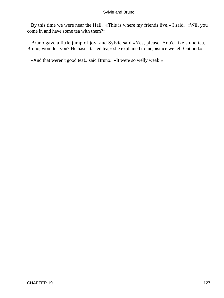By this time we were near the Hall. «This is where my friends live,» I said. «Will you come in and have some tea with them?»

 Bruno gave a little jump of joy: and Sylvie said «Yes, please. You'd like some tea, Bruno, wouldn't you? He hasn't tasted tea,» she explained to me, «since we left Outland.»

«And that weren't good tea!» said Bruno. «It were so welly weak!»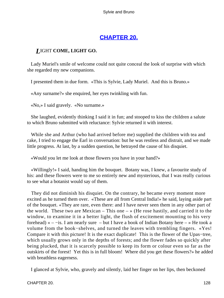# **[CHAPTER 20.](#page-178-0)**

# *L*IGHT **COME, LIGHT GO.**

 Lady Muriel's smile of welcome could not quite conceal the look of surprise with which she regarded my new companions.

I presented them in due form. «This is Sylvie, Lady Muriel. And this is Bruno.»

«Any surname?» she enquired, her eyes twinkling with fun.

«No,» I said gravely. «No surname.»

 She laughed, evidently thinking I said it in fun; and stooped to kiss the children a salute to which Bruno submitted with reluctance: Sylvie returned it with interest.

 While she and Arthur (who had arrived before me) supplied the children with tea and cake, I tried to engage the Earl in conversation: but he was restless and distrait, and we made little progress. At last, by a sudden question, he betrayed the cause of his disquiet.

«Would you let me look at those flowers you have in your hand?»

 «Willingly!» I said, handing him the bouquet. Botany was, I knew, a favourite study of his: and these flowers were to me so entirely new and mysterious, that I was really curious to see what a botanist would say of them.

 They did not diminish his disquiet. On the contrary, he became every moment more excited as he turned them over. «These are all from Central India!» he said, laying aside part of the bouquet. «They are rare, even there: and I have never seen them in any other part of the world. These two are Mexican – This one  $-\infty$  (He rose hastily, and carried it to the window, to examine it in a better light, the flush of excitement mounting to his very forehead) « – –is. I am nearly sure – but I have a book of Indian Botany here – » He took a volume from the book−shelves, and turned the leaves with trembling fingers. «Yes! Compare it with this picture! It is the exact duplicate! This is the flower of the Upas−tree, which usually grows only in the depths of forests; and the flower fades so quickly after being plucked, that it is scarcely possible to keep its form or colour even so far as the outskirts of the forest! Yet this is in full bloom! Where did you get these flowers?» he added with breathless eagerness.

I glanced at Sylvie, who, gravely and silently, laid her finger on her lips, then beckoned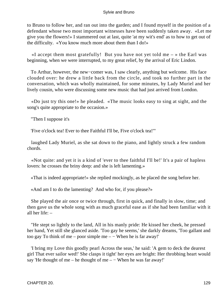to Bruno to follow her, and ran out into the garden; and I found myself in the position of a defendant whose two most important witnesses have been suddenly taken away. «Let me give you the flowers!» I stammered out at last, quite 'at my wit's end' as to how to get out of the difficulty. «You know much more about them than I do!»

«I accept them most gratefully! But you have not yet told me  $-$  » the Earl was beginning, when we were interrupted, to my great relief, by the arrival of Eric Lindon.

 To Arthur, however, the new−comer was, I saw clearly, anything but welcome. His face clouded over: he drew a little back from the circle, and took no further part in the conversation, which was wholly maintained, for some minutes, by Lady Muriel and her lively cousin, who were discussing some new music that had just arrived from London.

 «Do just try this one!» he pleaded. «The music looks easy to sing at sight, and the song's quite appropriate to the occasion.»

"Then I suppose it's

'Five o'clock tea! Ever to thee Faithful I'll be, Five o'clock tea!"'

 laughed Lady Muriel, as she sat down to the piano, and lightly struck a few random chords.

 «Not quite: and yet it is a kind of 'ever to thee faithful I'll be!' It's a pair of hapless lovers: he crosses the briny deep: and she is left lamenting.»

«That is indeed appropriate!» she replied mockingly, as he placed the song before her.

«And am I to do the lamenting? And who for, if you please?»

 She played the air once or twice through, first in quick, and finally in slow, time; and then gave us the whole song with as much graceful ease as if she had been familiar with it all her life: –

 "He stept so lightly to the land, All in his manly pride: He kissed her cheek, he pressed her hand, Yet still she glanced aside. 'Too gay he seems,' she darkly dreams, 'Too gallant and too gay To think of me – poor simple me – – When he is far away!'

 'I bring my Love this goodly pearl Across the seas,' he said: 'A gem to deck the dearest girl That ever sailor wed!' She clasps it tight' her eyes are bright: Her throbbing heart would say 'He thought of me – he thought of me – – When he was far away!'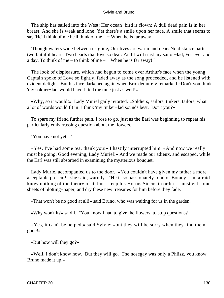The ship has sailed into the West: Her ocean−bird is flown: A dull dead pain is in her breast, And she is weak and lone: Yet there's a smile upon her face, A smile that seems to say 'He'll think of me he'll think of me – – When he is far away!

 'Though waters wide between us glide, Our lives are warm and near: No distance parts two faithful hearts Two hearts that love so dear: And I will trust my sailor−lad, For ever and a day, To think of me – to think of me – – When he is far away!"

 The look of displeasure, which had begun to come over Arthur's face when the young Captain spoke of Love so lightly, faded away as the song proceeded, and he listened with evident delight. But his face darkened again when Eric demurely remarked «Don't you think 'my soldier−lad' would have fitted the tune just as well!»

 «Why, so it would!» Lady Muriel gaily retorted. «Soldiers, sailors, tinkers, tailors, what a lot of words would fit in! I think 'my tinker−lad sounds best. Don't you?»

 To spare my friend further pain, I rose to go, just as the Earl was beginning to repeat his particularly embarrassing question about the flowers.

"You have not yet – '

 «Yes, I've had some tea, thank you!» I hastily interrupted him. «And now we really must be going. Good evening, Lady Muriel!» And we made our adieux, and escaped, while the Earl was still absorbed in examining the mysterious bouquet.

 Lady Muriel accompanied us to the door. «You couldn't have given my father a more acceptable present!» she said, warmly. "He is so passionately fond of Botany. I'm afraid I know nothing of the theory of it, but I keep his Hortus Siccus in order. I must get some sheets of blotting−paper, and dry these new treasures for him before they fade.

«That won't be no good at all!» said Bruno, who was waiting for us in the garden.

«Why won't it?» said I. "You know I had to give the flowers, to stop questions?

 «Yes, it ca'n't be helped,» said Sylvie: «but they will be sorry when they find them gone!»

«But how will they go?»

 «Well, I don't know how. But they will go. The nosegay was only a Phlizz, you know. Bruno made it up.»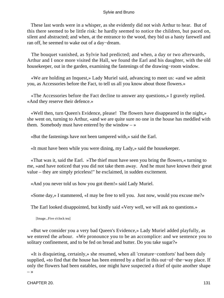These last words were in a whisper, as she evidently did not wish Arthur to hear. But of this there seemed to be little risk: he hardly seemed to notice the children, but paced on, silent and abstracted; and when, at the entrance to the wood, they bid us a hasty farewell and ran off, he seemed to wake out of a day−dream.

 The bouquet vanished, as Sylvie had predicted; and when, a day or two afterwards, Arthur and I once more visited the Hall, we found the Earl and his daughter, with the old housekeeper, out in the garden, examining the fastenings of the drawing−room window.

 «We are holding an Inquest,» Lady Muriel said, advancing to meet us: «and we admit you, as Accessories before the Fact, to tell us all you know about those flowers.»

 «The Accessories before the Fact decline to answer any questions,» I gravely replied. «And they reserve their defence.»

 «Well then, turn Queen's Evidence, please! The flowers have disappeared in the night,» she went on, turning to Arthur, «and we are quite sure no one in the house has meddled with them. Somebody must have entered by the window  $-\infty$ 

«But the fastenings have not been tampered with,» said the Earl.

«It must have been while you were dining, my Lady,» said the housekeeper.

 «That was it, said the Earl. »The thief must have seen you bring the flowers,« turning to me, »and have noticed that you did not take them away. And he must have known their great value – they are simply priceless!" he exclaimed, in sudden excitement.

«And you never told us how you got them!» said Lady Muriel.

«Some day,» I stammered, «I may be free to tell you. Just now, would you excuse me?»

The Earl looked disappointed, but kindly said «Very well, we will ask no questions.»

[Image...Five o'clock tea]

 «But we consider you a very bad Queen's Evidence,» Lady Muriel added playfully, as we entered the arbour. «We pronounce you to be an accomplice: and we sentence you to solitary confinement, and to be fed on bread and butter. Do you take sugar?»

 «It is disquieting, certainly,» she resumed, when all 'creature−comforts' had been duly supplied, «to find that the house has been entered by a thief in this out−of−the−way place. If only the flowers had been eatables, one might have suspected a thief of quite another shape  $\rightarrow$ 

CHAPTER 20. 131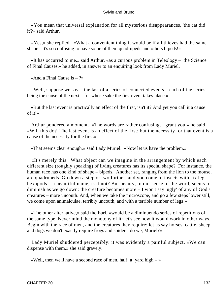«You mean that universal explanation for all mysterious disappearances, 'the cat did it'?» said Arthur.

 «Yes,» she replied. «What a convenient thing it would be if all thieves had the same shape! It's so confusing to have some of them quadrupeds and others bipeds!»

 «It has occurred to me,» said Arthur, «as a curious problem in Teleology – the Science of Final Causes,» he added, in answer to an enquiring look from Lady Muriel.

«And a Final Cause is  $-$  ?»

 «Well, suppose we say – the last of a series of connected events – each of the series being the cause of the next – for whose sake the first event takes place.»

 «But the last event is practically an effect of the first, isn't it? And yet you call it a cause of it!»

 Arthur pondered a moment. «The words are rather confusing, I grant you,» he said. «Will this do? The last event is an effect of the first: but the necessity for that event is a cause of the necessity for the first.»

«That seems clear enough,» said Lady Muriel. «Now let us have the problem.»

 «It's merely this. What object can we imagine in the arrangement by which each different size (roughly speaking) of living creatures has its special shape? For instance, the human race has one kind of shape – bipeds. Another set, ranging from the lion to the mouse, are quadrupeds. Go down a step or two further, and you come to insects with six legs – hexapods – a beautiful name, is it not? But beauty, in our sense of the word, seems to diminish as we go down: the creature becomes more – I won't say 'ugly' of any of God's creatures – more uncouth. And, when we take the microscope, and go a few steps lower still, we come upon animalculae, terribly uncouth, and with a terrible number of legs!»

 «The other alternative,» said the Earl, «would be a diminuendo series of repetitions of the same type. Never mind the monotony of it: let's see how it would work in other ways. Begin with the race of men, and the creatures they require: let us say horses, cattle, sheep, and dogs we don't exactly require frogs and spiders, do we, Muriel?»

 Lady Muriel shuddered perceptibly: it was evidently a painful subject. «We can dispense with them,» she said gravely.

«Well, then we'll have a second race of men, half−a−yard high – »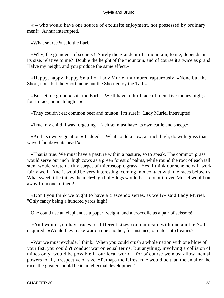« – who would have one source of exquisite enjoyment, not possessed by ordinary men!» Arthur interrupted.

«What source?» said the Earl.

 «Why, the grandeur of scenery! Surely the grandeur of a mountain, to me, depends on its size, relative to me? Double the height of the mountain, and of course it's twice as grand. Halve my height, and you produce the same effect.»

 «Happy, happy, happy Small!» Lady Muriel murmured rapturously. «None but the Short, none but the Short, none but the Short enjoy the Tall!»

 «But let me go on,» said the Earl. «We'll have a third race of men, five inches high; a fourth race, an inch high  $-\infty$ 

«They couldn't eat common beef and mutton, I'm sure!» Lady Muriel interrupted.

«True, my child, I was forgetting. Each set must have its own cattle and sheep.»

 «And its own vegetation,» I added. «What could a cow, an inch high, do with grass that waved far above its head?»

 «That is true. We must have a pasture within a pasture, so to speak. The common grass would serve our inch−high cows as a green forest of palms, while round the root of each tall stem would stretch a tiny carpet of microscopic grass. Yes, I think our scheme will work fairly well. And it would be very interesting, coming into contact with the races below us. What sweet little things the inch−high bull−dogs would be! I doubt if even Muriel would run away from one of them!»

 «Don't you think we ought to have a crescendo series, as well?» said Lady Muriel. "Only fancy being a hundred yards high!

One could use an elephant as a paper−weight, and a crocodile as a pair of scissors!"

 «And would you have races of different sizes communicate with one another?» I enquired. «Would they make war on one another, for instance, or enter into treaties?»

 «War we must exclude, I think. When you could crush a whole nation with one blow of your fist, you couldn't conduct war on equal terms. But anything, involving a collision of minds only, would be possible in our ideal world – for of course we must allow mental powers to all, irrespective of size. »Perhaps the fairest rule would be that, the smaller the race, the greater should be its intellectual development!"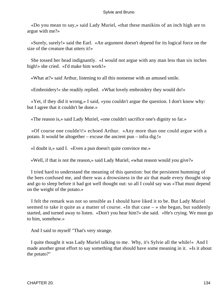«Do you mean to say,» said Lady Muriel, «that these manikins of an inch high are to argue with me?»

 «Surely, surely!» said the Earl. «An argument doesn't depend for its logical force on the size of the creature that utters it!»

 She tossed her head indignantly. «I would not argue with any man less than six inches high!» she cried. «I'd make him work!»

«What at?» said Arthur, listening to all this nonsense with an amused smile.

«Embroidery!» she readily replied. «What lovely embroidery they would do!»

 «Yet, if they did it wrong,» I said, «you couldn't argue the question. I don't know why: but I agree that it couldn't be done.»

«The reason is,» said Lady Muriel, «one couldn't sacrifice one's dignity so far.»

 «Of course one couldn't!» echoed Arthur. «Any more than one could argue with a potato. It would be altogether – excuse the ancient pun – infra dig.!»

«I doubt it,» said I. «Even a pun doesn't quite convince me.»

«Well, if that is not the reason,» said Lady Muriel, «what reason would you give?»

 I tried hard to understand the meaning of this question: but the persistent humming of the bees confused me, and there was a drowsiness in the air that made every thought stop and go to sleep before it had got well thought out: so all I could say was «That must depend on the weight of the potato.»

 I felt the remark was not so sensible as I should have liked it to be. But Lady Muriel seemed to take it quite as a matter of course. «In that case – » she began, but suddenly started, and turned away to listen. «Don't you hear him?» she said. «He's crying. We must go to him, somehow.»

And I said to myself "That's very strange.

 I quite thought it was Lady Muriel talking to me. Why, it's Sylvie all the while!« And I made another great effort to say something that should have some meaning in it. »Is it about the potato?"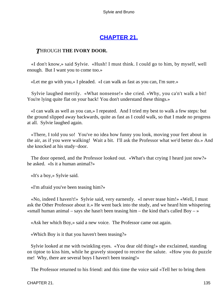# **[CHAPTER 21.](#page-178-0)**

# *T*HROUGH **THE IVORY DOOR.**

 «I don't know,» said Sylvie. «Hush! I must think. I could go to him, by myself, well enough. But I want you to come too.»

«Let me go with you,» I pleaded. «I can walk as fast as you can, I'm sure.»

 Sylvie laughed merrily. «What nonsense!» she cried. «Why, you ca'n't walk a bit! You're lying quite flat on your back! You don't understand these things.»

 «I can walk as well as you can,» I repeated. And I tried my best to walk a few steps: but the ground slipped away backwards, quite as fast as I could walk, so that I made no progress at all. Sylvie laughed again.

 «There, I told you so! You've no idea how funny you look, moving your feet about in the air, as if you were walking! Wait a bit. I'll ask the Professor what we'd better do.» And she knocked at his study−door.

 The door opened, and the Professor looked out. «What's that crying I heard just now?» he asked. «Is it a human animal?»

«It's a boy,» Sylvie said.

«I'm afraid you've been teasing him?»

 «No, indeed I haven't!» Sylvie said, very earnestly. «I never tease him!» «Well, I must ask the Other Professor about it.» He went back into the study, and we heard him whispering «small human animal – says she hasn't been teasing him – the kind that's called Boy –  $\rightarrow$ 

«Ask her which Boy,» said a new voice. The Professor came out again.

«Which Boy is it that you haven't been teasing?»

 Sylvie looked at me with twinkling eyes. «You dear old thing!» she exclaimed, standing on tiptoe to kiss him, while he gravely stooped to receive the salute. «How you do puzzle me! Why, there are several boys I haven't been teasing!»

The Professor returned to his friend: and this time the voice said «Tell her to bring them

CHAPTER 21. 135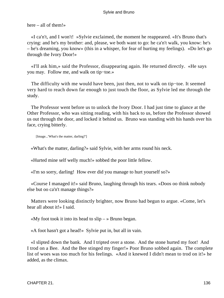here – all of them!»

 «I ca'n't, and I won't! »Sylvie exclaimed, the moment he reappeared. «It's Bruno that's crying: and he's my brother: and, please, we both want to go: he ca'n't walk, you know: he's – he's dreaming, you know» (this in a whisper, for fear of hurting my feelings). «Do let's go through the Ivory Door!»

 «I'll ask him,» said the Professor, disappearing again. He returned directly. «He says you may. Follow me, and walk on tip−toe.»

 The difficulty with me would have been, just then, not to walk on tip−toe. It seemed very hard to reach down far enough to just touch the floor, as Sylvie led me through the study.

 The Professor went before us to unlock the Ivory Door. I had just time to glance at the Other Professor, who was sitting reading, with his back to us, before the Professor showed us out through the door, and locked it behind us. Bruno was standing with his hands over his face, crying bitterly.

[Image...'What's the matter, darling?']

«What's the matter, darling?» said Sylvie, with her arms round his neck.

«Hurted mine self welly much!» sobbed the poor little fellow.

«I'm so sorry, darling! How ever did you manage to hurt yourself so?»

 «Course I managed it!» said Bruno, laughing through his tears. «Doos oo think nobody else but oo ca'n't manage things?»

 Matters were looking distinctly brighter, now Bruno had begun to argue. «Come, let's hear all about it!» I said.

«My foot took it into its head to  $\sin y - \sin y$  Bruno began.

«A foot hasn't got a head!» Sylvie put in, but all in vain.

 «I slipted down the bank. And I tripted over a stone. And the stone hurted my foot! And I trod on a Bee. And the Bee stinged my finger!» Poor Bruno sobbed again. The complete list of woes was too much for his feelings. «And it knewed I didn't mean to trod on it!» he added, as the climax.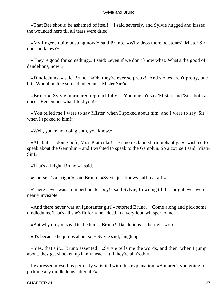«That Bee should be ashamed of itself!» I said severely, and Sylvie hugged and kissed the wounded hero till all tears were dried.

 «My finger's quite unstung now!» said Bruno. «Why doos there be stones? Mister Sir, doos oo know?»

 «They're good for something,» I said: «even if we don't know what. What's the good of dandelions, now?»

 «Dindledums?» said Bruno. «Oh, they're ever so pretty! And stones aren't pretty, one bit. Would oo like some dindledums, Mister Sir?»

 «Bruno!» Sylvie murmured reproachfully. «You mustn't say 'Mister' and 'Sir,' both at once! Remember what I told you!»

 «You telled me I were to say Mister' when I spoked about him, and I were to say 'Sir' when I spoked to him!»

«Well, you're not doing both, you know.»

 «Ah, but I is doing bofe, Miss Praticular!» Bruno exclaimed triumphantly. «I wishted to speak about the Gemplun – and I wishted to speak to the Gemplun. So a course I said 'Mister Sir'!»

«That's all right, Bruno,» I said.

«Course it's all right!» said Bruno. «Sylvie just knows nuffin at all!»

 «There never was an impertinenter boy!» said Sylvie, frowning till her bright eyes were nearly invisible.

 «And there never was an ignoranter girl!» retorted Bruno. «Come along and pick some dindledums. That's all she's fit for!» he added in a very loud whisper to me.

«But why do you say 'Dindledums,' Bruno? Dandelions is the right word.»

«It's because he jumps about so,» Sylvie said, laughing.

 «Yes, that's it,» Bruno assented. «Sylvie tells me the words, and then, when I jump about, they get shooken up in my head – till they're all froth!»

 I expressed myself as perfectly satisfied with this explanation. «But aren't you going to pick me any dindledums, after all?»

CHAPTER 21. 137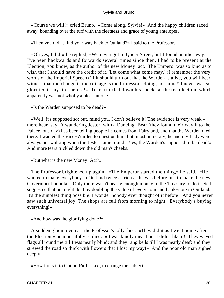«Course we will!» cried Bruno. «Come along, Sylvie!» And the happy children raced away, bounding over the turf with the fleetness and grace of young antelopes.

«Then you didn't find your way back to Outland?» I said to the Professor.

 «Oh yes, I did!» he replied, «We never got to Queer Street; but I found another way. I've been backwards and forwards several times since then. I had to be present at the Election, you know, as the author of the new Money−act. The Emperor was so kind as to wish that I should have the credit of it. 'Let come what come may,' (I remember the very words of the Imperial Speech) 'if it should turn out that the Warden is alive, you will bear witness that the change in the coinage is the Professor's doing, not mine!' I never was so glorified in my life, before!» Tears trickled down his cheeks at the recollection, which apparently was not wholly a pleasant one.

«Is the Warden supposed to be dead?»

 «Well, it's supposed so: but, mind you, I don't believe it! The evidence is very weak – mere hear−say. A wandering Jester, with a Dancing−Bear (they found their way into the Palace, one day) has been telling people he comes from Fairyland, and that the Warden died there. I wanted the Vice−Warden to question him, but, most unluckily, he and my Lady were always out walking when the Jester came round. Yes, the Warden's supposed to be dead!» And more tears trickled down the old man's cheeks.

«But what is the new Money−Act?»

 The Professor brightened up again. «The Emperor started the thing,» he said. «He wanted to make everybody in Outland twice as rich as he was before just to make the new Government popular. Only there wasn't nearly enough money in the Treasury to do it. So I suggested that he might do it by doubling the value of every coin and bank−note in Outland. It's the simplest thing possible. I wonder nobody ever thought of it before! And you never saw such universal joy. The shops are full from morning to night. Everybody's buying everything!»

«And how was the glorifying done?»

 A sudden gloom overcast the Professor's jolly face. «They did it as I went home after the Election,» he mournfully replied. «It was kindly meant but I didn't like it! They waved flags all round me till I was nearly blind: and they rang bells till I was nearly deaf: and they strewed the road so thick with flowers that I lost my way!» And the poor old man sighed deeply.

«How far is it to Outland?» I asked, to change the subject.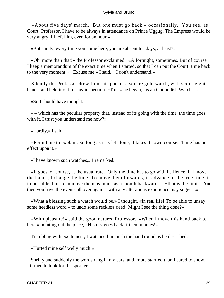«About five days' march. But one must go back – occasionally. You see, as Court−Professor, I have to be always in attendance on Prince Uggug. The Empress would be very angry if I left him, even for an hour.»

«But surely, every time you come here, you are absent ten days, at least?»

 «Oh, more than that!» the Professor exclaimed. «A fortnight, sometimes. But of course I keep a memorandum of the exact time when I started, so that I can put the Court−time back to the very moment!» «Excuse me,» I said. «I don't understand.»

 Silently the Professor drew front his pocket a square gold watch, with six or eight hands, and held it out for my inspection. «This,» he began, «is an Outlandish Watch – »

«So I should have thought.»

 « – which has the peculiar property that, instead of its going with the time, the time goes with it. I trust you understand me now?»

«Hardly,» I said.

 «Permit me to explain. So long as it is let alone, it takes its own course. Time has no effect upon it.»

«I have known such watches,» I remarked.

 «It goes, of course, at the usual rate. Only the time has to go with it. Hence, if I move the hands, I change the time. To move them forwards, in advance of the true time, is impossible: but I can move them as much as a month backwards – −that is the limit. And then you have the events all over again – with any alterations experience may suggest.»

 «What a blessing such a watch would be,» I thought, «in real life! To be able to unsay some heedless word – to undo some reckless deed! Might I see the thing done?»

 «With pleasure!» said the good natured Professor. «When I move this hand back to here,» pointing out the place, «History goes back fifteen minutes!»

Trembling with excitement, I watched him push the hand round as he described.

«Hurted mine self welly much!»

 Shrilly and suddenly the words rang in my ears, and, more startled than I cared to show, I turned to look for the speaker.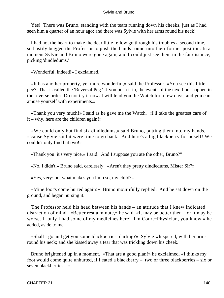Yes! There was Bruno, standing with the tears running down his cheeks, just as I had seen him a quarter of an hour ago; and there was Sylvie with her arms round his neck!

 I had not the heart to make the dear little fellow go through his troubles a second time, so hastily begged the Professor to push the hands round into their former position. In a moment Sylvie and Bruno were gone again, and I could just see them in the far distance, picking 'dindledums.'

«Wonderful, indeed!» I exclaimed.

 «It has another property, yet more wonderful,» said the Professor. «You see this little peg? That is called the 'Reversal Peg.' If you push it in, the events of the next hour happen in the reverse order. Do not try it now. I will lend you the Watch for a few days, and you can amuse yourself with experiments.»

 «Thank you very much!» I said as he gave me the Watch. «I'll take the greatest care of it – why, here are the children again!»

 «We could only but find six dindledums,» said Bruno, putting them into my hands, «'cause Sylvie said it were time to go back. And here's a big blackberry for ooself! We couldn't only find but two!»

«Thank you: it's very nice,» I said. And I suppose you ate the other, Bruno?"

«No, I didn't,» Bruno said, carelessly. «Aren't they pretty dindledums, Mister Sir?»

«Yes, very: but what makes you limp so, my child?»

 «Mine foot's come hurted again!» Bruno mournfully replied. And he sat down on the ground, and began nursing it.

 The Professor held his head between his hands – an attitude that I knew indicated distraction of mind. «Better rest a minute,» he said. «It may be better then – or it may be worse. If only I had some of my medicines here! I'm Court−Physician, you know,» he added, aside to me.

 «Shall I go and get you some blackberries, darling?» Sylvie whispered, with her arms round his neck; and she kissed away a tear that was trickling down his cheek.

 Bruno brightened up in a moment. «That are a good plan!» he exclaimed. «I thinks my foot would come quite unhurted, if I eated a blackberry – two or three blackberries – six or seven blackberries – »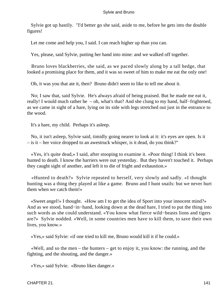Sylvie got up hastily. "I'd better go she said, aside to me, before he gets into the double figures!

Let me come and help you, I said. I can reach higher up than you can.

Yes, please, said Sylvie, putting her hand into mine: and we walked off together.

 Bruno loves blackberries, she said, as we paced slowly along by a tall hedge, that looked a promising place for them, and it was so sweet of him to make me eat the only one!

Oh, it was you that ate it, then? Bruno didn't seem to like to tell me about it.

 No; I saw that, said Sylvie. He's always afraid of being praised. But he made me eat it, really! I would much rather he – oh, what's that? And she clung to my hand, half−frightened, as we came in sight of a hare, lying on its side with legs stretched out just in the entrance to the wood.

It's a hare, my child. Perhaps it's asleep.

 No, it isn't asleep, Sylvie said, timidly going nearer to look at it: it's eyes are open. Is it – is it – her voice dropped to an awestruck whisper, is it dead, do you think?"

 «Yes, it's quite dead,» I said, after stooping to examine it. «Poor thing! I think it's been hunted to death. I know the harriers were out yesterday. But they haven't touched it. Perhaps they caught sight of another, and left it to die of fright and exhaustion.»

 «Hunted to death?» Sylvie repeated to herself, very slowly and sadly. «I thought hunting was a thing they played at like a game. Bruno and I hunt snails: but we never hurt them when we catch them!»

 «Sweet angel!» I thought. «How am I to get the idea of Sport into your innocent mind?» And as we stood, hand−in−hand, looking down at the dead hare, I tried to put the thing into such words as she could understand. «You know what fierce wild−beasts lions and tigers are?» Sylvie nodded. «Well, in some countries men have to kill them, to save their own lives, you know.»

«Yes,» said Sylvie: «if one tried to kill me, Bruno would kill it if he could.»

 «Well, and so the men – the hunters – get to enjoy it, you know: the running, and the fighting, and the shouting, and the danger.»

«Yes,» said Sylvie. «Bruno likes danger.»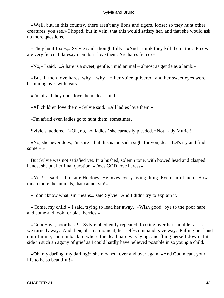«Well, but, in this country, there aren't any lions and tigers, loose: so they hunt other creatures, you see.» I hoped, but in vain, that this would satisfy her, and that she would ask no more questions.

 «They hunt foxes,» Sylvie said, thoughtfully. «And I think they kill them, too. Foxes are very fierce. I daresay men don't love them. Are hares fierce?»

«No,» I said. «A hare is a sweet, gentle, timid animal – almost as gentle as a lamb.»

«But, if men love hares, why – why – » her voice quivered, and her sweet eyes were brimming over with tears.

«I'm afraid they don't love them, dear child.»

«All children love them,» Sylvie said. «All ladies love them.»

«I'm afraid even ladies go to hunt them, sometimes.»

Sylvie shuddered. '«Oh, no, not ladies!' she earnestly pleaded. »Not Lady Muriel!"

 «No, she never does, I'm sure – but this is too sad a sight for you, dear. Let's try and find some  $-$  »

 But Sylvie was not satisfied yet. In a hushed, solemn tone, with bowed head and clasped hands, she put her final question. «Does GOD love hares?»

 «Yes!» I said. «I'm sure He does! He loves every living thing. Even sinful men. How much more the animals, that cannot sin!»

«I don't know what 'sin' means,» said Sylvie. And I didn't try to explain it.

 «Come, my child,» I said, trying to lead her away. «Wish good−bye to the poor hare, and come and look for blackberries.»

 «Good−bye, poor hare!» Sylvie obediently repeated, looking over her shoulder at it as we turned away. And then, all in a moment, her self−command gave way. Pulling her hand out of mine, she ran back to where the dead hare was lying, and flung herself down at its side in such an agony of grief as I could hardly have believed possible in so young a child.

 «Oh, my darling, my darling!» she moaned, over and over again. «And God meant your life to be so beautiful!»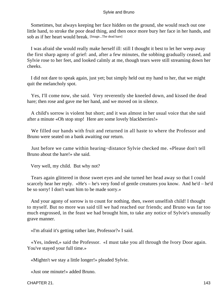Sometimes, but always keeping her face hidden on the ground, she would reach out one little hand, to stroke the poor dead thing, and then once more bury her face in her hands, and sob as if her heart would break. [Image...The dead hare]

 I was afraid she would really make herself ill: still I thought it best to let her weep away the first sharp agony of grief: and, after a few minutes, the sobbing gradually ceased, and Sylvie rose to her feet, and looked calmly at me, though tears were still streaming down her cheeks.

 I did not dare to speak again, just yet; but simply held out my hand to her, that we might quit the melancholy spot.

 Yes, I'll come now, she said. Very reverently she kneeled down, and kissed the dead hare; then rose and gave me her hand, and we moved on in silence.

 A child's sorrow is violent but short; and it was almost in her usual voice that she said after a minute «Oh stop stop! Here are some lovely blackberries!»

 We filled our hands with fruit and returned in all haste to where the Professor and Bruno were seated on a bank awaiting our return.

 Just before we came within hearing−distance Sylvie checked me. «Please don't tell Bruno about the hare!» she said.

Very well, my child. But why not?

 Tears again glittered in those sweet eyes and she turned her head away so that I could scarcely hear her reply. «He's – he's very fond of gentle creatures you know. And he'd – he'd be so sorry! I don't want him to be made sorry.»

 And your agony of sorrow is to count for nothing, then, sweet unselfish child! I thought to myself. But no more was said till we had reached our friends; and Bruno was far too much engrossed, in the feast we had brought him, to take any notice of Sylvie's unusually grave manner.

«I'm afraid it's getting rather late, Professor?» I said.

 «Yes, indeed,» said the Professor. «I must take you all through the Ivory Door again. You've stayed your full time.»

«Mightn't we stay a little longer!» pleaded Sylvie.

«Just one minute!» added Bruno.

CHAPTER 21. 143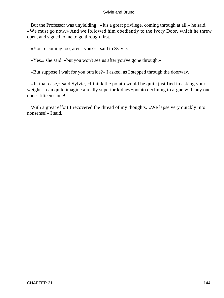But the Professor was unyielding. «It's a great privilege, coming through at all,» he said. «We must go now.» And we followed him obediently to the Ivory Door, which he threw open, and signed to me to go through first.

«You're coming too, aren't you?» I said to Sylvie.

«Yes,» she said: «but you won't see us after you've gone through.»

«But suppose I wait for you outside?» I asked, as I stepped through the doorway.

 «In that case,» said Sylvie, «I think the potato would be quite justified in asking your weight. I can quite imagine a really superior kidney−potato declining to argue with any one under fifteen stone!»

With a great effort I recovered the thread of my thoughts. «We lapse very quickly into nonsense!» I said.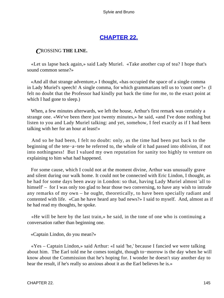## **[CHAPTER 22.](#page-178-0)**

### <span id="page-145-0"></span>*C*ROSSING **THE LINE.**

 «Let us lapse back again,» said Lady Muriel. «Take another cup of tea? I hope that's sound common sense?»

 «And all that strange adventure,» I thought, «has occupied the space of a single comma in Lady Muriel's speech! A single comma, for which grammarians tell us to 'count one'!» (I felt no doubt that the Professor had kindly put back the time for me, to the exact point at which I had gone to sleep.)

 When, a few minutes afterwards, we left the house, Arthur's first remark was certainly a strange one. «We've been there just twenty minutes,» he said, «and I've done nothing but listen to you and Lady Muriel talking: and yet, somehow, I feel exactly as if I had been talking with her for an hour at least!»

 And so he had been, I felt no doubt: only, as the time had been put back to the beginning of the tete−a−tete he referred to, the whole of it had passed into oblivion, if not into nothingness! But I valued my own reputation for sanity too highly to venture on explaining to him what had happened.

 For some cause, which I could not at the moment divine, Arthur was unusually grave and silent during our walk home. It could not be connected with Eric Lindon, I thought, as he had for some days been away in London: so that, having Lady Muriel almost 'all to himself' – for I was only too glad to hear those two conversing, to have any wish to intrude any remarks of my own – he ought, theoretically, to have been specially radiant and contented with life. «Can he have heard any bad news?» I said to myself. And, almost as if he had read my thoughts, he spoke.

 «He will be here by the last train,» he said, in the tone of one who is continuing a conversation rather than beginning one.

«Captain Lindon, do you mean?»

 «Yes – Captain Lindon,» said Arthur: «I said 'he,' because I fancied we were talking about him. The Earl told me he comes tonight, though to−morrow is the day when he will know about the Commission that he's hoping for. I wonder he doesn't stay another day to hear the result, if he's really so anxious about it as the Earl believes he is.»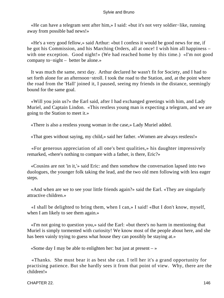«He can have a telegram sent after him,» I said: «but it's not very soldier−like, running away from possible bad news!»

 «He's a very good fellow,» said Arthur: «but I confess it would be good news for me, if he got his Commission, and his Marching Orders, all at once! I wish him all happiness – with one exception. Good night!» (We had reached home by this time.) «I'm not good company to−night – better be alone.»

 It was much the same, next day. Arthur declared he wasn't fit for Society, and I had to set forth alone for an afternoon−stroll. I took the road to the Station, and, at the point where the road from the 'Hall' joined it, I paused, seeing my friends in the distance, seemingly bound for the same goal.

 «Will you join us?» the Earl said, after I had exchanged greetings with him, and Lady Muriel, and Captain Lindon. «This restless young man is expecting a telegram, and we are going to the Station to meet it.»

«There is also a restless young woman in the case,» Lady Muriel added.

«That goes without saying, my child,» said her father. «Women are always restless!»

 «For generous appreciation of all one's best qualities,» his daughter impressively remarked, «there's nothing to compare with a father, is there, Eric?»

 «Cousins are not 'in it,'» said Eric: and then somehow the conversation lapsed into two duologues, the younger folk taking the lead, and the two old men following with less eager steps.

 «And when are we to see your little friends again?» said the Earl. «They are singularly attractive children.»

 «I shall be delighted to bring them, when I can,» I said! «But I don't know, myself, when I am likely to see them again.»

 «I'm not going to question you,» said the Earl: «but there's no harm in mentioning that Muriel is simply tormented with curiosity! We know most of the people about here, and she has been vainly trying to guess what house they can possibly be staying at.»

«Some day I may be able to enlighten her: but just at present  $-\infty$ 

 «Thanks. She must bear it as best she can. I tell her it's a grand opportunity for practising patience. But she hardly sees it from that point of view. Why, there are the children!»

CHAPTER 22. 2002. The state of the state of the state of the state of the state of the state of the state of the state of the state of the state of the state of the state of the state of the state of the state of the state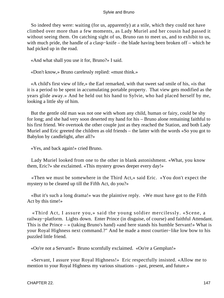So indeed they were: waiting (for us, apparently) at a stile, which they could not have climbed over more than a few moments, as Lady Muriel and her cousin had passed it without seeing them. On catching sight of us, Bruno ran to meet us, and to exhibit to us, with much pride, the handle of a clasp−knife – the blade having been broken off – which he had picked up in the road.

«And what shall you use it for, Bruno?» I said.

«Don't know,» Bruno carelessly replied: «must think.»

 «A child's first view of life,» the Earl remarked, with that sweet sad smile of his, «is that it is a period to be spent in accumulating portable property. That view gets modified as the years glide away.» And he held out his hand to Sylvie, who had placed herself by me, looking a little shy of him.

 But the gentle old man was not one with whom any child, human or fairy, could be shy for long; and she had very soon deserted my hand for his – Bruno alone remaining faithful to his first friend. We overtook the other couple just as they reached the Station, and both Lady Muriel and Eric greeted the children as old friends – the latter with the words «So you got to Babylon by candlelight, after all?»

«Yes, and back again!» cried Bruno.

 Lady Muriel looked from one to the other in blank astonishment. «What, you know them, Eric?» she exclaimed. «This mystery grows deeper every day!»

 «Then we must be somewhere in the Third Act,» said Eric. «You don't expect the mystery to be cleared up till the Fifth Act, do you?»

 «But it's such a long drama!» was the plaintive reply. «We must have got to the Fifth Act by this time!»

 «Third Act, I assure you,» said the young soldier mercilessly. «Scene, a railway−platform. Lights down. Enter Prince (in disguise, of course) and faithful Attendant. This is the Prince – » (taking Bruno's hand) «and here stands his humble Servant!» What is your Royal Highness next command.?" And he made a most courtier−like low bow to his puzzled little friend.

«Oo're not a Servant!» Bruno scornfully exclaimed. «Oo're a Gemplun!»

 «Servant, I assure your Royal Highness!» Eric respectfully insisted. «Allow me to mention to your Royal Highness my various situations – past, present, and future.»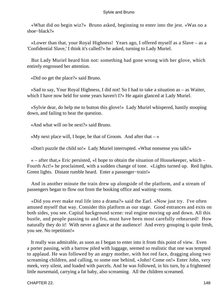«What did oo begin wiz?» Bruno asked, beginning to enter into the jest. «Was oo a shoe−black?»

 «Lower than that, your Royal Highness! Years ago, I offered myself as a Slave – as a 'Confidential Slave,' I think it's called?» he asked, turning to Lady Muriel.

 But Lady Muriel heard him not: something had gone wrong with her glove, which entirely engrossed her attention.

«Did oo get the place?» said Bruno.

 «Sad to say, Your Royal Highness, I did not! So I had to take a situation as – as Waiter, which I have now held for some years haven't I?» He again glanced at Lady Muriel.

 «Sylvie dear, do help me to button this glove!» Lady Muriel whispered, hastily stooping down, and failing to hear the question.

«And what will oo be next?» said Bruno.

«My next place will, I hope, be that of Groom. And after that  $-\infty$ 

«Don't puzzle the child so!» Lady Muriel interrupted. «What nonsense you talk!»

 « – after that,» Eric persisted, «I hope to obtain the situation of Housekeeper, which – Fourth Act!» he proclaimed, with a sudden change of tone. «Lights turned up. Red lights. Green lights. Distant rumble heard. Enter a passenger−train!»

 And in another minute the train drew up alongside of the platform, and a stream of passengers began to flow out from the booking office and waiting−rooms.

 «Did you ever make real life into a drama?» said the Earl. «Now just try. I've often amused myself that way. Consider this platform as our stage. Good entrances and exits on both sides, you see. Capital background scene: real engine moving up and down. All this bustle, and people passing to and fro, must have been most carefully rehearsed! How naturally they do it! With never a glance at the audience! And every grouping is quite fresh, you see. No repetition!»

 It really was admirable, as soon as I began to enter into it from this point of view. Even a porter passing, with a barrow piled with luggage, seemed so realistic that one was tempted to applaud. He was followed by an angry mother, with hot red face, dragging along two screaming children, and calling, to some one behind, «John! Come on!» Enter John, very meek, very silent, and loaded with parcels. And he was followed, in his turn, by a frightened little nursemaid, carrying a fat baby, also screaming. All the children screamed.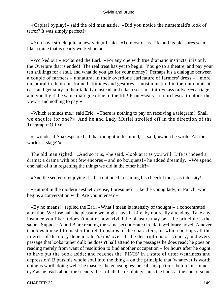«Capital byplay!» said the old man aside. «Did you notice the nursemaid's look of terror? It was simply perfect!»

 «You have struck quite a new vein,» I said. «To most of us Life and its pleasures seem like a mine that is nearly worked out.»

 «Worked out!» exclaimed the Earl. «For any one with true dramatic instincts, it is only the Overture that is ended! The real treat has yet to begin. You go to a theatre, and pay your ten shillings for a stall, and what do you get for your money? Perhaps it's a dialogue between a couple of farmers – unnatural in their overdone caricature of farmers' dress – −more unnatural in their constrained attitudes and gestures – most unnatural in their attempts at ease and geniality in their talk. Go instead and take a seat in a third−class railway−carriage, and you'll get the same dialogue done to the life! Front−seats – no orchestra to block the view – and nothing to pay!»

 «Which reminds me,» said Eric. «There is nothing to pay on receiving a telegram! Shall we enquire for one?» And he and Lady Muriel strolled off in the direction of the Telegraph−Office.

 «I wonder if Shakespeare had that thought in his mind,» I said, «when he wrote 'All the world's a stage'?»

 The old man sighed. «And so it is, »he said, «look at it as you will. Life is indeed a drama; a drama with but few encores – and no bouquets!» he added dreamily. «We spend one half of it in regretting the things we did in the other half!»

«And the secret of enjoying it,» he continued, resuming his cheerful tone, «is intensity!»

 «But not in the modern aesthetic sense, I presume? Like the young lady, in Punch, who begins a conversation with 'Are you intense?'»

 «By no means!» replied the Earl. «What I mean is intensity of thought – a concentrated attention. We lose half the pleasure we might have in Life, by not really attending. Take any instance you like: it doesn't matter how trivial the pleasure may be – the principle is the same. Suppose A and B are reading the same second−rate circulating−library novel. A never troubles himself to master the relationships of the characters, on which perhaps all the interest of the story depends: he 'skips' over all the descriptions of scenery, and every passage that looks rather dull: he doesn't half attend to the passages he does read: he goes on reading merely from want of resolution to find another occupation – for hours after he ought to have put the book aside: and reaches the 'FINIS' in a state of utter weariness and depression! B puts his whole soul into the thing – on the principle that 'whatever is worth doing is worth doing well': he masters the genealogies: he calls up pictures before his 'mind's eye' as he reads about the scenery: best of all, he resolutely shuts the book at the end of some

CHAPTER 22. 149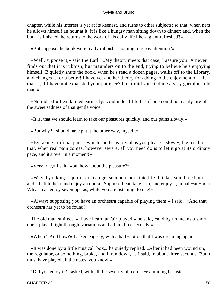chapter, while his interest is yet at its keenest, and turns to other subjects; so that, when next he allows himself an hour at it, it is like a hungry man sitting down to dinner: and, when the book is finished, he returns to the work of his daily life like 'a giant refreshed'!»

«But suppose the book were really rubbish – nothing to repay attention?»

 «Well, suppose it,» said the Earl. «My theory meets that case, I assure you! A never finds out that it is rubbish, but maunders on to the end, trying to believe he's enjoying himself. B quietly shuts the book, when he's read a dozen pages, walks off to the Library, and changes it for a better! I have yet another theory for adding to the enjoyment of Life – that is, if I have not exhausted your patience? I'm afraid you find me a very garrulous old man.»

 «No indeed!» I exclaimed earnestly. And indeed I felt as if one could not easily tire of the sweet sadness of that gentle voice.

«It is, that we should learn to take our pleasures quickly, and our pains slowly.»

«But why? I should have put it the other way, myself.»

 «By taking artificial pain – which can be as trivial as you please – slowly, the result is that, when real pain comes, however severe, all you need do is to let it go at its ordinary pace, and it's over in a moment!»

«Very true,» I said, «but how about the pleasure?»

 «Why, by taking it quick, you can get so much more into life. It takes you three hours and a half to hear and enjoy an opera. Suppose I can take it in, and enjoy it, in half−an−hour. Why, I can enjoy seven operas, while you are listening; to one!»

 «Always supposing you have an orchestra capable of playing them,» I said. «And that orchestra has yet to be found!»

 The old man smiled. «I have heard an 'air played,» he said, «and by no means a short one – played right through, variations and all, in three seconds!»

«When? And how?» I asked eagerly, with a half−notion that I was dreaming again.

 «It was done by a little musical−box,» he quietly replied. «After it had been wound up, the regulator, or something, broke, and it ran down, as I said, in about three seconds. But it must have played all the notes, you know!»

"Did you enjoy it? I asked, with all the severity of a cross−examining barrister.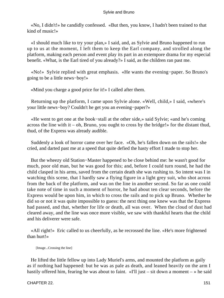«No, I didn't!» he candidly confessed. «But then, you know, I hadn't been trained to that kind of music!»

 «I should much like to try your plan,» I said, and, as Sylvie and Bruno happened to run up to us at the moment, I left them to keep the Earl company, and strolled along the platform, making each person and event play its part in an extempore drama for my especial benefit. «What, is the Earl tired of you already?» I said, as the children ran past me.

 «No!» Sylvie replied with great emphasis. «He wants the evening−paper. So Bruno's going to be a little news−boy!»

«Mind you charge a good price for it!» I called after them.

 Returning up the platform, I came upon Sylvie alone. «Well, child,» I said, «where's your little news−boy? Couldn't he get you an evening−paper?»

 «He went to get one at the book−stall at the other side,» said Sylvie; «and he's coming across the line with it – oh, Bruno, you ought to cross by the bridge!» for the distant thud, thud, of the Express was already audible.

 Suddenly a look of horror came over her face. «Oh, he's fallen down on the rails!» she cried, and darted past me at a speed that quite defied the hasty effort I made to stop her.

 But the wheezy old Station−Master happened to be close behind me: he wasn't good for much, poor old man, but he was good for this; and, before I could turn round, he had the child clasped in his arms, saved from the certain death she was rushing to. So intent was I in watching this scene, that I hardly saw a flying figure in a light grey suit, who shot across from the back of the platform, and was on the line in another second. So far as one could take note of time in such a moment of horror, he had about ten clear seconds, before the Express would be upon him, in which to cross the rails and to pick up Bruno. Whether he did so or not it was quite impossible to guess: the next thing one knew was that the Express had passed, and that, whether for life or death, all was over. When the cloud of dust had cleared away, and the line was once more visible, we saw with thankful hearts that the child and his deliverer were safe.

 «All right!» Eric called to us cheerfully, as he recrossed the line. «He's more frightened than hurt!»

[Image...Crossing the line]

 He lifted the little fellow up into Lady Muriel's arms, and mounted the platform as gaily as if nothing had happened: but he was as pale as death, and leaned heavily on the arm I hastily offered him, fearing he was about to faint. «I'll just – sit down a moment – » he said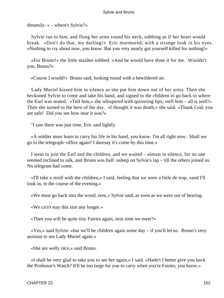dreamily: « – where's Sylvie?»

 Sylvie ran to him, and flung her arms round his neck, sobbing as if her heart would break. «Don't do that, my darling!» Eric murmured, with a strange look in his eyes. «Nothing to cry about now, you know. But you very nearly got yourself killed for nothing!»

 «For Bruno!» the little maiden sobbed. «And he would have done it for me. Wouldn't you, Bruno?»

«Course I would!» Bruno said, looking round with a bewildered air.

 Lady Muriel kissed him in silence as she put him down out of her arms. Then she beckoned Sylvie to come and take his hand, and signed to the children to go back to where the Earl was seated. «Tell him,» she whispered with quivering lips, «tell him – all is well!» Then she turned to the hero of the day. «I thought it was death,» she said. «Thank God, you are safe! Did you see how near it was?»

"I saw there was just time, Eric said lightly.

 «A soldier must learn to carry his life in his hand, you know. I'm all right now. Shall we go to the telegraph−office again? I daresay it's come by this time.»

 I went to join the Earl and the children, and we waited – almost in silence, for no one seemed inclined to talk, and Bruno was half–asleep on Sylvie's lap – till the others joined us. No telegram had come.

 «I'll take a stroll with the children,» I said, feeling that we were a little de trop, «and I'll look in, in the course of the evening.»

«We must go back into the wood, now,» Sylvie said, as soon as we were out of hearing.

«We ca'n't stay this size any longer.»

«Then you will be quite tiny Fairies again, next time we meet?»

 «Yes,» said Sylvie: «but we'll be children again some day – if you'll let us. Bruno's very anxious to see Lady Muriel again.»

«She are welly nice,» said Bruno.

 «I shall be very glad to take you to see her again,» I said. «Hadn't I better give you back the Professor's Watch? It'll be too large for you to carry when you're Fairies, you know.»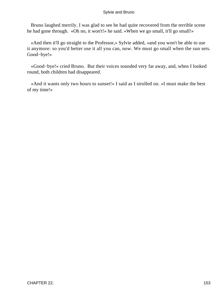Bruno laughed merrily. I was glad to see he had quite recovered from the terrible scene he had gone through. «Oh no, it won't!» he said. «When we go small, it'll go small!»

 «And then it'll go straight to the Professor,» Sylvie added, «and you won't be able to use it anymore: so you'd better use it all you can, now. We must go small when the sun sets. Good−bye!»

 «Good−bye!» cried Bruno. But their voices sounded very far away, and, when I looked round, both children had disappeared.

 «And it wants only two hours to sunset!» I said as I strolled on. «I must make the best of my time!»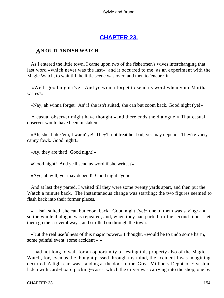## **[CHAPTER 23.](#page-178-0)**

### <span id="page-154-0"></span>*A*N **OUTLANDISH WATCH.**

 As I entered the little town, I came upon two of the fishermen's wives interchanging that last word «which never was the last»: and it occurred to me, as an experiment with the Magic Watch, to wait till the little scene was over, and then to 'encore' it.

 «Well, good night t'ye! And ye winna forget to send us word when your Martha writes?»

«Nay, ah winna forget. An' if she isn't suited, she can but coom back. Good night t'ye!»

 A casual observer might have thought «and there ends the dialogue!» That casual observer would have been mistaken.

 «Ah, she'll like 'em, I war'n' ye! They'll not treat her bad, yer may depend. They're varry canny fowk. Good night!»

«Ay, they are that! Good night!»

«Good night! And ye'll send us word if she writes?»

«Aye, ah will, yer may depend! Good night t'ye!»

 And at last they parted. I waited till they were some twenty yards apart, and then put the Watch a minute back. The instantaneous change was startling: the two figures seemed to flash back into their former places.

 « – isn't suited, she can but coom back. Good night t'ye!» one of them was saying: and so the whole dialogue was repeated, and, when they had parted for the second time, I let them go their several ways, and strolled on through the town.

 «But the real usefulness of this magic power,» I thought, «would be to undo some harm, some painful event, some accident – »

 I had not long to wait for an opportunity of testing this property also of the Magic Watch, for, even as the thought passed through my mind, the accident I was imagining occurred. A light cart was standing at the door of the 'Great Millinery Depot' of Elveston, laden with card−board packing−cases, which the driver was carrying into the shop, one by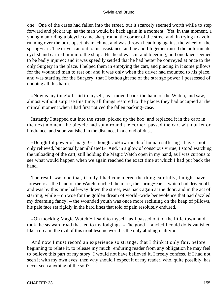one. One of the cases had fallen into the street, but it scarcely seemed worth while to step forward and pick it up, as the man would be back again in a moment. Yet, in that moment, a young man riding a bicycle came sharp round the corner of the street and, in trying to avoid running over the box, upset his machine, and was thrown headlong against the wheel of the spring−cart. The driver ran out to his assistance, and he and I together raised the unfortunate cyclist and carried him into the shop. His head was cut and bleeding; and one knee seemed to be badly injured; and it was speedily settled that he had better be conveyed at once to the only Surgery in the place. I helped them in emptying the cart, and placing in it some pillows for the wounded man to rest on; and it was only when the driver had mounted to his place, and was starting for the Surgery, that I bethought me of the strange power I possessed of undoing all this harm.

 «Now is my time!» I said to myself, as I moved back the hand of the Watch, and saw, almost without surprise this time, all things restored to the places they had occupied at the critical moment when I had first noticed the fallen packing−case.

 Instantly I stepped out into the street, picked up the box, and replaced it in the cart: in the next moment the bicycle had spun round the corner, passed the cart without let or hindrance, and soon vanished in the distance, in a cloud of dust.

 «Delightful power of magic!» I thought. «How much of human suffering I have – not only relieved, but actually annihilated!» And, in a glow of conscious virtue, I stood watching the unloading of the cart, still holding the Magic Watch open in my hand, as I was curious to see what would happen when we again reached the exact time at which I had put back the hand.

 The result was one that, if only I had considered the thing carefully, I might have foreseen: as the hand of the Watch touched the mark, the spring−cart – which had driven off, and was by this time half−way down the street, was back again at the door, and in the act of starting, while – oh woe for the golden dream of world−wide benevolence that had dazzled my dreaming fancy! – the wounded youth was once more reclining on the heap of pillows, his pale face set rigidly in the hard lines that told of pain resolutely endured.

 «Oh mocking Magic Watch!» I said to myself, as I passed out of the little town, and took the seaward road that led to my lodgings. «The good I fancied I could do is vanished like a dream: the evil of this troublesome world is the only abiding reality!»

 And now I must record an experience so strange, that I think it only fair, before beginning to relate it, to release my much−enduring reader from any obligation he may feel to believe this part of my story. I would not have believed it, I freely confess, if I had not seen it with my own eyes: then why should I expect it of my reader, who, quite possibly, has never seen anything of the sort?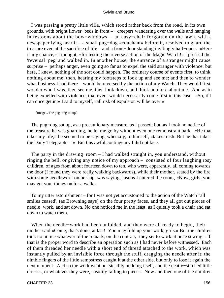I was passing a pretty little villa, which stood rather back from the road, in its own grounds, with bright flower−beds in front – −creepers wandering over the walls and hanging in festoons about the bow−windows – an easy−chair forgotten on the lawn, with a newspaper lying near it – a small pug−dog «couchant» before it, resolved to guard the treasure even at the sacrifice of life – and a front−door standing invitingly half−open. «Here is my chance,» I thought, «for testing the reverse action of the Magic Watch!» I pressed the 'reversal−peg' and walked in. In another house, the entrance of a stranger might cause surprise – perhaps anger, even going so far as to expel the said stranger with violence: but here, I knew, nothing of the sort could happen. The ordinary course of events first, to think nothing about me; then, hearing my footsteps to look up and see me; and then to wonder what business I had there – would be reversed by the action of my Watch. They would first wonder who I was, then see me, then look down, and think no more about me. And as to being expelled with violence, that event would necessarily come first in this case. «So, if I can once get in,» I said to myself, «all risk of expulsion will be over!»

[Image...'The pug−dog sat up']

 The pug−dog sat up, as a precautionary measure, as I passed; but, as I took no notice of the treasure he was guarding, he let me go by without even one remonstrant bark. «He that takes my life,» he seemed to be saying, wheezily, to himself, «takes trash: But he that takes the Daily Telegraph – !» But this awful contingency I did not face.

 The party in the drawing−room – I had walked straight in, you understand, without ringing the bell, or giving any notice of my approach – consisted of four laughing rosy children, of ages from about fourteen down to ten, who were, apparently, all coming towards the door (I found they were really walking backwards), while their mother, seated by the fire with some needlework on her lap, was saying, just as I entered the room, «Now, girls, you may get your things on for a walk.»

 To my utter astonishment – for I was not yet accustomed to the action of the Watch "all smiles ceased', (as Browning says) on the four pretty faces, and they all got out pieces of needle−work, and sat down. No one noticed me in the least, as I quietly took a chair and sat down to watch them.

 When the needle−work had been unfolded, and they were all ready to begin, their mother said «Come, that's done, at last! You may fold up your work, girls.» But the children took no notice whatever of the remark; on the contrary, they set to work at once sewing – if that is the proper word to describe an operation such as I had never before witnessed. Each of them threaded her needle with a short end of thread attached to the work, which was instantly pulled by an invisible force through the stuff, dragging the needle after it: the nimble fingers of the little sempstress caught it at the other side, but only to lose it again the next moment. And so the work went on, steadily undoing itself, and the neatly−stitched little dresses, or whatever they were, steadily falling to pieces. Now and then one of the children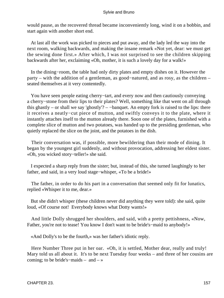would pause, as the recovered thread became inconveniently long, wind it on a bobbin, and start again with another short end.

 At last all the work was picked to pieces and put away, and the lady led the way into the next room, walking backwards, and making the insane remark «Not yet, dear: we must get the sewing done first.» After which, I was not surprised to see the children skipping backwards after her, exclaiming «Oh, mother, it is such a lovely day for a walk!»

 In the dining−room, the table had only dirty plates and empty dishes on it. However the party – with the addition of a gentleman, as good−natured, and as rosy, as the children – seated themselves at it very contentedly.

 You have seen people eating cherry−tart, and every now and then cautiously conveying a cherry−stone from their lips to their plates? Well, something like that went on all through this ghastly – or shall we say 'ghostly'? – −banquet. An empty fork is raised to the lips: there it receives a neatly−cut piece of mutton, and swiftly conveys it to the plate, where it instantly attaches itself to the mutton already there. Soon one of the plates, furnished with a complete slice of mutton and two potatoes, was handed up to the presiding gentleman, who quietly replaced the slice on the joint, and the potatoes in the dish.

 Their conversation was, if possible, more bewildering than their mode of dining. It began by the youngest girl suddenly, and without provocation, addressing her eldest sister. «Oh, you wicked story−teller!» she said.

 I expected a sharp reply from the sister; but, instead of this, she turned laughingly to her father, and said, in a very loud stage−whisper, «To be a bride!»

 The father, in order to do his part in a conversation that seemed only fit for lunatics, replied «Whisper it to me, dear.»

 But she didn't whisper (these children never did anything they were told): she said, quite loud, «Of course not! Everybody knows what Dotty wants!»

 And little Dolly shrugged her shoulders, and said, with a pretty pettishness, «Now, Father, you're not to tease! You know I don't want to be bride's−maid to anybody!»

«And Dolly's to be the fourth,» was her father's idiotic reply.

 Here Number Three put in her oar. «Oh, it is settled, Mother dear, really and truly! Mary told us all about it. It's to be next Tuesday four weeks – and three of her cousins are coming; to be bride's−maids – and – »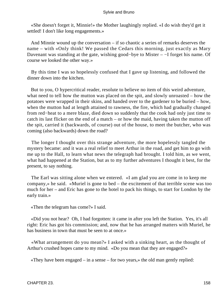«She doesn't forget it, Minnie!» the Mother laughingly replied. «I do wish they'd get it settled! I don't like long engagements.»

 And Minnie wound up the conversation – if so chaotic a series of remarks deserves the name – with «Only think! We passed the Cedars this morning, just exactly as Mary Davenant was standing at the gate, wishing good−bye to Mister – −I forget his name. Of course we looked the other way.»

 By this time I was so hopelessly confused that I gave up listening, and followed the dinner down into the kitchen.

 But to you, O hypercritical reader, resolute to believe no item of this weird adventure, what need to tell how the mutton was placed on the spit, and slowly unroasted – how the potatoes were wrapped in their skins, and handed over to the gardener to be buried – how, when the mutton had at length attained to rawness, the fire, which had gradually changed from red−heat to a mere blaze, died down so suddenly that the cook had only just time to catch its last flicker on the end of a match – or how the maid, having taken the mutton off the spit, carried it (backwards, of course) out of the house, to meet the butcher, who was coming (also backwards) down the road?

 The longer I thought over this strange adventure, the more hopelessly tangled the mystery became: and it was a real relief to meet Arthur in the road, and get him to go with me up to the Hall, to learn what news the telegraph had brought. I told him, as we went, what had happened at the Station, but as to my further adventures I thought it best, for the present, to say nothing.

 The Earl was sitting alone when we entered. «I am glad you are come in to keep me company,» he said. «Muriel is gone to bed – the excitement of that terrible scene was too much for her – and Eric has gone to the hotel to pack his things, to start for London by the early train.»

«Then the telegram has come?» I said.

 «Did you not hear? Oh, I had forgotten: it came in after you left the Station. Yes, it's all right: Eric has got his commission; and, now that he has arranged matters with Muriel, he has business in town that must be seen to at once.»

 «What arrangement do you mean?» I asked with a sinking heart, as the thought of Arthur's crushed hopes came to my mind. «Do you mean that they are engaged?»

«They have been engaged – in a sense – for two years,» the old man gently replied: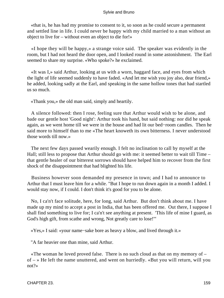«that is, he has had my promise to consent to it, so soon as he could secure a permanent and settled line in life. I could never be happy with my child married to a man without an object to live for – without even an object to die for!»

 «I hope they will be happy,» a strange voice said. The speaker was evidently in the room, but I had not heard the door open, and I looked round in some astonishment. The Earl seemed to share my surprise. «Who spoke?» he exclaimed.

 «It was I,» said Arthur, looking at us with a worn, haggard face, and eyes from which the light of life seemed suddenly to have faded. «And let me wish you joy also, dear friend,» he added, looking sadly at the Earl, and speaking in the same hollow tones that had startled us so much.

«Thank you,» the old man said, simply and heartily.

 A silence followed: then I rose, feeling sure that Arthur would wish to be alone, and bade our gentle host 'Good night': Arthur took his hand, but said nothing: nor did he speak again, as we went home till we were in the house and had lit our bed−room candles. Then he said more to himself than to me «The heart knoweth its own bitterness. I never understood those words till now.»

 The next few days passed wearily enough. I felt no inclination to call by myself at the Hall; still less to propose that Arthur should go with me: it seemed better to wait till Time – that gentle healer of our bitterest sorrows should have helped him to recover from the first shock of the disappointment that had blighted his life.

 Business however soon demanded my presence in town; and I had to announce to Arthur that I must leave him for a while. "But I hope to run down again in a month I added. I would stay now, if I could. I don't think it's good for you to be alone.

 No, I ca'n't face solitude, here, for long, said Arthur. But don't think about me. I have made up my mind to accept a post in India, that has been offered me. Out there, I suppose I shall find something to live for; I ca'n't see anything at present. 'This life of mine I guard, as God's high gift, from scathe and wrong, Not greatly care to lose!'"

«Yes,» I said: «your name−sake bore as heavy a blow, and lived through it.»

"A far heavier one than mine, said Arthur.

 «The woman he loved proved false. There is no such cloud as that on my memory of – of – » He left the name unuttered, and went on hurriedly. «But you will return, will you not?»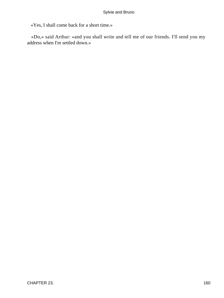«Yes, I shall come back for a short time.»

 «Do,» said Arthur: «and you shall write and tell me of our friends. I'll send you my address when I'm settled down.»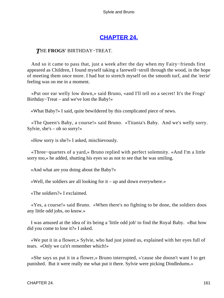## **[CHAPTER 24.](#page-178-0)**

### <span id="page-161-0"></span>*T*HE **FROGS'** BIRTHDAY−TREAT.

 And so it came to pass that, just a week after the day when my Fairy−friends first appeared as Children, I found myself taking a farewell−stroll through the wood, in the hope of meeting them once more. I had but to stretch myself on the smooth turf, and the 'eerie' feeling was on me in a moment.

 «Put oor ear welly low down,» said Bruno, «and I'll tell oo a secret! It's the Frogs' Birthday−Treat – and we've lost the Baby!»

«What Baby?» I said, quite bewildered by this complicated piece of news.

 «The Queen's Baby, a course!» said Bruno. «Titania's Baby. And we's welly sorry. Sylvie, she's – oh so sorry!»

«How sorry is she?» I asked, mischievously.

 «Three−quarters of a yard,» Bruno replied with perfect solemnity. «And I'm a little sorry too,» he added, shutting his eyes so as not to see that he was smiling.

«And what are you doing about the Baby?»

«Well, the soldiers are all looking for it – up and down everywhere.»

«The soldiers?» I exclaimed.

 «Yes, a course!» said Bruno. «When there's no fighting to be done, the soldiers doos any little odd jobs, oo know.»

 I was amused at the idea of its being a 'little odd job' to find the Royal Baby. «But how did you come to lose it?» I asked.

 «We put it in a flower,» Sylvie, who had just joined us, explained with her eyes full of tears. «Only we ca'n't remember which!»

 «She says us put it in a flower,» Bruno interrupted, «'cause she doosn't want I to get punished. But it were really me what put it there. Sylvie were picking Dindledums.»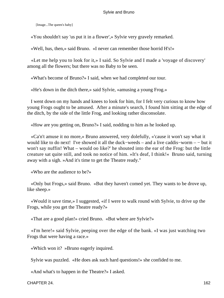[Image...The queen's baby]

«You shouldn't say 'us put it in a flower',» Sylvie very gravely remarked.

«Well, hus, then,» said Bruno. «I never can remember those horrid H's!»

 «Let me help you to look for it,» I said. So Sylvie and I made a 'voyage of discovery' among all the flowers; but there was no Baby to be seen.

«What's become of Bruno?» I said, when we had completed our tour.

«He's down in the ditch there,» said Sylvie, «amusing a young Frog.»

 I went down on my hands and knees to look for him, for I felt very curious to know how young Frogs ought to be amused. After a minute's search, I found him sitting at the edge of the ditch, by the side of the little Frog, and looking rather disconsolate.

«How are you getting on, Bruno?» I said, nodding to him as he looked up.

 «Ca'n't amuse it no more,» Bruno answered, very dolefully, «'cause it won't say what it would like to do next! I've showed it all the duck−weeds – and a live caddis−worm – − but it won't say nuffin! What – would oo like?' he shouted into the ear of the Frog: but the little creature sat quite still, and took no notice of him. »It's deaf, I think!« Bruno said, turning away with a sigh. »And it's time to get the Theatre ready."

«Who are the audience to be?»

 «Only but Frogs,» said Bruno. «But they haven't comed yet. They wants to be drove up, like sheep.»

 «Would it save time,» I suggested, «if I were to walk round with Sylvie, to drive up the Frogs, while you get the Theatre ready?»

«That are a good plan!» cried Bruno. «But where are Sylvie?»

 «I'm here!» said Sylvie, peeping over the edge of the bank. «I was just watching two Frogs that were having a race.»

«Which won it? »Bruno eagerly inquired.

Sylvie was puzzled. «He does ask such hard questions!» she confided to me.

«And what's to happen in the Theatre?» I asked.

CHAPTER 24. 162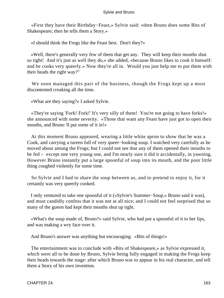«First they have their Birthday−Feast,» Sylvie said: «then Bruno does some Bits of Shakespeare; then he tells them a Story.»

«I should think the Frogs like the Feast best. Don't they?»

 «Well, there's generally very few of them that get any. They will keep their mouths shut so tight! And it's just as well they do,» she added, «because Bruno likes to cook it himself: and he cooks very queerly.» Now they're all in. Would you just help me to put them with their heads the right way?"

 We soon managed this part of the business, though the Frogs kept up a most discontented croaking all the time.

«What are they saying?» I asked Sylvie.

 «They're saying 'Fork! Fork!' It's very silly of them! You're not going to have forks!» she announced with some severity. «Those that want any Feast have just got to open their mouths, and Bruno 'll put some of it in!»

 At this moment Bruno appeared, wearing a little white apron to show that he was a Cook, and carrying a tureen full of very queer−looking soup. I watched very carefully as he moved about among the Frogs; but I could not see that any of them opened their mouths to be fed – except one very young one, and I'm nearly sure it did it accidentally, in yawning. However Bruno instantly put a large spoonful of soup into its mouth, and the poor little thing coughed violently for some time.

 So Sylvie and I had to share the soup between us, and to pretend to enjoy it, for it certainly was very queerly cooked.

 I only ventured to take one spoonful of it («Sylvie's Summer−Soup,» Bruno said it was), and must candidly confess that it was not at all nice; and I could not feel surprised that so many of the guests had kept their mouths shut up tight.

 «What's the soup made of, Bruno?» said Sylvie, who had put a spoonful of it to her lips, and was making a wry face over it.

And Bruno's answer was anything but encouraging. «Bits of things!»

 The entertainment was to conclude with «Bits of Shakespeare,» as Sylvie expressed it, which were all to be done by Bruno, Sylvie being fully engaged in making the Frogs keep their heads towards the stage: after which Bruno was to appear in his real character, and tell them a Story of his own invention.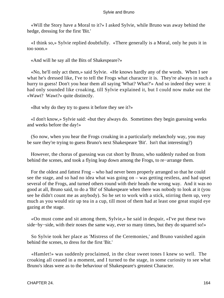«Will the Story have a Moral to it?» I asked Sylvie, while Bruno was away behind the hedge, dressing for the first 'Bit.'

 «I think so,» Sylvie replied doubtfully. «There generally is a Moral, only he puts it in too soon.»

«And will he say all the Bits of Shakespeare?»

 «No, he'll only act them,» said Sylvie. «He knows hardly any of the words. When I see what he's dressed like, I've to tell the Frogs what character it is. They're always in such a hurry to guess! Don't you hear them all saying 'What? What?'» And so indeed they were: it had only sounded like croaking, till Sylvie explained it, but I could now make out the «Wawt? Wawt?» quite distinctly.

«But why do they try to guess it before they see it?»

 «I don't know,» Sylvie said: «but they always do. Sometimes they begin guessing weeks and weeks before the day!»

 (So now, when you hear the Frogs croaking in a particularly melancholy way, you may be sure they're trying to guess Bruno's next Shakespeare 'Bit'. Isn't that interesting?)

 However, the chorus of guessing was cut short by Bruno, who suddenly rushed on from behind the scenes, and took a flying leap down among the Frogs, to re−arrange them.

 For the oldest and fattest Frog – who had never been properly arranged so that he could see the stage, and so had no idea what was going on – was getting restless, and had upset several of the Frogs, and turned others round with their heads the wrong way. And it was no good at all, Bruno said, to do a 'Bit' of Shakespeare when there was nobody to look at it (you see he didn't count me as anybody). So he set to work with a stick, stirring them up, very much as you would stir up tea in a cup, till most of them had at least one great stupid eye gazing at the stage.

 «Oo must come and sit among them, Sylvie,» he said in despair, «I've put these two side–by–side, with their noses the same way, ever so many times, but they do squarrel so!»

 So Sylvie took her place as 'Mistress of the Ceremonies,' and Bruno vanished again behind the scenes, to dress for the first 'Bit.'

 «Hamlet!» was suddenly proclaimed, in the clear sweet tones I knew so well. The croaking all ceased in a moment, and I turned to the stage, in some curiosity to see what Bruno's ideas were as to the behaviour of Shakespeare's greatest Character.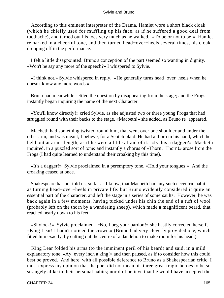According to this eminent interpreter of the Drama, Hamlet wore a short black cloak (which he chiefly used for muffling up his face, as if he suffered a good deal from toothache), and turned out his toes very much as he walked. «To be or not to be!» Hamlet remarked in a cheerful tone, and then turned head−over−heels several times, his cloak dropping off in the performance.

 I felt a little disappointed: Bruno's conception of the part seemed so wanting in dignity. «Won't he say any more of the speech?» I whispered to Sylvie.

 «I think not,» Sylvie whispered in reply. «He generally turns head−over−heels when he doesn't know any more words.»

 Bruno had meanwhile settled the question by disappearing from the stage; and the Frogs instantly began inquiring the name of the next Character.

 «You'll know directly!» cried Sylvie, as she adjusted two or three young Frogs that had struggled round with their backs to the stage. «Macbeth!» she added, as Bruno re−appeared.

 Macbeth had something twisted round him, that went over one shoulder and under the other arm, and was meant, I believe, for a Scotch plaid. He had a thorn in his hand, which he held out at arm's length, as if he were a little afraid of it. «Is this a dagger?» Macbeth inquired, in a puzzled sort of tone: and instantly a chorus of «Thorn! Thorn!» arose from the Frogs (I had quite learned to understand their croaking by this time).

 «It's a dagger!» Sylvie proclaimed in a peremptory tone. «Hold your tongues!» And the croaking ceased at once.

 Shakespeare has not told us, so far as I know, that Macbeth had any such eccentric habit as turning head−over−heels in private life: but Bruno evidently considered it quite an essential part of the character, and left the stage in a series of somersaults. However, he was back again in a few moments, having tucked under his chin the end of a tuft of wool (probably left on the thorn by a wandering sheep), which made a magnificent beard, that reached nearly down to his feet.

 «Shylock!» Sylvie proclaimed. «No, I beg your pardon!» she hastily corrected herself, «King Lear! I hadn't noticed the crown.» (Bruno had very cleverly provided one, which fitted him exactly, by cutting out the centre of a dandelion to make room for his head.)

 King Lear folded his arms (to the imminent peril of his beard) and said, in a mild explanatory tone, «Ay, every inch a king!» and then paused, as if to consider how this could best be proved. And here, with all possible deference to Bruno as a Shakespearian critic, I must express my opinion that the poet did not mean his three great tragic heroes to be so strangely alike in their personal habits; nor do I believe that he would have accepted the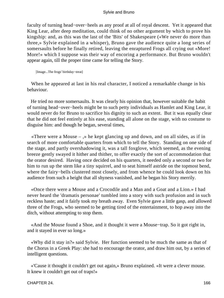faculty of turning head−over−heels as any proof at all of royal descent. Yet it appeared that King Lear, after deep meditation, could think of no other argument by which to prove his kingship: and, as this was the last of the 'Bits' of Shakespeare («We never do more than three,» Sylvie explained in a whisper), Bruno gave the audience quite a long series of somersaults before he finally retired, leaving the enraptured Frogs all crying out «More! More!» which I suppose was their way of encoring a performance. But Bruno wouldn't appear again, till the proper time came for telling the Story.

[Image...The frogs' birthday−treat]

 When he appeared at last in his real character, I noticed a remarkable change in his behaviour.

 He tried no more somersaults. It was clearly his opinion that, however suitable the habit of turning head−over−heels might be to such petty individuals as Hamlet and King Lear, it would never do for Bruno to sacrifice his dignity to such an extent. But it was equally clear that he did not feel entirely at his ease, standing all alone on the stage, with no costume to disguise him: and though he began, several times,

«There were a Mouse  $-$ ,» he kept glancing up and down, and on all sides, as if in search of more comfortable quarters from which to tell the Story. Standing on one side of the stage, and partly overshadowing it, was a tall foxglove, which seemed, as the evening breeze gently swayed it hither and thither, to offer exactly the sort of accommodation that the orator desired. Having once decided on his quarters, it needed only a second or two for him to run up the stem like a tiny squirrel, and to seat himself astride on the topmost bend, where the fairy−bells clustered most closely, and from whence he could look down on his audience from such a height that all shyness vanished, and he began his Story merrily.

 «Once there were a Mouse and a Crocodile and a Man and a Goat and a Lion.» I had never heard the 'dramatis personae' tumbled into a story with such profusion and in such reckless haste; and it fairly took my breath away. Even Sylvie gave a little gasp, and allowed three of the Frogs, who seemed to be getting tired of the entertainment, to hop away into the ditch, without attempting to stop them.

 «And the Mouse found a Shoe, and it thought it were a Mouse−trap. So it got right in, and it stayed in ever so long.»

 «Why did it stay in?» said Sylvie. Her function seemed to be much the same as that of the Chorus in a Greek Play: she had to encourage the orator, and draw him out, by a series of intelligent questions.

 «'Cause it thought it couldn't get out again,» Bruno explained. «It were a clever mouse. It knew it couldn't get out of traps!»

#### CHAPTER 24. 166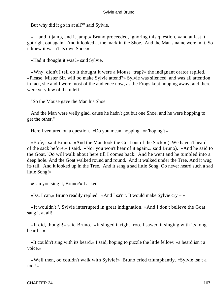But why did it go in at all?" said Sylvie.

 « – and it jamp, and it jamp,» Bruno proceeded, ignoring this question, «and at last it got right out again. And it looked at the mark in the Shoe. And the Man's name were in it. So it knew it wasn't its own Shoe.»

«Had it thought it was?» said Sylvie.

 «Why, didn't I tell oo it thought it were a Mouse−trap?» the indignant orator replied. «Please, Mister Sir, will oo make Sylvie attend?» Sylvie was silenced, and was all attention: in fact, she and I were most of the audience now, as the Frogs kept hopping away, and there were very few of them left.

"So the Mouse gave the Man his Shoe.

 And the Man were welly glad, cause he hadn't got but one Shoe, and he were hopping to get the other."

Here I ventured on a question. «Do you mean 'hopping,' or 'hoping'?»

 «Bofe,» said Bruno. «And the Man took the Goat out of the Sack.» («We haven't heard of the sack before,» I said. «Nor you won't hear of it again,» said Bruno). «And he said to the Goat, 'Oo will walk about here till I comes back.' And he went and he tumbled into a deep hole. And the Goat walked round and round. And it walked under the Tree. And it wug its tail. And it looked up in the Tree. And it sang a sad little Song. Oo never heard such a sad little Song!»

«Can you sing it, Bruno?» I asked.

«Iss, I can,» Bruno readily replied. «And I sa'n't. It would make Sylvie cry – »

 «It wouldn't!', Sylvie interrupted in great indignation. »And I don't believe the Goat sang it at all!"

 «It did, though!» said Bruno. «It singed it right froo. I sawed it singing with its long  $beard - *>*$ 

 «It couldn't sing with its beard,» I said, hoping to puzzle the little fellow: «a beard isn't a voice.»

 «Well then, oo couldn't walk with Sylvie!» Bruno cried triumphantly. «Sylvie isn't a foot!»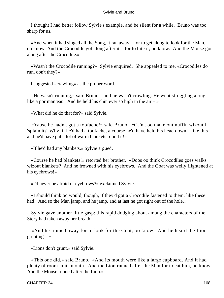I thought I had better follow Sylvie's example, and be silent for a while. Bruno was too sharp for us.

 «And when it had singed all the Song, it ran away – for to get along to look for the Man, oo know. And the Crocodile got along after it – for to bite it, oo know. And the Mouse got along after the Crocodile.»

 «Wasn't the Crocodile running?» Sylvie enquired. She appealed to me. «Crocodiles do run, don't they?»

I suggested «crawling» as the proper word.

 «He wasn't running,» said Bruno, «and he wasn't crawling. He went struggling along like a portmanteau. And he held his chin ever so high in the air  $-\infty$ 

«What did he do that for?» said Sylvie.

 «'cause he hadn't got a toofache!» said Bruno. «Ca'n't oo make out nuffin wizout I 'splain it? Why, if he'd had a toofache, a course he'd have held his head down – like this – and he'd have put a lot of warm blankets round it!»

«If he'd had any blankets,» Sylvie argued.

 «Course he had blankets!» retorted her brother. «Doos oo think Crocodiles goes walks wizout blankets? And he frowned with his eyebrows. And the Goat was welly flightened at his eyebrows!»

«I'd never be afraid of eyebrows?» exclaimed Sylvie.

 «I should think oo would, though, if they'd got a Crocodile fastened to them, like these had! And so the Man jamp, and he jamp, and at last he got right out of the hole.»

 Sylvie gave another little gasp: this rapid dodging about among the characters of the Story had taken away her breath.

 «And he runned away for to look for the Goat, oo know. And he heard the Lion grunting  $\rightarrow$ 

«Lions don't grunt,» said Sylvie.

 «This one did,» said Bruno. «And its mouth were like a large cupboard. And it had plenty of room in its mouth. And the Lion runned after the Man for to eat him, oo know. And the Mouse runned after the Lion.»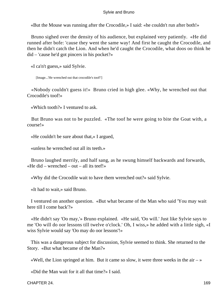«But the Mouse was running after the Crocodile,» I said: «he couldn't run after both!»

 Bruno sighed over the density of his audience, but explained very patiently. «He did runned after bofe: 'cause they went the same way! And first he caught the Crocodile, and then he didn't catch the Lion. And when he'd caught the Crocodile, what doos oo think he did – 'cause he'd got pincers in his pocket?»

«I ca'n't guess,» said Sylvie.

[Image...'He wrenched out that crocodile's toof!']

 «Nobody couldn't guess it!» Bruno cried in high glee. «Why, he wrenched out that Crocodile's toof!»

«Which tooth?» I ventured to ask.

 But Bruno was not to be puzzled. «The toof he were going to bite the Goat with, a course!»

«He couldn't be sure about that,» I argued,

«unless he wrenched out all its teeth.»

 Bruno laughed merrily, and half sang, as he swung himself backwards and forwards, «He did – wrenched – out – all its teef!»

«Why did the Crocodile wait to have them wrenched out?» said Sylvie.

«It had to wait,» said Bruno.

 I ventured on another question. «But what became of the Man who said 'You may wait here till I come back'?»

 «He didn't say 'Oo may,'» Bruno explained. «He said, 'Oo will.' Just like Sylvie says to me 'Oo will do oor lessons till twelve o'clock.' Oh, I wiss,» he added with a little sigh, «I wiss Sylvie would say 'Oo may do oor lessons'!»

 This was a dangerous subject for discussion, Sylvie seemed to think. She returned to the Story. «But what became of the Man?»

«Well, the Lion springed at him. But it came so slow, it were three weeks in the air  $-\infty$ 

«Did the Man wait for it all that time?» I said.

CHAPTER 24. 169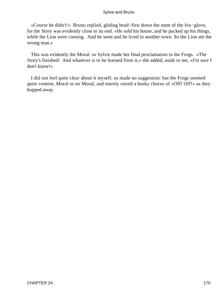«Course he didn't!» Bruno replied, gliding head−first down the stem of the fox−glove, for the Story was evidently close to its end. «He sold his house, and he packed up his things, while the Lion were coming. And he went and he lived in another town. So the Lion ate the wrong man.»

 This was evidently the Moral: so Sylvie made her final proclamation to the Frogs. «The Story's finished! And whatever is to be learned from it,» she added, aside to me, «I'm sure I don't know!»

 I did not feel quite clear about it myself, so made no suggestion: but the Frogs seemed quite content, Moral or no Moral, and merely raised a husky chorus of «Off! Off!» as they hopped away.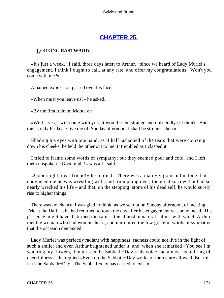## **[CHAPTER 25.](#page-178-0)**

### <span id="page-171-0"></span>*L*OOKING **EASTWARD.**

 «It's just a week,» I said, three days later, to Arthur, «since we heard of Lady Muriel's engagement. I think I ought to call, at any rate, and offer my congratulations. Won't you come with me?»

A pained expression passed over his face.

«When must you leave us?» he asked.

«By the first train on Monday.»

 «Well – yes, I will come with you. It would seem strange and unfriendly if I didn't. But this is only Friday. Give me till Sunday afternoon. I shall be stronger then.»

 Shading his eyes with one hand, as if half−ashamed of the tears that were coursing down his cheeks, he held the other out to me. It trembled as I clasped it.

 I tried to frame some words of sympathy; but they seemed poor and cold, and I left them unspoken. «Good night!» was all I said.

 «Good night, dear friend!» he replied. There was a manly vigour in his tone that convinced me he was wrestling with, and triumphing over, the great sorrow that had so nearly wrecked his life – and that, on the stepping−stone of his dead self, he would surely rise to higher things!

 There was no chance, I was glad to think, as we set out on Sunday afternoon, of meeting Eric at the Hall, as he had returned to town the day after his engagement was announced. His presence might have disturbed the calm – the almost unnatural calm – with which Arthur met the woman who had won his heart, and murmured the few graceful words of sympathy that the occasion demanded.

 Lady Muriel was perfectly radiant with happiness: sadness could not live in the light of such a smile: and even Arthur brightened under it, and, when she remarked «You see I'm watering my flowers, though it is the Sabbath−Day,» his voice had almost its old ring of cheerfulness as he replied «Even on the Sabbath−Day works of mercy are allowed. But this isn't the Sabbath−Day. The Sabbath−day has ceased to exist.»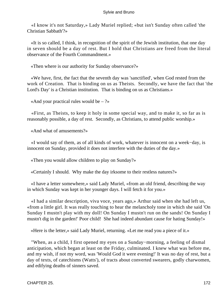«I know it's not Saturday,» Lady Muriel replied; «but isn't Sunday often called 'the Christian Sabbath'?»

 «It is so called, I think, in recognition of the spirit of the Jewish institution, that one day in seven should be a day of rest. But I hold that Christians are freed from the literal observance of the Fourth Commandment.»

«Then where is our authority for Sunday observance?»

 «We have, first, the fact that the seventh day was 'sanctified', when God rested from the work of Creation. That is binding on us as Theists. Secondly, we have the fact that 'the Lord's Day' is a Christian institution. That is binding on us as Christians.»

«And your practical rules would be  $-$  ?»

 «First, as Theists, to keep it holy in some special way, and to make it, so far as is reasonably possible, a day of rest. Secondly, as Christians, to attend public worship.»

«And what of amusements?»

 «I would say of them, as of all kinds of work, whatever is innocent on a week−day, is innocent on Sunday, provided it does not interfere with the duties of the day.»

«Then you would allow children to play on Sunday?»

«Certainly I should. Why make the day irksome to their restless natures?»

 «I have a letter somewhere,» said Lady Muriel, «from an old friend, describing the way in which Sunday was kept in her younger days. I will fetch it for you.»

 «I had a similar description, viva voce, years ago,» Arthur said when she had left us, «from a little girl. It was really touching to hear the melancholy tone in which she said 'On Sunday I mustn't play with my doll! On Sunday I mustn't run on the sands! On Sunday I mustn't dig in the garden!' Poor child! She had indeed abundant cause for hating Sunday!»

«Here is the letter,» said Lady Muriel, returning. «Let me read you a piece of it.»

 "When, as a child, I first opened my eyes on a Sunday−morning, a feeling of dismal anticipation, which began at least on the Friday, culminated. I knew what was before me, and my wish, if not my word, was 'Would God it were evening!' It was no day of rest, but a day of texts, of catechisms (Watts'), of tracts about converted swearers, godly charwomen, and edifying deaths of sinners saved.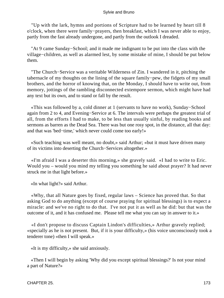"Up with the lark, hymns and portions of Scripture had to be learned by heart till 8 o'clock, when there were family−prayers, then breakfast, which I was never able to enjoy, partly from the fast already undergone, and partly from the outlook I dreaded.

 "At 9 came Sunday−School; and it made me indignant to be put into the class with the village−children, as well as alarmed lest, by some mistake of mine, I should be put below them.

 "The Church−Service was a veritable Wilderness of Zin. I wandered in it, pitching the tabernacle of my thoughts on the lining of the square family−pew, the fidgets of my small brothers, and the horror of knowing that, on the Monday, I should have to write out, from memory, jottings of the rambling disconnected extempore sermon, which might have had any text but its own, and to stand or fall by the result.

 «This was followed by a, cold dinner at 1 (servants to have no work), Sunday−School again from 2 to 4, and Evening−Service at 6. The intervals were perhaps the greatest trial of all, from the efforts I had to make, to be less than usually sinful, by reading books and sermons as barren as the Dead Sea. There was but one rosy spot, in the distance, all that day: and that was 'bed−time,' which never could come too early!»

 «Such teaching was well meant, no doubt,» said Arthur; «but it must have driven many of its victims into deserting the Church−Services altogether.»

 «I'm afraid I was a deserter this morning,» she gravely said. «I had to write to Eric. Would you – would you mind my telling you something he said about prayer? It had never struck me in that light before.»

«In what light?» said Arthur.

 «Why, that all Nature goes by fixed, regular laws – Science has proved that. So that asking God to do anything (except of course praying for spiritual blessings) is to expect a miracle: and we've no right to do that. I've not put it as well as he did: but that was the outcome of it, and it has confused me. Please tell me what you can say in answer to it.»

 «I don't propose to discuss Captain Lindon's difficulties,» Arthur gravely replied; «specially as he is not present. But, if it is your difficulty,» (his voice unconsciously took a tenderer tone) «then I will speak.»

«It is my difficulty,» she said anxiously.

 «Then I will begin by asking 'Why did you except spiritual blessings?' Is not your mind a part of Nature?»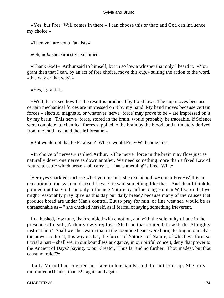«Yes, but Free−Will comes in there – I can choose this or that; and God can influence my choice.»

«Then you are not a Fatalist?»

«Oh, no!» she earnestly exclaimed.

 «Thank God!» Arthur said to himself, but in so low a whisper that only I heard it. «You grant then that I can, by an act of free choice, move this cup,» suiting the action to the word, «this way or that way?»

«Yes, I grant it.»

 «Well, let us see how far the result is produced by fixed laws. The cup moves because certain mechanical forces are impressed on it by my hand. My hand moves because certain forces – electric, magnetic, or whatever 'nerve−force' may prove to be – are impressed on it by my brain. This nerve−force, stored in the brain, would probably be traceable, if Science were complete, to chemical forces supplied to the brain by the blood, and ultimately derived from the food I eat and the air I breathe.»

«But would not that be Fatalism? Where would Free−Will come in?»

 «In choice of nerves,» replied Arthur. «The nerve−force in the brain may flow just as naturally down one nerve as down another. We need something more than a fixed Law of Nature to settle which nerve shall carry it. That 'something' is Free−Will.»

 Her eyes sparkled.« »I see what you mean!« she exclaimed. »Human Free−Will is an exception to the system of fixed Law. Eric said something like that. And then I think he pointed out that God can only influence Nature by influencing Human Wills. So that we might reasonably pray 'give us this day our daily bread,' because many of the causes that produce bread are under Man's control. But to pray for rain, or fine weather, would be as unreasonable as – " she checked herself, as if fearful of saying something irreverent.

 In a hushed, low tone, that trembled with emotion, and with the solemnity of one in the presence of death, Arthur slowly replied «Shalt he that contendeth with the Almighty instruct him? Shall we 'the swarm that in the noontide beam were born,' feeling in ourselves the power to direct, this way or that, the forces of Nature – of Nature, of which we form so trivial a part – shall we, in our boundless arrogance, in our pitiful conceit, deny that power to the Ancient of Days? Saying, to our Creator, 'Thus far and no further. Thou madest, but thou canst not rule!'?»

 Lady Muriel had covered her face in her hands, and did not look up. She only murmured «Thanks, thanks!» again and again.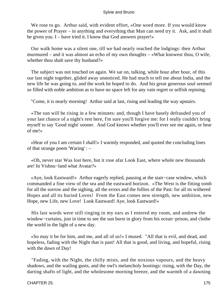We rose to go. Arthur said, with evident effort, «One word more. If you would know the power of Prayer – in anything and everything that Man can need try it. Ask, and it shall be given you. I – have tried it. I know that God answers prayer!»

 Our walk home was a silent one, till we had nearly reached the lodgings: then Arthur murmured – and it was almost an echo of my own thoughts – «What knowest thou, O wife, whether thou shalt save thy husband?»

 The subject was not touched on again. We sat on, talking, while hour after hour, of this our last night together, glided away unnoticed. He had much to tell me about India, and the new life he was going to, and the work he hoped to do. And his great generous soul seemed so filled with noble ambition as to have no space left for any vain regret or selfish repining.

"Come, it is nearly morning! Arthur said at last, rising and leading the way upstairs.

 «The sun will be rising in a few minutes: and, though I have basely defrauded you of your last chance of a night's rest here, I'm sure you'll forgive me: for I really couldn't bring myself to say 'Good night' sooner. And God knows whether you'll ever see me again, or hear of me!»

 «Hear of you I am certain I shall!» I warmly responded, and quoted the concluding lines of that strange poem 'Waring' : –

 «Oh, never star Was lost here, but it rose afar Look East, where whole new thousands are! In Vishnu−land what Avatar?»

 «Aye, look Eastward!» Arthur eagerly replied, pausing at the stair−case window, which commanded a fine view of the sea and the eastward horizon. «The West is the fitting tomb for all the sorrow and the sighing, all the errors and the follies of the Past: for all its withered Hopes and all its buried Loves! From the East comes new strength, new ambition, new Hope, new Life, new Love! Look Eastward! Aye, look Eastward!»

 His last words were still ringing in my ears as I entered my room, and undrew the window−curtains, just in time to see the sun burst in glory from his ocean−prison, and clothe the world in the light of a new day.

 «So may it be for him, and me, and all of us!» I mused. "All that is evil, and dead, and hopeless, fading with the Night that is past! All that is good, and living, and hopeful, rising with the dawn of Day!

 "Fading, with the Night, the chilly mists, and the noxious vapours, and the heavy shadows, and the wailing gusts, and the owl's melancholy hootings: rising, with the Day, the darting shafts of light, and the wholesome morning breeze, and the warmth of a dawning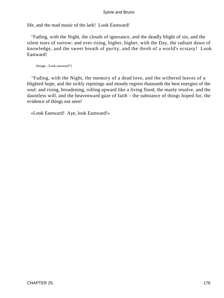life, and the mad music of the lark! Look Eastward!

 "Fading, with the Night, the clouds of ignorance, and the deadly blight of sin, and the silent tears of sorrow: and ever rising, higher, higher, with the Day, the radiant dawn of knowledge, and the sweet breath of purity, and the throb of a world's ecstasy! Look Eastward!

[Image...'Look eastward!']

 "Fading, with the Night, the memory of a dead love, and the withered leaves of a blighted hope, and the sickly repinings and moody regrets thatnumb the best energies of the soul: and rising, broadening, rolling upward like a living flood, the manly resolve, and the dauntless will, and the heavenward gaze of faith – the substance of things hoped for, the evidence of things not seen!

«Look Eastward! Aye, look Eastward!»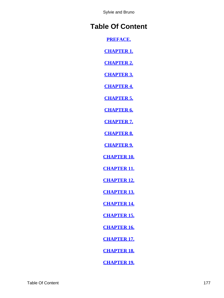# **Table Of Content**

**[PREFACE.](#page-3-0)**

**[CHAPTER 1.](#page-9-0)**

**[CHAPTER 2.](#page-15-0)**

**[CHAPTER 3.](#page-20-0)**

**[CHAPTER 4.](#page-26-0)**

**[CHAPTER 5.](#page-32-0)**

**[CHAPTER 6.](#page-39-0)**

**[CHAPTER 7.](#page-45-0)**

**[CHAPTER 8.](#page-50-0)**

**[CHAPTER 9.](#page-55-0)**

**[CHAPTER 10.](#page-61-0)**

**[CHAPTER 11.](#page-67-0)**

**[CHAPTER 12.](#page-71-0)**

**[CHAPTER 13.](#page-78-0)**

**[CHAPTER 14.](#page-85-0)**

**[CHAPTER 15.](#page-94-0)**

**[CHAPTER 16.](#page-100-0)**

**[CHAPTER 17.](#page-106-0)**

**[CHAPTER 18.](#page-114-0)**

**[CHAPTER 19.](#page-121-0)**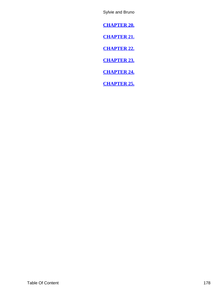<span id="page-178-0"></span>**[CHAPTER 20.](#page-128-0)**

**[CHAPTER 21.](#page-135-0)**

**[CHAPTER 22.](#page-145-0)**

**[CHAPTER 23.](#page-154-0)**

**[CHAPTER 24.](#page-161-0)**

**[CHAPTER 25.](#page-171-0)**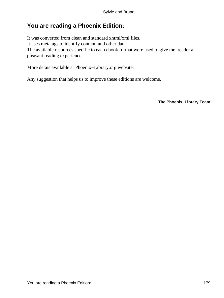## **You are reading a Phoenix Edition:**

It was converted from clean and standard xhtml/xml files. It uses metatags to identify content, and other data. The available resources specific to each ebook format were used to give the reader a pleasant reading experience.

More detais available at Phoenix−Library.org website.

Any suggestion that helps us to improve these editions are welcome.

**The Phoenix−Library Team**